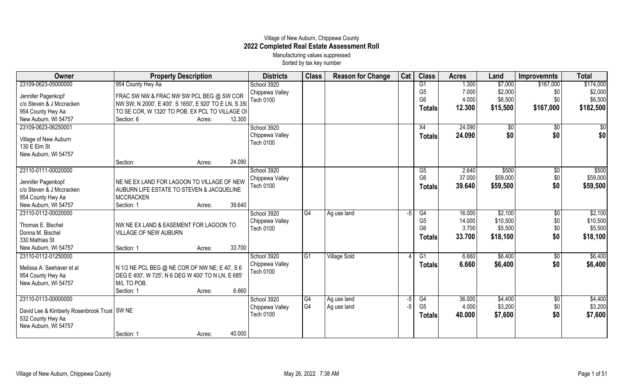## Village of New Auburn, Chippewa County **2022 Completed Real Estate Assessment Roll** Manufacturing values suppressed

Sorted by tax key number

| Owner                                         | <b>Property Description</b>                           |        | <b>Districts</b> | <b>Class</b>    | <b>Reason for Change</b> | Cat | <b>Class</b>                     | <b>Acres</b>    | Land                | <b>Improvemnts</b> | <b>Total</b> |
|-----------------------------------------------|-------------------------------------------------------|--------|------------------|-----------------|--------------------------|-----|----------------------------------|-----------------|---------------------|--------------------|--------------|
| 23109-0623-05000000                           | 954 County Hwy Aa                                     |        | School 3920      |                 |                          |     | G1                               | 1.300           | \$7,000             | \$167,000          | \$174,000    |
| Jennifer Pagenkopf                            | FRAC SW NW & FRAC NW SW PCL BEG @ SW COR              |        | Chippewa Valley  |                 |                          |     | G <sub>5</sub>                   | 7.000           | \$2,000             | \$0                | \$2,000      |
| c/o Steven & J Mccracken                      | NW SW; N 2000', E 400', S 1650', E 920' TO E LN, S 35 |        | <b>Tech 0100</b> |                 |                          |     | G <sub>6</sub>                   | 4.000           | \$6,500             | \$0                | \$6,500      |
| 954 County Hwy Aa                             | TO SE COR, W 1320' TO POB. EX PCL TO VILLAGE OF       |        |                  |                 |                          |     | <b>Totals</b>                    | 12.300          | \$15,500            | \$167,000          | \$182,500    |
| New Auburn, WI 54757                          | Section: 6<br>Acres:                                  | 12.300 |                  |                 |                          |     |                                  |                 |                     |                    |              |
| 23109-0623-06250001                           |                                                       |        | School 3920      |                 |                          |     | X4                               | 24.090          | \$0                 | $\overline{60}$    | \$0          |
|                                               |                                                       |        | Chippewa Valley  |                 |                          |     | Totals                           | 24.090          | \$0                 | \$0                | \$0          |
| Village of New Auburn<br>130 E Elm St         |                                                       |        | <b>Tech 0100</b> |                 |                          |     |                                  |                 |                     |                    |              |
| New Auburn, WI 54757                          |                                                       |        |                  |                 |                          |     |                                  |                 |                     |                    |              |
|                                               | Section:<br>Acres:                                    | 24.090 |                  |                 |                          |     |                                  |                 |                     |                    |              |
| 23110-0111-00020000                           |                                                       |        | School 3920      |                 |                          |     | G5                               | 2.640           | \$500               | $\sqrt{6}$         | \$500        |
|                                               |                                                       |        | Chippewa Valley  |                 |                          |     | G <sub>6</sub>                   | 37.000          | \$59,000            | \$0                | \$59,000     |
| Jennifer Pagenkopf                            | NE NE EX LAND FOR LAGOON TO VILLAGE OF NEW            |        | Tech 0100        |                 |                          |     | <b>Totals</b>                    | 39.640          | \$59,500            | \$0                | \$59,500     |
| c/o Steven & J Mccracken                      | AUBURN LIFE ESTATE TO STEVEN & JACQUELINE             |        |                  |                 |                          |     |                                  |                 |                     |                    |              |
| 954 County Hwy Aa                             | <b>MCCRACKEN</b>                                      |        |                  |                 |                          |     |                                  |                 |                     |                    |              |
| New Auburn, WI 54757                          | Section: 1<br>Acres:                                  | 39.640 |                  |                 |                          |     |                                  |                 |                     |                    |              |
| 23110-0112-00020000                           |                                                       |        | School 3920      | $\overline{G4}$ | Ag use land              | -5  | G4                               | 16.000          | \$2,100             | $\sqrt[6]{}$       | \$2,100      |
| Thomas E. Bischel                             | NW NE EX LAND & EASEMENT FOR LAGOON TO                |        | Chippewa Valley  |                 |                          |     | G <sub>5</sub><br>G <sub>6</sub> | 14.000<br>3.700 | \$10,500<br>\$5,500 | \$0<br>\$0         | \$10,500     |
| Donna M. Bischel                              | VILLAGE OF NEW AUBURN                                 |        | <b>Tech 0100</b> |                 |                          |     |                                  |                 |                     |                    | \$5,500      |
| 330 Mathias St                                |                                                       |        |                  |                 |                          |     | <b>Totals</b>                    | 33.700          | \$18,100            | \$0                | \$18,100     |
| New Auburn, WI 54757                          | Section: 1<br>Acres:                                  | 33.700 |                  |                 |                          |     |                                  |                 |                     |                    |              |
| 23110-0112-01250000                           |                                                       |        | School 3920      | IG1             | <b>Village Sold</b>      |     | G1                               | 6.660           | \$6,400             | \$0                | \$6,400      |
| Melissa A. Seehaver et al                     | N 1/2 NE PCL BEG @ NE COR OF NW NE; E 40', S 6        |        | Chippewa Valley  |                 |                          |     | <b>Totals</b>                    | 6.660           | \$6,400             | \$0                | \$6,400      |
| 954 County Hwy Aa                             | DEG E 400', W 725', N 6 DEG W 400' TO N LN, E 685'    |        | Tech 0100        |                 |                          |     |                                  |                 |                     |                    |              |
| New Auburn, WI 54757                          | M/L TO POB.                                           |        |                  |                 |                          |     |                                  |                 |                     |                    |              |
|                                               | Section: 1<br>Acres:                                  | 6.660  |                  |                 |                          |     |                                  |                 |                     |                    |              |
| 23110-0113-00000000                           |                                                       |        | School 3920      | $\overline{G4}$ | Ag use land              | -5  | G4                               | 36.000          | \$4,400             | \$0                | \$4,400      |
|                                               |                                                       |        | Chippewa Valley  | G4              | Ag use land              | -5  | G <sub>5</sub>                   | 4.000           | \$3,200             | \$0                | \$3,200      |
| David Lee & Kimberly Rosenbrook Trust   SW NE |                                                       |        | Tech 0100        |                 |                          |     | <b>Totals</b>                    | 40.000          | \$7,600             | \$0                | \$7,600      |
| 532 County Hwy Aa                             |                                                       |        |                  |                 |                          |     |                                  |                 |                     |                    |              |
| New Auburn, WI 54757                          |                                                       |        |                  |                 |                          |     |                                  |                 |                     |                    |              |
|                                               | Section: 1<br>Acres:                                  | 40.000 |                  |                 |                          |     |                                  |                 |                     |                    |              |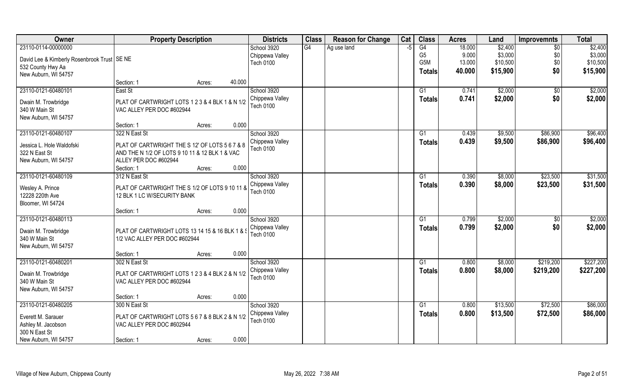| Owner                                         | <b>Property Description</b>                     |                  | <b>Districts</b>             | <b>Class</b> | <b>Reason for Change</b> | Cat  | <b>Class</b>   | <b>Acres</b> | Land     | <b>Improvemnts</b> | <b>Total</b> |
|-----------------------------------------------|-------------------------------------------------|------------------|------------------------------|--------------|--------------------------|------|----------------|--------------|----------|--------------------|--------------|
| 23110-0114-00000000                           |                                                 |                  | School 3920                  | G4           | Ag use land              | $-5$ | G4             | 18.000       | \$2,400  | \$0                | \$2,400      |
| David Lee & Kimberly Rosenbrook Trust   SE NE |                                                 |                  | Chippewa Valley              |              |                          |      | G <sub>5</sub> | 9.000        | \$3,000  | \$0                | \$3,000      |
| 532 County Hwy Aa                             |                                                 |                  | <b>Tech 0100</b>             |              |                          |      | G5M            | 13.000       | \$10,500 | \$0                | \$10,500     |
| New Auburn, WI 54757                          |                                                 |                  |                              |              |                          |      | <b>Totals</b>  | 40.000       | \$15,900 | \$0                | \$15,900     |
|                                               | Section: 1                                      | 40.000<br>Acres: |                              |              |                          |      |                |              |          |                    |              |
| 23110-0121-60480101                           | East St                                         |                  | School 3920                  |              |                          |      | G1             | 0.741        | \$2,000  | \$0                | \$2,000      |
|                                               |                                                 |                  | Chippewa Valley              |              |                          |      | <b>Totals</b>  | 0.741        | \$2,000  | \$0                | \$2,000      |
| Dwain M. Trowbridge                           | PLAT OF CARTWRIGHT LOTS 1 2 3 & 4 BLK 1 & N 1/2 |                  | Tech 0100                    |              |                          |      |                |              |          |                    |              |
| 340 W Main St                                 | VAC ALLEY PER DOC #602944                       |                  |                              |              |                          |      |                |              |          |                    |              |
| New Auburn, WI 54757                          |                                                 | 0.000            |                              |              |                          |      |                |              |          |                    |              |
| 23110-0121-60480107                           | Section: 1<br>322 N East St                     | Acres:           |                              |              |                          |      | G1             | 0.439        | \$9,500  | \$86,900           | \$96,400     |
|                                               |                                                 |                  | School 3920                  |              |                          |      |                |              |          |                    |              |
| Jessica L. Hole Waldofski                     | PLAT OF CARTWRIGHT THE S 12' OF LOTS 5 6 7 & 8  |                  | Chippewa Valley<br>Tech 0100 |              |                          |      | <b>Totals</b>  | 0.439        | \$9,500  | \$86,900           | \$96,400     |
| 322 N East St                                 | AND THE N 1/2 OF LOTS 9 10 11 & 12 BLK 1 & VAC  |                  |                              |              |                          |      |                |              |          |                    |              |
| New Auburn, WI 54757                          | ALLEY PER DOC #602944                           |                  |                              |              |                          |      |                |              |          |                    |              |
|                                               | Section: 1                                      | 0.000<br>Acres:  |                              |              |                          |      |                |              |          |                    |              |
| 23110-0121-60480109                           | 312 N East St                                   |                  | School 3920                  |              |                          |      | G <sub>1</sub> | 0.390        | \$8,000  | \$23,500           | \$31,500     |
| Wesley A. Prince                              | PLAT OF CARTWRIGHT THE S 1/2 OF LOTS 9 10 11 &  |                  | Chippewa Valley              |              |                          |      | <b>Totals</b>  | 0.390        | \$8,000  | \$23,500           | \$31,500     |
| 12228 220th Ave                               | 12 BLK 1 LC W/SECURITY BANK                     |                  | Tech 0100                    |              |                          |      |                |              |          |                    |              |
| Bloomer, WI 54724                             |                                                 |                  |                              |              |                          |      |                |              |          |                    |              |
|                                               | Section: 1                                      | 0.000<br>Acres:  |                              |              |                          |      |                |              |          |                    |              |
| 23110-0121-60480113                           |                                                 |                  | School 3920                  |              |                          |      | G1             | 0.799        | \$2,000  | $\sqrt[6]{}$       | \$2,000      |
|                                               |                                                 |                  | Chippewa Valley              |              |                          |      | <b>Totals</b>  | 0.799        | \$2,000  | \$0                | \$2,000      |
| Dwain M. Trowbridge                           | PLAT OF CARTWRIGHT LOTS 13 14 15 & 16 BLK 1 &   |                  | <b>Tech 0100</b>             |              |                          |      |                |              |          |                    |              |
| 340 W Main St                                 | 1/2 VAC ALLEY PER DOC #602944                   |                  |                              |              |                          |      |                |              |          |                    |              |
| New Auburn, WI 54757                          |                                                 |                  |                              |              |                          |      |                |              |          |                    |              |
|                                               | Section: 1                                      | 0.000<br>Acres:  |                              |              |                          |      |                |              |          |                    |              |
| 23110-0121-60480201                           | 302 N East St                                   |                  | School 3920                  |              |                          |      | G1             | 0.800        | \$8,000  | \$219,200          | \$227,200    |
| Dwain M. Trowbridge                           | PLAT OF CARTWRIGHT LOTS 1 2 3 & 4 BLK 2 & N 1/2 |                  | Chippewa Valley              |              |                          |      | <b>Totals</b>  | 0.800        | \$8,000  | \$219,200          | \$227,200    |
| 340 W Main St                                 | VAC ALLEY PER DOC #602944                       |                  | Tech 0100                    |              |                          |      |                |              |          |                    |              |
| New Auburn, WI 54757                          |                                                 |                  |                              |              |                          |      |                |              |          |                    |              |
|                                               | Section: 1                                      | 0.000<br>Acres:  |                              |              |                          |      |                |              |          |                    |              |
| 23110-0121-60480205                           | 300 N East St                                   |                  | School 3920                  |              |                          |      | G1             | 0.800        | \$13,500 | \$72,500           | \$86,000     |
|                                               |                                                 |                  | Chippewa Valley              |              |                          |      | <b>Totals</b>  | 0.800        | \$13,500 | \$72,500           | \$86,000     |
| Everett M. Sarauer                            | PLAT OF CARTWRIGHT LOTS 5 6 7 & 8 BLK 2 & N 1/2 |                  | <b>Tech 0100</b>             |              |                          |      |                |              |          |                    |              |
| Ashley M. Jacobson<br>300 N East St           | VAC ALLEY PER DOC #602944                       |                  |                              |              |                          |      |                |              |          |                    |              |
| New Auburn, WI 54757                          |                                                 | 0.000            |                              |              |                          |      |                |              |          |                    |              |
|                                               | Section: 1                                      | Acres:           |                              |              |                          |      |                |              |          |                    |              |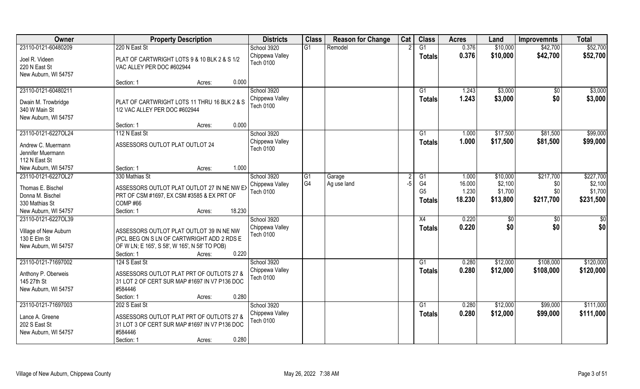| Owner                                                                               | <b>Property Description</b>                                                                                                                                              | <b>Districts</b>                                   | <b>Class</b>    | <b>Reason for Change</b> | Cat  | <b>Class</b>                          | <b>Acres</b>              | Land                           | <b>Improvemnts</b>      | <b>Total</b>                    |
|-------------------------------------------------------------------------------------|--------------------------------------------------------------------------------------------------------------------------------------------------------------------------|----------------------------------------------------|-----------------|--------------------------|------|---------------------------------------|---------------------------|--------------------------------|-------------------------|---------------------------------|
| 23110-0121-60480209                                                                 | 220 N East St                                                                                                                                                            | School 3920                                        | G1              | Remodel                  |      | $\overline{G1}$                       | 0.376                     | \$10,000                       | \$42,700                | \$52,700                        |
| Joel R. Videen<br>220 N East St<br>New Auburn, WI 54757                             | PLAT OF CARTWRIGHT LOTS 9 & 10 BLK 2 & S 1/2<br>VAC ALLEY PER DOC #602944                                                                                                | Chippewa Valley<br><b>Tech 0100</b>                |                 |                          |      | <b>Totals</b>                         | 0.376                     | \$10,000                       | \$42,700                | \$52,700                        |
|                                                                                     | 0.000<br>Section: 1<br>Acres:                                                                                                                                            |                                                    |                 |                          |      |                                       |                           |                                |                         |                                 |
| 23110-0121-60480211<br>Dwain M. Trowbridge<br>340 W Main St<br>New Auburn, WI 54757 | PLAT OF CARTWRIGHT LOTS 11 THRU 16 BLK 2 & S<br>1/2 VAC ALLEY PER DOC #602944                                                                                            | School 3920<br>Chippewa Valley<br><b>Tech 0100</b> |                 |                          |      | G1<br>Totals                          | 1.243<br>1.243            | \$3,000<br>\$3,000             | \$0<br>\$0              | \$3,000<br>\$3,000              |
|                                                                                     | 0.000<br>Section: 1<br>Acres:                                                                                                                                            |                                                    |                 |                          |      |                                       |                           |                                |                         |                                 |
| 23110-0121-6227OL24                                                                 | 112 N East St                                                                                                                                                            | School 3920                                        |                 |                          |      | G1                                    | 1.000                     | \$17,500                       | \$81,500                | \$99,000                        |
| Andrew C. Muermann<br>Jennifer Muermann<br>112 N East St                            | ASSESSORS OUTLOT PLAT OUTLOT 24                                                                                                                                          | Chippewa Valley<br>Tech 0100                       |                 |                          |      | <b>Totals</b>                         | 1.000                     | \$17,500                       | \$81,500                | \$99,000                        |
| New Auburn, WI 54757                                                                | 1.000<br>Section: 1<br>Acres:                                                                                                                                            |                                                    |                 |                          |      |                                       |                           |                                |                         |                                 |
| 23110-0121-6227OL27                                                                 | 330 Mathias St                                                                                                                                                           | School 3920                                        | $\overline{G1}$ | Garage                   |      | G1                                    | 1.000                     | \$10,000                       | \$217,700               | \$227,700                       |
| Thomas E. Bischel<br>Donna M. Bischel<br>330 Mathias St<br>New Auburn, WI 54757     | ASSESSORS OUTLOT PLAT OUTLOT 27 IN NE NW EX<br>PRT OF CSM #1697, EX CSM #3585 & EX PRT OF<br>COMP#66<br>18.230<br>Section: 1<br>Acres:                                   | Chippewa Valley<br><b>Tech 0100</b>                | G <sub>4</sub>  | Ag use land              | $-5$ | G4<br>G <sub>5</sub><br><b>Totals</b> | 16.000<br>1.230<br>18.230 | \$2,100<br>\$1,700<br>\$13,800 | \$0<br>\$0<br>\$217,700 | \$2,100<br>\$1,700<br>\$231,500 |
| 23110-0121-6227OL39                                                                 |                                                                                                                                                                          | School 3920                                        |                 |                          |      | X4                                    | 0.220                     | \$0                            | $\sqrt[6]{30}$          | \$0                             |
| Village of New Auburn<br>130 E Elm St<br>New Auburn, WI 54757                       | ASSESSORS OUTLOT PLAT OUTLOT 39 IN NE NW<br>(PCL BEG ON S LN OF CARTWRIGHT ADD 2 RDS E<br>OF W LN; E 165', S 58', W 165', N 58' TO POB)<br>0.220<br>Section: 1<br>Acres: | Chippewa Valley<br><b>Tech 0100</b>                |                 |                          |      | <b>Totals</b>                         | 0.220                     | \$0                            | \$0                     | \$0                             |
| 23110-0121-71697002                                                                 | 124 S East St                                                                                                                                                            | School 3920                                        |                 |                          |      | G1                                    | 0.280                     | \$12,000                       | \$108,000               | \$120,000                       |
| Anthony P. Oberweis<br>145 27th St<br>New Auburn, WI 54757                          | ASSESSORS OUTLOT PLAT PRT OF OUTLOTS 27 &<br>31 LOT 2 OF CERT SUR MAP #1697 IN V7 P136 DOC<br>#584446<br>0.280<br>Section: 1<br>Acres:                                   | Chippewa Valley<br>Tech 0100                       |                 |                          |      | <b>Totals</b>                         | 0.280                     | \$12,000                       | \$108,000               | \$120,000                       |
| 23110-0121-71697003                                                                 | 202 S East St                                                                                                                                                            | School 3920                                        |                 |                          |      | G1                                    | 0.280                     | \$12,000                       | \$99,000                | \$111,000                       |
| Lance A. Greene<br>202 S East St<br>New Auburn, WI 54757                            | ASSESSORS OUTLOT PLAT PRT OF OUTLOTS 27 &<br>31 LOT 3 OF CERT SUR MAP #1697 IN V7 P136 DOC<br>#584446<br>0.280<br>Section: 1<br>Acres:                                   | Chippewa Valley<br>Tech 0100                       |                 |                          |      | Totals                                | 0.280                     | \$12,000                       | \$99,000                | \$111,000                       |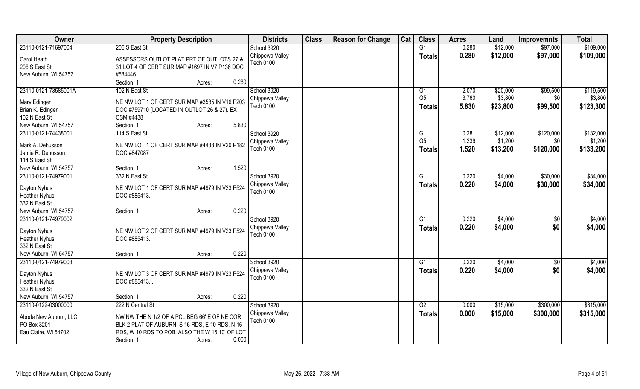| Owner                                       | <b>Property Description</b>                                                                | <b>Districts</b>                    | <b>Class</b> | <b>Reason for Change</b> | Cat | <b>Class</b>   | <b>Acres</b> | Land     | <b>Improvemnts</b> | <b>Total</b> |
|---------------------------------------------|--------------------------------------------------------------------------------------------|-------------------------------------|--------------|--------------------------|-----|----------------|--------------|----------|--------------------|--------------|
| 23110-0121-71697004                         | 206 S East St                                                                              | School 3920                         |              |                          |     | G1             | 0.280        | \$12,000 | \$97,000           | \$109,000    |
| Carol Heath<br>206 S East St                | ASSESSORS OUTLOT PLAT PRT OF OUTLOTS 27 &<br>31 LOT 4 OF CERT SUR MAP #1697 IN V7 P136 DOC | Chippewa Valley<br>Tech 0100        |              |                          |     | <b>Totals</b>  | 0.280        | \$12,000 | \$97,000           | \$109,000    |
| New Auburn, WI 54757                        | #584446                                                                                    |                                     |              |                          |     |                |              |          |                    |              |
|                                             | 0.280<br>Section: 1<br>Acres:                                                              |                                     |              |                          |     |                |              |          |                    |              |
| 23110-0121-73585001A                        | 102 N East St                                                                              | School 3920                         |              |                          |     | G1             | 2.070        | \$20,000 | \$99,500           | \$119,500    |
| Mary Edinger                                | NE NW LOT 1 OF CERT SUR MAP #3585 IN V16 P203                                              | Chippewa Valley                     |              |                          |     | G <sub>5</sub> | 3.760        | \$3,800  | \$0                | \$3,800      |
| Brian K. Edinger                            | DOC #759710 (LOCATED IN OUTLOT 26 & 27). EX                                                | <b>Tech 0100</b>                    |              |                          |     | <b>Totals</b>  | 5.830        | \$23,800 | \$99,500           | \$123,300    |
| 102 N East St                               | CSM #4438                                                                                  |                                     |              |                          |     |                |              |          |                    |              |
| New Auburn, WI 54757                        | 5.830<br>Section: 1<br>Acres:                                                              |                                     |              |                          |     |                |              |          |                    |              |
| 23110-0121-74438001                         | 114 S East St                                                                              | School 3920                         |              |                          |     | G1             | 0.281        | \$12,000 | \$120,000          | \$132,000    |
| Mark A. Dehusson                            | NE NW LOT 1 OF CERT SUR MAP #4438 IN V20 P182                                              | Chippewa Valley                     |              |                          |     | G <sub>5</sub> | 1.239        | \$1,200  | \$0                | \$1,200      |
| Jamie R. Dehusson                           | DOC #847087                                                                                | <b>Tech 0100</b>                    |              |                          |     | <b>Totals</b>  | 1.520        | \$13,200 | \$120,000          | \$133,200    |
| 114 S East St                               |                                                                                            |                                     |              |                          |     |                |              |          |                    |              |
| New Auburn, WI 54757                        | 1.520<br>Section: 1<br>Acres:                                                              |                                     |              |                          |     |                |              |          |                    |              |
| 23110-0121-74979001                         | 332 N East St                                                                              | School 3920                         |              |                          |     | G1             | 0.220        | \$4,000  | \$30,000           | \$34,000     |
|                                             |                                                                                            | Chippewa Valley                     |              |                          |     | <b>Totals</b>  | 0.220        | \$4,000  | \$30,000           | \$34,000     |
| Dayton Nyhus                                | NE NW LOT 1 OF CERT SUR MAP #4979 IN V23 P524                                              | <b>Tech 0100</b>                    |              |                          |     |                |              |          |                    |              |
| <b>Heather Nyhus</b>                        | DOC #885413.                                                                               |                                     |              |                          |     |                |              |          |                    |              |
| 332 N East St                               | 0.220                                                                                      |                                     |              |                          |     |                |              |          |                    |              |
| New Auburn, WI 54757<br>23110-0121-74979002 | Section: 1<br>Acres:                                                                       | School 3920                         |              |                          |     | G1             | 0.220        | \$4,000  |                    | \$4,000      |
|                                             |                                                                                            |                                     |              |                          |     |                |              |          | \$0                |              |
| Dayton Nyhus                                | NE NW LOT 2 OF CERT SUR MAP #4979 IN V23 P524                                              | Chippewa Valley<br><b>Tech 0100</b> |              |                          |     | <b>Totals</b>  | 0.220        | \$4,000  | \$0                | \$4,000      |
| <b>Heather Nyhus</b>                        | DOC #885413.                                                                               |                                     |              |                          |     |                |              |          |                    |              |
| 332 N East St                               |                                                                                            |                                     |              |                          |     |                |              |          |                    |              |
| New Auburn, WI 54757                        | 0.220<br>Section: 1<br>Acres:                                                              |                                     |              |                          |     |                |              |          |                    |              |
| 23110-0121-74979003                         |                                                                                            | School 3920                         |              |                          |     | G1             | 0.220        | \$4,000  | $\overline{50}$    | \$4,000      |
| Dayton Nyhus                                | NE NW LOT 3 OF CERT SUR MAP #4979 IN V23 P524                                              | Chippewa Valley                     |              |                          |     | <b>Totals</b>  | 0.220        | \$4,000  | \$0                | \$4,000      |
| <b>Heather Nyhus</b>                        | DOC #885413.                                                                               | <b>Tech 0100</b>                    |              |                          |     |                |              |          |                    |              |
| 332 N East St                               |                                                                                            |                                     |              |                          |     |                |              |          |                    |              |
| New Auburn, WI 54757                        | 0.220<br>Section: 1<br>Acres:                                                              |                                     |              |                          |     |                |              |          |                    |              |
| 23110-0122-03000000                         | 222 N Central St                                                                           | School 3920                         |              |                          |     | G2             | 0.000        | \$15,000 | \$300,000          | \$315,000    |
| Abode New Auburn, LLC                       | NW NW THE N 1/2 OF A PCL BEG 66' E OF NE COR                                               | Chippewa Valley                     |              |                          |     | Totals         | 0.000        | \$15,000 | \$300,000          | \$315,000    |
| PO Box 3201                                 | BLK 2 PLAT OF AUBURN; S 16 RDS, E 10 RDS, N 16                                             | Tech 0100                           |              |                          |     |                |              |          |                    |              |
| Eau Claire, WI 54702                        | RDS, W 10 RDS TO POB. ALSO THE W 15.10' OF LOT                                             |                                     |              |                          |     |                |              |          |                    |              |
|                                             | 0.000<br>Section: 1<br>Acres:                                                              |                                     |              |                          |     |                |              |          |                    |              |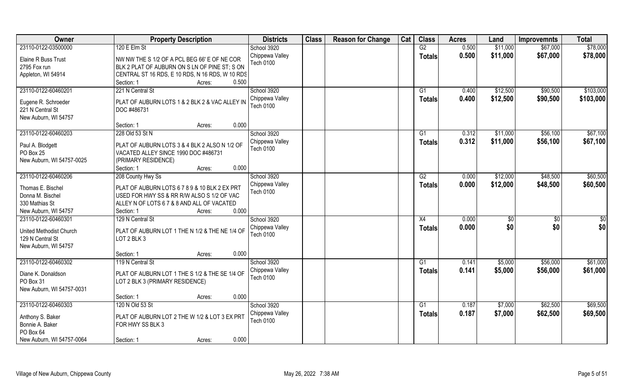| Owner                                                               | <b>Property Description</b>                                                                                                               | <b>Districts</b>                            | <b>Class</b> | <b>Reason for Change</b> | Cat | <b>Class</b>        | <b>Acres</b> | Land       | <b>Improvemnts</b>    | <b>Total</b>           |
|---------------------------------------------------------------------|-------------------------------------------------------------------------------------------------------------------------------------------|---------------------------------------------|--------------|--------------------------|-----|---------------------|--------------|------------|-----------------------|------------------------|
| 23110-0122-03500000                                                 | 120 E Elm St                                                                                                                              | School 3920                                 |              |                          |     | G2                  | 0.500        | \$11,000   | \$67,000              | \$78,000               |
| Elaine R Buss Trust<br>2795 Fox run                                 | NW NW THE S 1/2 OF A PCL BEG 66' E OF NE COR<br>BLK 2 PLAT OF AUBURN ON S LN OF PINE ST; S ON                                             | Chippewa Valley<br>Tech 0100                |              |                          |     | <b>Totals</b>       | 0.500        | \$11,000   | \$67,000              | \$78,000               |
| Appleton, WI 54914                                                  | CENTRAL ST 16 RDS, E 10 RDS, N 16 RDS, W 10 RDS<br>0.500<br>Section: 1<br>Acres:                                                          |                                             |              |                          |     |                     |              |            |                       |                        |
| 23110-0122-60460201                                                 | 221 N Central St                                                                                                                          | School 3920                                 |              |                          |     | G <sub>1</sub>      | 0.400        | \$12,500   | \$90,500              | \$103,000              |
| Eugene R. Schroeder<br>221 N Central St<br>New Auburn, WI 54757     | PLAT OF AUBURN LOTS 1 & 2 BLK 2 & VAC ALLEY IN<br>DOC #486731                                                                             | Chippewa Valley<br>Tech 0100                |              |                          |     | <b>Totals</b>       | 0.400        | \$12,500   | \$90,500              | \$103,000              |
|                                                                     | 0.000<br>Section: 1<br>Acres:                                                                                                             |                                             |              |                          |     |                     |              |            |                       |                        |
| 23110-0122-60460203                                                 | 228 Old 53 St N                                                                                                                           | School 3920                                 |              |                          |     | G1                  | 0.312        | \$11,000   | \$56,100              | \$67,100               |
| Paul A. Blodgett<br>PO Box 25<br>New Auburn, WI 54757-0025          | PLAT OF AUBURN LOTS 3 & 4 BLK 2 ALSO N 1/2 OF<br>VACATED ALLEY SINCE 1990 DOC #486731<br>(PRIMARY RESIDENCE)                              | Chippewa Valley<br>Tech 0100                |              |                          |     | <b>Totals</b>       | 0.312        | \$11,000   | \$56,100              | \$67,100               |
|                                                                     | 0.000<br>Section: 1<br>Acres:                                                                                                             |                                             |              |                          |     |                     |              |            |                       |                        |
| 23110-0122-60460206                                                 | 208 County Hwy Ss                                                                                                                         | School 3920                                 |              |                          |     | G2                  | 0.000        | \$12,000   | \$48,500              | \$60,500               |
| Thomas E. Bischel<br>Donna M. Bischel<br>330 Mathias St             | PLAT OF AUBURN LOTS 6 7 8 9 & 10 BLK 2 EX PRT<br>USED FOR HWY SS & RR R/W ALSO S 1/2 OF VAC<br>ALLEY N OF LOTS 6 7 & 8 AND ALL OF VACATED | Chippewa Valley<br>Tech 0100                |              |                          |     | <b>Totals</b>       | 0.000        | \$12,000   | \$48,500              | \$60,500               |
| New Auburn, WI 54757<br>23110-0122-60460301                         | 0.000<br>Section: 1<br>Acres:<br>129 N Central St                                                                                         |                                             |              |                          |     |                     | 0.000        |            |                       |                        |
| United Methodist Church<br>129 N Central St<br>New Auburn, WI 54757 | PLAT OF AUBURN LOT 1 THE N 1/2 & THE NE 1/4 OF<br>LOT 2 BLK 3                                                                             | School 3920<br>Chippewa Valley<br>Tech 0100 |              |                          |     | X4<br><b>Totals</b> | 0.000        | \$0<br>\$0 | $\sqrt[6]{30}$<br>\$0 | $\overline{50}$<br>\$0 |
|                                                                     | 0.000<br>Section: 1<br>Acres:                                                                                                             |                                             |              |                          |     |                     |              |            |                       |                        |
| 23110-0122-60460302                                                 | 119 N Central St                                                                                                                          | School 3920                                 |              |                          |     | $\overline{G1}$     | 0.141        | \$5,000    | \$56,000              | \$61,000               |
| Diane K. Donaldson<br>PO Box 31<br>New Auburn, WI 54757-0031        | PLAT OF AUBURN LOT 1 THE S 1/2 & THE SE 1/4 OF<br>LOT 2 BLK 3 (PRIMARY RESIDENCE)                                                         | Chippewa Valley<br>Tech 0100                |              |                          |     | <b>Totals</b>       | 0.141        | \$5,000    | \$56,000              | \$61,000               |
|                                                                     | 0.000<br>Section: 1<br>Acres:                                                                                                             |                                             |              |                          |     |                     |              |            |                       |                        |
| 23110-0122-60460303                                                 | 120 N Old 53 St                                                                                                                           | School 3920                                 |              |                          |     | G1                  | 0.187        | \$7,000    | \$62,500              | \$69,500               |
| Anthony S. Baker<br>Bonnie A. Baker<br>PO Box 64                    | PLAT OF AUBURN LOT 2 THE W 1/2 & LOT 3 EX PRT<br>FOR HWY SS BLK 3                                                                         | Chippewa Valley<br><b>Tech 0100</b>         |              |                          |     | <b>Totals</b>       | 0.187        | \$7,000    | \$62,500              | \$69,500               |
| New Auburn, WI 54757-0064                                           | 0.000<br>Section: 1<br>Acres:                                                                                                             |                                             |              |                          |     |                     |              |            |                       |                        |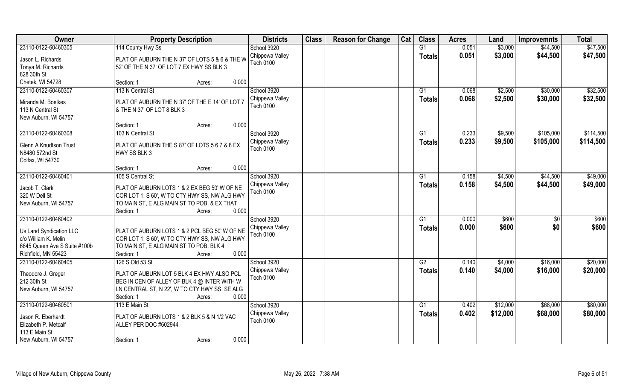| Owner                                    | <b>Property Description</b>                                                                  | <b>Districts</b>             | <b>Class</b> | <b>Reason for Change</b> | Cat | <b>Class</b>    | <b>Acres</b> | Land     | <b>Improvemnts</b> | <b>Total</b> |
|------------------------------------------|----------------------------------------------------------------------------------------------|------------------------------|--------------|--------------------------|-----|-----------------|--------------|----------|--------------------|--------------|
| 23110-0122-60460305                      | 114 County Hwy Ss                                                                            | School 3920                  |              |                          |     | G1              | 0.051        | \$3,000  | \$44,500           | \$47,500     |
| Jason L. Richards                        | PLAT OF AUBURN THE N 37' OF LOTS 5 & 6 & THE W                                               | Chippewa Valley              |              |                          |     | <b>Totals</b>   | 0.051        | \$3,000  | \$44,500           | \$47,500     |
| Tonya M. Richards                        | 52' OF THE N 37' OF LOT 7 EX HWY SS BLK 3                                                    | <b>Tech 0100</b>             |              |                          |     |                 |              |          |                    |              |
| 828 30th St                              |                                                                                              |                              |              |                          |     |                 |              |          |                    |              |
| Chetek, WI 54728                         | 0.000<br>Section: 1<br>Acres:                                                                |                              |              |                          |     |                 |              |          |                    |              |
| 23110-0122-60460307                      | 113 N Central St                                                                             | School 3920                  |              |                          |     | G1              | 0.068        | \$2,500  | \$30,000           | \$32,500     |
| Miranda M. Boelkes                       | PLAT OF AUBURN THE N 37' OF THE E 14' OF LOT 7                                               | Chippewa Valley              |              |                          |     | <b>Totals</b>   | 0.068        | \$2,500  | \$30,000           | \$32,500     |
| 113 N Central St                         | & THE N 37' OF LOT 8 BLK 3                                                                   | <b>Tech 0100</b>             |              |                          |     |                 |              |          |                    |              |
| New Auburn, WI 54757                     |                                                                                              |                              |              |                          |     |                 |              |          |                    |              |
|                                          | 0.000<br>Section: 1<br>Acres:                                                                |                              |              |                          |     |                 |              |          |                    |              |
| 23110-0122-60460308                      | 103 N Central St                                                                             | School 3920                  |              |                          |     | G1              | 0.233        | \$9,500  | \$105,000          | \$114,500    |
|                                          |                                                                                              | Chippewa Valley              |              |                          |     | <b>Totals</b>   | 0.233        | \$9,500  | \$105,000          | \$114,500    |
| Glenn A Knudtson Trust<br>N8480 572nd St | PLAT OF AUBURN THE S 87' OF LOTS 5 6 7 & 8 EX<br>HWY SS BLK 3                                | <b>Tech 0100</b>             |              |                          |     |                 |              |          |                    |              |
| Colfax, WI 54730                         |                                                                                              |                              |              |                          |     |                 |              |          |                    |              |
|                                          | 0.000<br>Section: 1<br>Acres:                                                                |                              |              |                          |     |                 |              |          |                    |              |
| 23110-0122-60460401                      | 105 S Central St                                                                             | School 3920                  |              |                          |     | G1              | 0.158        | \$4,500  | \$44,500           | \$49,000     |
|                                          |                                                                                              | Chippewa Valley              |              |                          |     | <b>Totals</b>   | 0.158        | \$4,500  | \$44,500           | \$49,000     |
| Jacob T. Clark                           | PLAT OF AUBURN LOTS 1 & 2 EX BEG 50' W OF NE                                                 | Tech 0100                    |              |                          |     |                 |              |          |                    |              |
| 320 W Dell St<br>New Auburn, WI 54757    | COR LOT 1; S 60', W TO CTY HWY SS, NW ALG HWY<br>TO MAIN ST, E ALG MAIN ST TO POB. & EX THAT |                              |              |                          |     |                 |              |          |                    |              |
|                                          | 0.000<br>Section: 1<br>Acres:                                                                |                              |              |                          |     |                 |              |          |                    |              |
| 23110-0122-60460402                      |                                                                                              | School 3920                  |              |                          |     | G1              | 0.000        | \$600    | $\sqrt[6]{30}$     | \$600        |
|                                          |                                                                                              | Chippewa Valley              |              |                          |     | <b>Totals</b>   | 0.000        | \$600    | \$0                | \$600        |
| Us Land Syndication LLC                  | PLAT OF AUBURN LOTS 1 & 2 PCL BEG 50' W OF NE                                                | Tech 0100                    |              |                          |     |                 |              |          |                    |              |
| c/o William K. Melin                     | COR LOT 1; S 60', W TO CTY HWY SS, NW ALG HWY                                                |                              |              |                          |     |                 |              |          |                    |              |
| 6645 Queen Ave S Suite #100b             | TO MAIN ST, E ALG MAIN ST TO POB. BLK 4                                                      |                              |              |                          |     |                 |              |          |                    |              |
| Richfield, MN 55423                      | 0.000<br>Section: 1<br>Acres:                                                                |                              |              |                          |     |                 |              |          |                    |              |
| 23110-0122-60460405                      | 126 S Old 53 St                                                                              | School 3920                  |              |                          |     | G2              | 0.140        | \$4,000  | \$16,000           | \$20,000     |
| Theodore J. Greger                       | PLAT OF AUBURN LOT 5 BLK 4 EX HWY ALSO PCL                                                   | Chippewa Valley<br>Tech 0100 |              |                          |     | <b>Totals</b>   | 0.140        | \$4,000  | \$16,000           | \$20,000     |
| 212 30th St                              | BEG IN CEN OF ALLEY OF BLK 4 @ INTER WITH W                                                  |                              |              |                          |     |                 |              |          |                    |              |
| New Auburn, WI 54757                     | LN CENTRAL ST, N 22', W TO CTY HWY SS, SE ALG                                                |                              |              |                          |     |                 |              |          |                    |              |
|                                          | 0.000<br>Section: 1<br>Acres:                                                                |                              |              |                          |     |                 |              |          |                    |              |
| 23110-0122-60460501                      | 113 E Main St                                                                                | School 3920                  |              |                          |     | $\overline{G1}$ | 0.402        | \$12,000 | \$68,000           | \$80,000     |
| Jason R. Eberhardt                       | PLAT OF AUBURN LOTS 1 & 2 BLK 5 & N 1/2 VAC                                                  | Chippewa Valley              |              |                          |     | Totals          | 0.402        | \$12,000 | \$68,000           | \$80,000     |
| Elizabeth P. Metcalf                     | ALLEY PER DOC #602944                                                                        | <b>Tech 0100</b>             |              |                          |     |                 |              |          |                    |              |
| 113 E Main St                            |                                                                                              |                              |              |                          |     |                 |              |          |                    |              |
| New Auburn, WI 54757                     | 0.000<br>Section: 1<br>Acres:                                                                |                              |              |                          |     |                 |              |          |                    |              |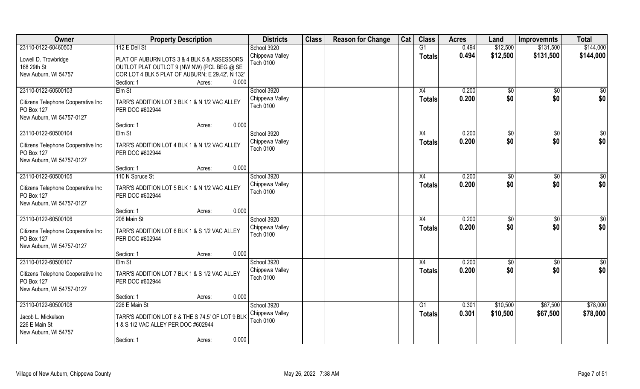| Owner                                            | <b>Property Description</b>                                      | <b>Districts</b> | <b>Class</b> | <b>Reason for Change</b> | Cat | <b>Class</b>    | <b>Acres</b> | Land          | <b>Improvemnts</b> | <b>Total</b>    |
|--------------------------------------------------|------------------------------------------------------------------|------------------|--------------|--------------------------|-----|-----------------|--------------|---------------|--------------------|-----------------|
| 23110-0122-60460503                              | 112 E Dell St                                                    | School 3920      |              |                          |     | $\overline{G1}$ | 0.494        | \$12,500      | \$131,500          | \$144,000       |
| Lowell D. Trowbridge                             | PLAT OF AUBURN LOTS 3 & 4 BLK 5 & ASSESSORS                      | Chippewa Valley  |              |                          |     | <b>Totals</b>   | 0.494        | \$12,500      | \$131,500          | \$144,000       |
| 168 29th St                                      | OUTLOT PLAT OUTLOT 9 (NW NW) (PCL BEG @ SE                       | Tech 0100        |              |                          |     |                 |              |               |                    |                 |
| New Auburn, WI 54757                             | COR LOT 4 BLK 5 PLAT OF AUBURN; E 29.42', N 132'                 |                  |              |                          |     |                 |              |               |                    |                 |
|                                                  | 0.000<br>Section: 1<br>Acres:                                    |                  |              |                          |     |                 |              |               |                    |                 |
| 23110-0122-60500103                              | Elm St                                                           | School 3920      |              |                          |     | X4              | 0.200        | $\sqrt{6}$    | \$0                | $\overline{50}$ |
| Citizens Telephone Cooperative Inc               | TARR'S ADDITION LOT 3 BLK 1 & N 1/2 VAC ALLEY                    | Chippewa Valley  |              |                          |     | <b>Totals</b>   | 0.200        | \$0           | \$0                | \$0             |
| PO Box 127                                       | PER DOC #602944                                                  | <b>Tech 0100</b> |              |                          |     |                 |              |               |                    |                 |
| New Auburn, WI 54757-0127                        |                                                                  |                  |              |                          |     |                 |              |               |                    |                 |
|                                                  | 0.000<br>Section: 1<br>Acres:                                    |                  |              |                          |     |                 |              |               |                    |                 |
| 23110-0122-60500104                              | Elm St                                                           | School 3920      |              |                          |     | X4              | 0.200        | \$0           | $\sqrt[6]{30}$     | \$0             |
| Citizens Telephone Cooperative Inc               | TARR'S ADDITION LOT 4 BLK 1 & N 1/2 VAC ALLEY                    | Chippewa Valley  |              |                          |     | <b>Totals</b>   | 0.200        | \$0           | \$0                | \$0             |
| PO Box 127                                       | PER DOC #602944                                                  | <b>Tech 0100</b> |              |                          |     |                 |              |               |                    |                 |
| New Auburn, WI 54757-0127                        |                                                                  |                  |              |                          |     |                 |              |               |                    |                 |
|                                                  | 0.000<br>Section: 1<br>Acres:                                    |                  |              |                          |     |                 |              |               |                    |                 |
| 23110-0122-60500105                              | 110 N Spruce St                                                  | School 3920      |              |                          |     | X4              | 0.200        | $\sqrt[6]{3}$ | $\sqrt[6]{}$       | $\sqrt{6}$      |
| Citizens Telephone Cooperative Inc               | TARR'S ADDITION LOT 5 BLK 1 & N 1/2 VAC ALLEY                    | Chippewa Valley  |              |                          |     | <b>Totals</b>   | 0.200        | \$0           | \$0                | \$0             |
| PO Box 127                                       | PER DOC #602944                                                  | <b>Tech 0100</b> |              |                          |     |                 |              |               |                    |                 |
| New Auburn, WI 54757-0127                        |                                                                  |                  |              |                          |     |                 |              |               |                    |                 |
|                                                  | 0.000<br>Section: 1<br>Acres:                                    |                  |              |                          |     |                 |              |               |                    |                 |
| 23110-0122-60500106                              | 206 Main St                                                      | School 3920      |              |                          |     | X4              | 0.200        | \$0           | $\sqrt[6]{30}$     | \$0             |
| Citizens Telephone Cooperative Inc               | TARR'S ADDITION LOT 6 BLK 1 & S 1/2 VAC ALLEY                    | Chippewa Valley  |              |                          |     | <b>Totals</b>   | 0.200        | \$0           | \$0                | \$0             |
| PO Box 127                                       | PER DOC #602944                                                  | <b>Tech 0100</b> |              |                          |     |                 |              |               |                    |                 |
| New Auburn, WI 54757-0127                        |                                                                  |                  |              |                          |     |                 |              |               |                    |                 |
|                                                  | 0.000<br>Section: 1<br>Acres:                                    |                  |              |                          |     |                 |              |               |                    |                 |
| 23110-0122-60500107                              | Elm St                                                           | School 3920      |              |                          |     | X4              | 0.200        | \$0           | \$0                | \$0             |
|                                                  |                                                                  | Chippewa Valley  |              |                          |     | <b>Totals</b>   | 0.200        | \$0           | \$0                | \$0             |
| Citizens Telephone Cooperative Inc<br>PO Box 127 | TARR'S ADDITION LOT 7 BLK 1 & S 1/2 VAC ALLEY<br>PER DOC #602944 | Tech 0100        |              |                          |     |                 |              |               |                    |                 |
| New Auburn, WI 54757-0127                        |                                                                  |                  |              |                          |     |                 |              |               |                    |                 |
|                                                  | 0.000<br>Section: 1<br>Acres:                                    |                  |              |                          |     |                 |              |               |                    |                 |
| 23110-0122-60500108                              | 226 E Main St                                                    | School 3920      |              |                          |     | G1              | 0.301        | \$10,500      | \$67,500           | \$78,000        |
| Jacob L. Mickelson                               | TARR'S ADDITION LOT 8 & THE S 74.5' OF LOT 9 BLK                 | Chippewa Valley  |              |                          |     | <b>Totals</b>   | 0.301        | \$10,500      | \$67,500           | \$78,000        |
| 226 E Main St                                    | 1 & S 1/2 VAC ALLEY PER DOC #602944                              | <b>Tech 0100</b> |              |                          |     |                 |              |               |                    |                 |
| New Auburn, WI 54757                             |                                                                  |                  |              |                          |     |                 |              |               |                    |                 |
|                                                  | 0.000<br>Section: 1<br>Acres:                                    |                  |              |                          |     |                 |              |               |                    |                 |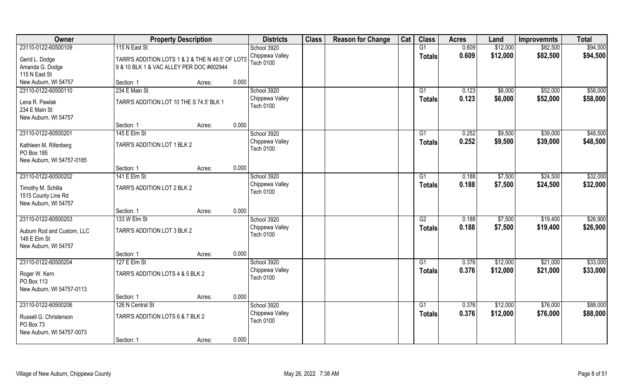| Owner                      | <b>Property Description</b>                      |        |       | <b>Districts</b> | <b>Class</b> | <b>Reason for Change</b> | Cat | <b>Class</b>    | <b>Acres</b> | Land     | <b>Improvemnts</b> | <b>Total</b> |
|----------------------------|--------------------------------------------------|--------|-------|------------------|--------------|--------------------------|-----|-----------------|--------------|----------|--------------------|--------------|
| 23110-0122-60500109        | 115 N East St                                    |        |       | School 3920      |              |                          |     | G1              | 0.609        | \$12,000 | \$82,500           | \$94,500     |
| Gerid L. Dodge             | TARR'S ADDITION LOTS 1 & 2 & THE N 49.5' OF LOTS |        |       | Chippewa Valley  |              |                          |     | <b>Totals</b>   | 0.609        | \$12,000 | \$82,500           | \$94,500     |
| Amanda G. Dodge            | 9 & 10 BLK 1 & VAC ALLEY PER DOC #602944         |        |       | <b>Tech 0100</b> |              |                          |     |                 |              |          |                    |              |
| 115 N East St              |                                                  |        |       |                  |              |                          |     |                 |              |          |                    |              |
| New Auburn, WI 54757       | Section: 1                                       | Acres: | 0.000 |                  |              |                          |     |                 |              |          |                    |              |
| 23110-0122-60500110        | 234 E Main St                                    |        |       | School 3920      |              |                          |     | G1              | 0.123        | \$6,000  | \$52,000           | \$58,000     |
| Lena R. Pawlak             | TARR'S ADDITION LOT 10 THE S 74.5' BLK 1         |        |       | Chippewa Valley  |              |                          |     | <b>Totals</b>   | 0.123        | \$6,000  | \$52,000           | \$58,000     |
| 234 E Main St              |                                                  |        |       | <b>Tech 0100</b> |              |                          |     |                 |              |          |                    |              |
| New Auburn, WI 54757       |                                                  |        |       |                  |              |                          |     |                 |              |          |                    |              |
|                            | Section: 1                                       | Acres: | 0.000 |                  |              |                          |     |                 |              |          |                    |              |
| 23110-0122-60500201        | 145 E Elm St                                     |        |       | School 3920      |              |                          |     | G1              | 0.252        | \$9,500  | \$39,000           | \$48,500     |
| Kathleen M. Rifenberg      | TARR'S ADDITION LOT 1 BLK 2                      |        |       | Chippewa Valley  |              |                          |     | <b>Totals</b>   | 0.252        | \$9,500  | \$39,000           | \$48,500     |
| PO Box 185                 |                                                  |        |       | <b>Tech 0100</b> |              |                          |     |                 |              |          |                    |              |
| New Auburn, WI 54757-0185  |                                                  |        |       |                  |              |                          |     |                 |              |          |                    |              |
|                            | Section: 1                                       | Acres: | 0.000 |                  |              |                          |     |                 |              |          |                    |              |
| 23110-0122-60500202        | 141 E Elm St                                     |        |       | School 3920      |              |                          |     | G1              | 0.188        | \$7,500  | \$24,500           | \$32,000     |
| Timothy M. Schilla         | TARR'S ADDITION LOT 2 BLK 2                      |        |       | Chippewa Valley  |              |                          |     | <b>Totals</b>   | 0.188        | \$7,500  | \$24,500           | \$32,000     |
| 1515 County Line Rd        |                                                  |        |       | <b>Tech 0100</b> |              |                          |     |                 |              |          |                    |              |
| New Auburn, WI 54757       |                                                  |        |       |                  |              |                          |     |                 |              |          |                    |              |
|                            | Section: 1                                       | Acres: | 0.000 |                  |              |                          |     |                 |              |          |                    |              |
| 23110-0122-60500203        | 133 W Elm St                                     |        |       | School 3920      |              |                          |     | $\overline{G2}$ | 0.188        | \$7,500  | \$19,400           | \$26,900     |
| Auburn Rod and Custom, LLC | TARR'S ADDITION LOT 3 BLK 2                      |        |       | Chippewa Valley  |              |                          |     | <b>Totals</b>   | 0.188        | \$7,500  | \$19,400           | \$26,900     |
| 148 E Elm St               |                                                  |        |       | <b>Tech 0100</b> |              |                          |     |                 |              |          |                    |              |
| New Auburn, WI 54757       |                                                  |        |       |                  |              |                          |     |                 |              |          |                    |              |
|                            | Section: 1                                       | Acres: | 0.000 |                  |              |                          |     |                 |              |          |                    |              |
| 23110-0122-60500204        | 127 E Elm St                                     |        |       | School 3920      |              |                          |     | G1              | 0.376        | \$12,000 | \$21,000           | \$33,000     |
| Roger W. Kern              | TARR'S ADDITION LOTS 4 & 5 BLK 2                 |        |       | Chippewa Valley  |              |                          |     | <b>Totals</b>   | 0.376        | \$12,000 | \$21,000           | \$33,000     |
| PO Box 113                 |                                                  |        |       | <b>Tech 0100</b> |              |                          |     |                 |              |          |                    |              |
| New Auburn, WI 54757-0113  |                                                  |        |       |                  |              |                          |     |                 |              |          |                    |              |
|                            | Section: 1                                       | Acres: | 0.000 |                  |              |                          |     |                 |              |          |                    |              |
| 23110-0122-60500206        | 126 N Central St                                 |        |       | School 3920      |              |                          |     | G1              | 0.376        | \$12,000 | \$76,000           | \$88,000     |
| Russell G. Christenson     | TARR'S ADDITION LOTS 6 & 7 BLK 2                 |        |       | Chippewa Valley  |              |                          |     | <b>Totals</b>   | 0.376        | \$12,000 | \$76,000           | \$88,000     |
| PO Box 73                  |                                                  |        |       | <b>Tech 0100</b> |              |                          |     |                 |              |          |                    |              |
| New Auburn, WI 54757-0073  |                                                  |        |       |                  |              |                          |     |                 |              |          |                    |              |
|                            | Section: 1                                       | Acres: | 0.000 |                  |              |                          |     |                 |              |          |                    |              |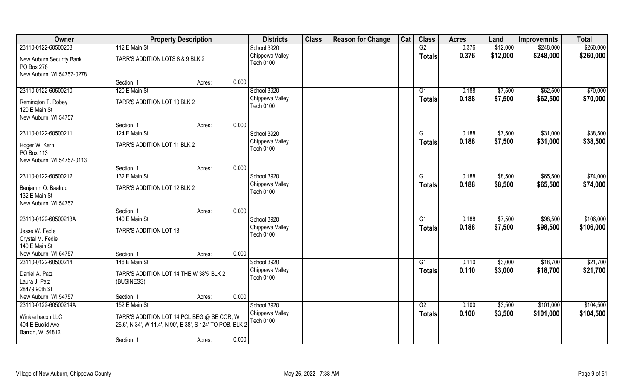| Owner                                  | <b>Property Description</b>                                                                             |                 | <b>Districts</b>                    | <b>Class</b> | <b>Reason for Change</b> | Cat | <b>Class</b>   | <b>Acres</b> | Land     | <b>Improvemnts</b> | <b>Total</b> |
|----------------------------------------|---------------------------------------------------------------------------------------------------------|-----------------|-------------------------------------|--------------|--------------------------|-----|----------------|--------------|----------|--------------------|--------------|
| 23110-0122-60500208                    | 112 E Main St                                                                                           |                 | School 3920                         |              |                          |     | G2             | 0.376        | \$12,000 | \$248,000          | \$260,000    |
| New Auburn Security Bank<br>PO Box 278 | TARR'S ADDITION LOTS 8 & 9 BLK 2                                                                        |                 | Chippewa Valley<br><b>Tech 0100</b> |              |                          |     | <b>Totals</b>  | 0.376        | \$12,000 | \$248,000          | \$260,000    |
| New Auburn, WI 54757-0278              |                                                                                                         |                 |                                     |              |                          |     |                |              |          |                    |              |
|                                        | Section: 1                                                                                              | Acres:          | 0.000                               |              |                          |     |                |              |          |                    |              |
| 23110-0122-60500210                    | 120 E Main St                                                                                           |                 | School 3920                         |              |                          |     | G <sub>1</sub> | 0.188        | \$7,500  | \$62,500           | \$70,000     |
| Remington T. Robey<br>120 E Main St    | TARR'S ADDITION LOT 10 BLK 2                                                                            |                 | Chippewa Valley<br><b>Tech 0100</b> |              |                          |     | <b>Totals</b>  | 0.188        | \$7,500  | \$62,500           | \$70,000     |
| New Auburn, WI 54757                   |                                                                                                         |                 |                                     |              |                          |     |                |              |          |                    |              |
|                                        | Section: 1                                                                                              | 0.000<br>Acres: |                                     |              |                          |     |                |              |          |                    |              |
| 23110-0122-60500211                    | 124 E Main St                                                                                           |                 | School 3920                         |              |                          |     | G1             | 0.188        | \$7,500  | \$31,000           | \$38,500     |
| Roger W. Kern<br>PO Box 113            | TARR'S ADDITION LOT 11 BLK 2                                                                            |                 | Chippewa Valley<br><b>Tech 0100</b> |              |                          |     | <b>Totals</b>  | 0.188        | \$7,500  | \$31,000           | \$38,500     |
| New Auburn, WI 54757-0113              |                                                                                                         |                 |                                     |              |                          |     |                |              |          |                    |              |
|                                        | Section: 1                                                                                              | 0.000<br>Acres: |                                     |              |                          |     |                |              |          |                    |              |
| 23110-0122-60500212                    | 132 E Main St                                                                                           |                 | School 3920                         |              |                          |     | G1             | 0.188        | \$8,500  | \$65,500           | \$74,000     |
| Benjamin O. Baalrud<br>132 E Main St   | TARR'S ADDITION LOT 12 BLK 2                                                                            |                 | Chippewa Valley<br><b>Tech 0100</b> |              |                          |     | <b>Totals</b>  | 0.188        | \$8,500  | \$65,500           | \$74,000     |
| New Auburn, WI 54757                   |                                                                                                         |                 |                                     |              |                          |     |                |              |          |                    |              |
|                                        | Section: 1                                                                                              | 0.000<br>Acres: |                                     |              |                          |     |                |              |          |                    |              |
| 23110-0122-60500213A                   | 140 E Main St                                                                                           |                 | School 3920                         |              |                          |     | G1             | 0.188        | \$7,500  | \$98,500           | \$106,000    |
| Jesse W. Fedie                         | TARR'S ADDITION LOT 13                                                                                  |                 | Chippewa Valley                     |              |                          |     | <b>Totals</b>  | 0.188        | \$7,500  | \$98,500           | \$106,000    |
| Crystal M. Fedie                       |                                                                                                         |                 | <b>Tech 0100</b>                    |              |                          |     |                |              |          |                    |              |
| 140 E Main St                          |                                                                                                         |                 |                                     |              |                          |     |                |              |          |                    |              |
| New Auburn, WI 54757                   | Section: 1                                                                                              | Acres:          | 0.000                               |              |                          |     |                |              |          |                    |              |
| 23110-0122-60500214                    | 146 E Main St                                                                                           |                 | School 3920                         |              |                          |     | G1             | 0.110        | \$3,000  | \$18,700           | \$21,700     |
| Daniel A. Patz<br>Laura J. Patz        | TARR'S ADDITION LOT 14 THE W 38'5' BLK 2<br>(BUSINESS)                                                  |                 | Chippewa Valley<br><b>Tech 0100</b> |              |                          |     | <b>Totals</b>  | 0.110        | \$3,000  | \$18,700           | \$21,700     |
| 28479 90th St                          |                                                                                                         |                 |                                     |              |                          |     |                |              |          |                    |              |
| New Auburn, WI 54757                   | Section: 1                                                                                              | Acres:          | 0.000                               |              |                          |     |                |              |          |                    |              |
| 23110-0122-60500214A                   | 152 E Main St                                                                                           |                 | School 3920                         |              |                          |     | G2             | 0.100        | \$3,500  | \$101,000          | \$104,500    |
| Winklerbacon LLC<br>404 E Euclid Ave   | TARR'S ADDITION LOT 14 PCL BEG @ SE COR; W<br>26.6', N 34', W 11.4', N 90', E 38', S 124' TO POB. BLK 2 |                 | Chippewa Valley<br><b>Tech 0100</b> |              |                          |     | <b>Totals</b>  | 0.100        | \$3,500  | \$101,000          | \$104,500    |
| Barron, WI 54812                       |                                                                                                         |                 |                                     |              |                          |     |                |              |          |                    |              |
|                                        | Section: 1                                                                                              | Acres:          | 0.000                               |              |                          |     |                |              |          |                    |              |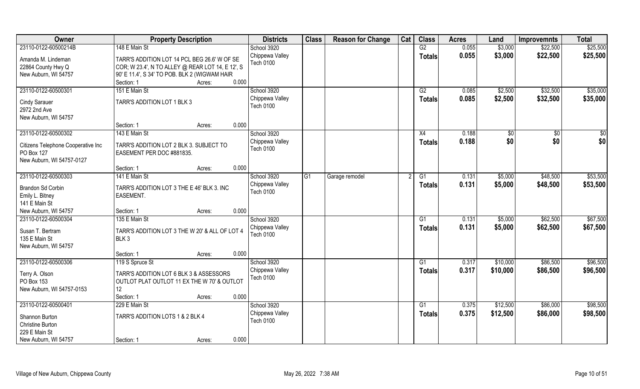| Owner                                                                            | <b>Property Description</b>                                                                                                                                     |                 | <b>Districts</b>                                   | <b>Class</b> | <b>Reason for Change</b> | Cat | <b>Class</b>        | <b>Acres</b>   | Land               | <b>Improvemnts</b>   | <b>Total</b>         |
|----------------------------------------------------------------------------------|-----------------------------------------------------------------------------------------------------------------------------------------------------------------|-----------------|----------------------------------------------------|--------------|--------------------------|-----|---------------------|----------------|--------------------|----------------------|----------------------|
| 23110-0122-60500214B                                                             | 148 E Main St                                                                                                                                                   |                 | School 3920                                        |              |                          |     | $\overline{G2}$     | 0.055          | \$3,000            | \$22,500             | \$25,500             |
| Amanda M. Lindeman<br>22864 County Hwy Q<br>New Auburn, WI 54757                 | TARR'S ADDITION LOT 14 PCL BEG 26.6' W OF SE<br>COR; W 23.4', N TO ALLEY @ REAR LOT 14, E 12', S<br>90' E 11.4', S 34' TO POB. BLK 2 (WIGWAM HAIR<br>Section: 1 | 0.000<br>Acres: | Chippewa Valley<br>Tech 0100                       |              |                          |     | <b>Totals</b>       | 0.055          | \$3,000            | \$22,500             | \$25,500             |
| 23110-0122-60500301                                                              | 151 E Main St                                                                                                                                                   |                 | School 3920                                        |              |                          |     | G2                  | 0.085          | \$2,500            | \$32,500             | \$35,000             |
| <b>Cindy Sarauer</b><br>2972 2nd Ave<br>New Auburn, WI 54757                     | TARR'S ADDITION LOT 1 BLK 3                                                                                                                                     |                 | Chippewa Valley<br><b>Tech 0100</b>                |              |                          |     | <b>Totals</b>       | 0.085          | \$2,500            | \$32,500             | \$35,000             |
|                                                                                  | Section: 1                                                                                                                                                      | 0.000<br>Acres: |                                                    |              |                          |     |                     |                |                    |                      |                      |
| 23110-0122-60500302                                                              | 143 E Main St                                                                                                                                                   |                 | School 3920                                        |              |                          |     | X4                  | 0.188          | \$0                | $\sqrt[6]{}$         | \$0                  |
| Citizens Telephone Cooperative Inc<br>PO Box 127<br>New Auburn, WI 54757-0127    | TARR'S ADDITION LOT 2 BLK 3. SUBJECT TO<br>EASEMENT PER DOC #881835.                                                                                            |                 | Chippewa Valley<br><b>Tech 0100</b>                |              |                          |     | <b>Totals</b>       | 0.188          | \$0                | \$0                  | \$0                  |
|                                                                                  | Section: 1                                                                                                                                                      | 0.000<br>Acres: |                                                    |              |                          |     |                     |                |                    |                      |                      |
| 23110-0122-60500303                                                              | 141 E Main St                                                                                                                                                   |                 | School 3920                                        | G1           | Garage remodel           |     | G1                  | 0.131          | \$5,000            | \$48,500             | \$53,500             |
| <b>Brandon Sd Corbin</b><br>Emily L. Bitney<br>141 E Main St                     | TARR'S ADDITION LOT 3 THE E 46' BLK 3. INC<br>EASEMENT.                                                                                                         |                 | Chippewa Valley<br><b>Tech 0100</b>                |              |                          |     | <b>Totals</b>       | 0.131          | \$5,000            | \$48,500             | \$53,500             |
| New Auburn, WI 54757                                                             | Section: 1                                                                                                                                                      | 0.000<br>Acres: |                                                    |              |                          |     |                     |                |                    |                      |                      |
| 23110-0122-60500304<br>Susan T. Bertram<br>135 E Main St<br>New Auburn, WI 54757 | 135 E Main St<br>TARR'S ADDITION LOT 3 THE W 20' & ALL OF LOT 4<br>BLK <sub>3</sub>                                                                             |                 | School 3920<br>Chippewa Valley<br><b>Tech 0100</b> |              |                          |     | G1<br><b>Totals</b> | 0.131<br>0.131 | \$5,000<br>\$5,000 | \$62,500<br>\$62,500 | \$67,500<br>\$67,500 |
|                                                                                  | Section: 1                                                                                                                                                      | 0.000<br>Acres: |                                                    |              |                          |     |                     |                |                    |                      |                      |
| 23110-0122-60500306                                                              | 119 S Spruce St                                                                                                                                                 |                 | School 3920                                        |              |                          |     | G1                  | 0.317          | \$10,000           | \$86,500             | \$96,500             |
| Terry A. Olson<br>PO Box 153<br>New Auburn, WI 54757-0153                        | TARR'S ADDITION LOT 6 BLK 3 & ASSESSORS<br>OUTLOT PLAT OUTLOT 11 EX THE W 70' & OUTLOT<br>12 <sup>°</sup><br>Section: 1                                         | 0.000<br>Acres: | Chippewa Valley<br>Tech 0100                       |              |                          |     | <b>Totals</b>       | 0.317          | \$10,000           | \$86,500             | \$96,500             |
| 23110-0122-60500401                                                              | 229 E Main St                                                                                                                                                   |                 | School 3920                                        |              |                          |     | $\overline{G1}$     | 0.375          | \$12,500           | \$86,000             | \$98,500             |
| Shannon Burton<br><b>Christine Burton</b><br>229 E Main St                       | TARR'S ADDITION LOTS 1 & 2 BLK 4                                                                                                                                |                 | Chippewa Valley<br><b>Tech 0100</b>                |              |                          |     | <b>Totals</b>       | 0.375          | \$12,500           | \$86,000             | \$98,500             |
| New Auburn, WI 54757                                                             | Section: 1                                                                                                                                                      | 0.000<br>Acres: |                                                    |              |                          |     |                     |                |                    |                      |                      |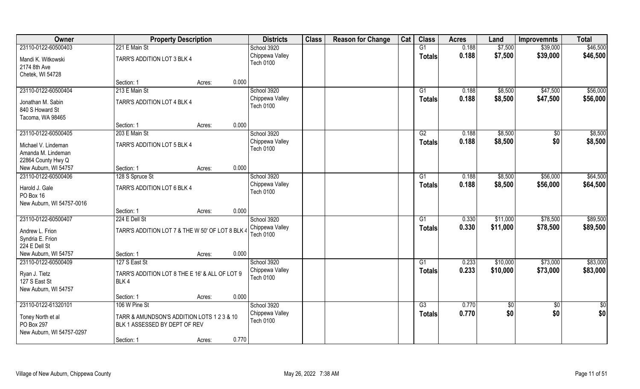| 0.188<br>\$7,500<br>\$46,500<br>23110-0122-60500403<br>221 E Main St<br>G1<br>\$39,000<br>School 3920<br>Chippewa Valley<br>0.188<br>\$7,500<br>\$39,000<br>\$46,500<br><b>Totals</b><br>TARR'S ADDITION LOT 3 BLK 4<br>Mandi K. Witkowski<br><b>Tech 0100</b><br>2174 8th Ave<br>Chetek, WI 54728<br>0.000<br>Section: 1<br>Acres:<br>23110-0122-60500404<br>213 E Main St<br>School 3920<br>\$8,500<br>\$47,500<br>G1<br>0.188<br>Chippewa Valley<br>0.188<br>\$8,500<br>\$47,500<br>Totals<br>TARR'S ADDITION LOT 4 BLK 4<br>Jonathan M. Sabin<br><b>Tech 0100</b><br>840 S Howard St<br>Tacoma, WA 98465<br>0.000<br>Section: 1<br>Acres:<br>23110-0122-60500405<br>School 3920<br>G2<br>0.188<br>\$8,500<br>\$0<br>203 E Main St<br>\$0<br>Chippewa Valley<br>0.188<br>\$8,500<br><b>Totals</b><br>TARR'S ADDITION LOT 5 BLK 4<br>Michael V. Lindeman<br><b>Tech 0100</b><br>Amanda M. Lindeman<br>22864 County Hwy Q<br>0.000<br>New Auburn, WI 54757<br>Section: 1<br>Acres:<br>School 3920<br>\$56,000<br>23110-0122-60500406<br>\$8,500<br>128 S Spruce St<br>G1<br>0.188<br>Chippewa Valley<br>0.188<br>\$8,500<br>\$56,000<br><b>Totals</b><br>Harold J. Gale<br>TARR'S ADDITION LOT 6 BLK 4<br><b>Tech 0100</b><br>PO Box 16<br>New Auburn, WI 54757-0016<br>0.000<br>Section: 1<br>Acres:<br>23110-0122-60500407<br>224 E Dell St<br>School 3920<br>$\overline{G1}$<br>0.330<br>\$11,000<br>\$78,500<br>0.330<br>\$11,000<br>\$78,500<br>Chippewa Valley<br>Totals<br>TARR'S ADDITION LOT 7 & THE W 50' OF LOT 8 BLK<br>Andrew L. Frion<br><b>Tech 0100</b><br>Syndria E. Frion<br>224 E Dell St<br>New Auburn, WI 54757<br>0.000<br>Section: 1<br>Acres:<br>23110-0122-60500409<br>School 3920<br>\$73,000<br>127 S East St<br>0.233<br>\$10,000<br>G1<br>0.233<br>\$10,000<br>Chippewa Valley<br>\$73,000<br><b>Totals</b><br>TARR'S ADDITION LOT 8 THE E 16' & ALL OF LOT 9<br>Ryan J. Tietz<br><b>Tech 0100</b><br>127 S East St<br>BLK4<br>New Auburn, WI 54757<br>0.000<br>Section: 1<br>Acres:<br>23110-0122-61320101<br>School 3920<br>106 W Pine St<br>$\overline{G3}$<br>0.770<br>$\overline{50}$<br>$\sqrt{6}$<br>\$0<br>0.770<br>Chippewa Valley<br>\$0<br><b>Totals</b><br>Toney North et al<br>TARR & AMUNDSON'S ADDITION LOTS 1 2 3 & 10<br><b>Tech 0100</b><br>PO Box 297<br>BLK 1 ASSESSED BY DEPT OF REV<br>New Auburn, WI 54757-0297<br>0.770 | Owner | <b>Property Description</b> |        | <b>Districts</b> | <b>Class</b> | <b>Reason for Change</b> | Cat | <b>Class</b> | <b>Acres</b> | Land | <b>Improvemnts</b> | <b>Total</b> |
|-------------------------------------------------------------------------------------------------------------------------------------------------------------------------------------------------------------------------------------------------------------------------------------------------------------------------------------------------------------------------------------------------------------------------------------------------------------------------------------------------------------------------------------------------------------------------------------------------------------------------------------------------------------------------------------------------------------------------------------------------------------------------------------------------------------------------------------------------------------------------------------------------------------------------------------------------------------------------------------------------------------------------------------------------------------------------------------------------------------------------------------------------------------------------------------------------------------------------------------------------------------------------------------------------------------------------------------------------------------------------------------------------------------------------------------------------------------------------------------------------------------------------------------------------------------------------------------------------------------------------------------------------------------------------------------------------------------------------------------------------------------------------------------------------------------------------------------------------------------------------------------------------------------------------------------------------------------------------------------------------------------------------------------------------------------------------------------------------------------------------------------------------------------------------------------------------------------------------------------------------------------------------------------------------------------------------------------------------------------------------------|-------|-----------------------------|--------|------------------|--------------|--------------------------|-----|--------------|--------------|------|--------------------|--------------|
|                                                                                                                                                                                                                                                                                                                                                                                                                                                                                                                                                                                                                                                                                                                                                                                                                                                                                                                                                                                                                                                                                                                                                                                                                                                                                                                                                                                                                                                                                                                                                                                                                                                                                                                                                                                                                                                                                                                                                                                                                                                                                                                                                                                                                                                                                                                                                                               |       |                             |        |                  |              |                          |     |              |              |      |                    |              |
| \$56,000<br>\$56,000<br>\$8,500<br>\$8,500<br>\$64,500<br>\$64,500<br>\$89,500<br>\$89,500<br>\$83,000<br>\$83,000<br>$\frac{1}{2}$<br>\$0                                                                                                                                                                                                                                                                                                                                                                                                                                                                                                                                                                                                                                                                                                                                                                                                                                                                                                                                                                                                                                                                                                                                                                                                                                                                                                                                                                                                                                                                                                                                                                                                                                                                                                                                                                                                                                                                                                                                                                                                                                                                                                                                                                                                                                    |       |                             |        |                  |              |                          |     |              |              |      |                    |              |
|                                                                                                                                                                                                                                                                                                                                                                                                                                                                                                                                                                                                                                                                                                                                                                                                                                                                                                                                                                                                                                                                                                                                                                                                                                                                                                                                                                                                                                                                                                                                                                                                                                                                                                                                                                                                                                                                                                                                                                                                                                                                                                                                                                                                                                                                                                                                                                               |       |                             |        |                  |              |                          |     |              |              |      |                    |              |
|                                                                                                                                                                                                                                                                                                                                                                                                                                                                                                                                                                                                                                                                                                                                                                                                                                                                                                                                                                                                                                                                                                                                                                                                                                                                                                                                                                                                                                                                                                                                                                                                                                                                                                                                                                                                                                                                                                                                                                                                                                                                                                                                                                                                                                                                                                                                                                               |       |                             |        |                  |              |                          |     |              |              |      |                    |              |
|                                                                                                                                                                                                                                                                                                                                                                                                                                                                                                                                                                                                                                                                                                                                                                                                                                                                                                                                                                                                                                                                                                                                                                                                                                                                                                                                                                                                                                                                                                                                                                                                                                                                                                                                                                                                                                                                                                                                                                                                                                                                                                                                                                                                                                                                                                                                                                               |       |                             |        |                  |              |                          |     |              |              |      |                    |              |
|                                                                                                                                                                                                                                                                                                                                                                                                                                                                                                                                                                                                                                                                                                                                                                                                                                                                                                                                                                                                                                                                                                                                                                                                                                                                                                                                                                                                                                                                                                                                                                                                                                                                                                                                                                                                                                                                                                                                                                                                                                                                                                                                                                                                                                                                                                                                                                               |       |                             |        |                  |              |                          |     |              |              |      |                    |              |
|                                                                                                                                                                                                                                                                                                                                                                                                                                                                                                                                                                                                                                                                                                                                                                                                                                                                                                                                                                                                                                                                                                                                                                                                                                                                                                                                                                                                                                                                                                                                                                                                                                                                                                                                                                                                                                                                                                                                                                                                                                                                                                                                                                                                                                                                                                                                                                               |       |                             |        |                  |              |                          |     |              |              |      |                    |              |
|                                                                                                                                                                                                                                                                                                                                                                                                                                                                                                                                                                                                                                                                                                                                                                                                                                                                                                                                                                                                                                                                                                                                                                                                                                                                                                                                                                                                                                                                                                                                                                                                                                                                                                                                                                                                                                                                                                                                                                                                                                                                                                                                                                                                                                                                                                                                                                               |       |                             |        |                  |              |                          |     |              |              |      |                    |              |
|                                                                                                                                                                                                                                                                                                                                                                                                                                                                                                                                                                                                                                                                                                                                                                                                                                                                                                                                                                                                                                                                                                                                                                                                                                                                                                                                                                                                                                                                                                                                                                                                                                                                                                                                                                                                                                                                                                                                                                                                                                                                                                                                                                                                                                                                                                                                                                               |       |                             |        |                  |              |                          |     |              |              |      |                    |              |
|                                                                                                                                                                                                                                                                                                                                                                                                                                                                                                                                                                                                                                                                                                                                                                                                                                                                                                                                                                                                                                                                                                                                                                                                                                                                                                                                                                                                                                                                                                                                                                                                                                                                                                                                                                                                                                                                                                                                                                                                                                                                                                                                                                                                                                                                                                                                                                               |       |                             |        |                  |              |                          |     |              |              |      |                    |              |
|                                                                                                                                                                                                                                                                                                                                                                                                                                                                                                                                                                                                                                                                                                                                                                                                                                                                                                                                                                                                                                                                                                                                                                                                                                                                                                                                                                                                                                                                                                                                                                                                                                                                                                                                                                                                                                                                                                                                                                                                                                                                                                                                                                                                                                                                                                                                                                               |       |                             |        |                  |              |                          |     |              |              |      |                    |              |
|                                                                                                                                                                                                                                                                                                                                                                                                                                                                                                                                                                                                                                                                                                                                                                                                                                                                                                                                                                                                                                                                                                                                                                                                                                                                                                                                                                                                                                                                                                                                                                                                                                                                                                                                                                                                                                                                                                                                                                                                                                                                                                                                                                                                                                                                                                                                                                               |       |                             |        |                  |              |                          |     |              |              |      |                    |              |
|                                                                                                                                                                                                                                                                                                                                                                                                                                                                                                                                                                                                                                                                                                                                                                                                                                                                                                                                                                                                                                                                                                                                                                                                                                                                                                                                                                                                                                                                                                                                                                                                                                                                                                                                                                                                                                                                                                                                                                                                                                                                                                                                                                                                                                                                                                                                                                               |       |                             |        |                  |              |                          |     |              |              |      |                    |              |
|                                                                                                                                                                                                                                                                                                                                                                                                                                                                                                                                                                                                                                                                                                                                                                                                                                                                                                                                                                                                                                                                                                                                                                                                                                                                                                                                                                                                                                                                                                                                                                                                                                                                                                                                                                                                                                                                                                                                                                                                                                                                                                                                                                                                                                                                                                                                                                               |       |                             |        |                  |              |                          |     |              |              |      |                    |              |
|                                                                                                                                                                                                                                                                                                                                                                                                                                                                                                                                                                                                                                                                                                                                                                                                                                                                                                                                                                                                                                                                                                                                                                                                                                                                                                                                                                                                                                                                                                                                                                                                                                                                                                                                                                                                                                                                                                                                                                                                                                                                                                                                                                                                                                                                                                                                                                               |       |                             |        |                  |              |                          |     |              |              |      |                    |              |
|                                                                                                                                                                                                                                                                                                                                                                                                                                                                                                                                                                                                                                                                                                                                                                                                                                                                                                                                                                                                                                                                                                                                                                                                                                                                                                                                                                                                                                                                                                                                                                                                                                                                                                                                                                                                                                                                                                                                                                                                                                                                                                                                                                                                                                                                                                                                                                               |       |                             |        |                  |              |                          |     |              |              |      |                    |              |
|                                                                                                                                                                                                                                                                                                                                                                                                                                                                                                                                                                                                                                                                                                                                                                                                                                                                                                                                                                                                                                                                                                                                                                                                                                                                                                                                                                                                                                                                                                                                                                                                                                                                                                                                                                                                                                                                                                                                                                                                                                                                                                                                                                                                                                                                                                                                                                               |       |                             |        |                  |              |                          |     |              |              |      |                    |              |
|                                                                                                                                                                                                                                                                                                                                                                                                                                                                                                                                                                                                                                                                                                                                                                                                                                                                                                                                                                                                                                                                                                                                                                                                                                                                                                                                                                                                                                                                                                                                                                                                                                                                                                                                                                                                                                                                                                                                                                                                                                                                                                                                                                                                                                                                                                                                                                               |       |                             |        |                  |              |                          |     |              |              |      |                    |              |
|                                                                                                                                                                                                                                                                                                                                                                                                                                                                                                                                                                                                                                                                                                                                                                                                                                                                                                                                                                                                                                                                                                                                                                                                                                                                                                                                                                                                                                                                                                                                                                                                                                                                                                                                                                                                                                                                                                                                                                                                                                                                                                                                                                                                                                                                                                                                                                               |       |                             |        |                  |              |                          |     |              |              |      |                    |              |
|                                                                                                                                                                                                                                                                                                                                                                                                                                                                                                                                                                                                                                                                                                                                                                                                                                                                                                                                                                                                                                                                                                                                                                                                                                                                                                                                                                                                                                                                                                                                                                                                                                                                                                                                                                                                                                                                                                                                                                                                                                                                                                                                                                                                                                                                                                                                                                               |       |                             |        |                  |              |                          |     |              |              |      |                    |              |
|                                                                                                                                                                                                                                                                                                                                                                                                                                                                                                                                                                                                                                                                                                                                                                                                                                                                                                                                                                                                                                                                                                                                                                                                                                                                                                                                                                                                                                                                                                                                                                                                                                                                                                                                                                                                                                                                                                                                                                                                                                                                                                                                                                                                                                                                                                                                                                               |       |                             |        |                  |              |                          |     |              |              |      |                    |              |
|                                                                                                                                                                                                                                                                                                                                                                                                                                                                                                                                                                                                                                                                                                                                                                                                                                                                                                                                                                                                                                                                                                                                                                                                                                                                                                                                                                                                                                                                                                                                                                                                                                                                                                                                                                                                                                                                                                                                                                                                                                                                                                                                                                                                                                                                                                                                                                               |       |                             |        |                  |              |                          |     |              |              |      |                    |              |
|                                                                                                                                                                                                                                                                                                                                                                                                                                                                                                                                                                                                                                                                                                                                                                                                                                                                                                                                                                                                                                                                                                                                                                                                                                                                                                                                                                                                                                                                                                                                                                                                                                                                                                                                                                                                                                                                                                                                                                                                                                                                                                                                                                                                                                                                                                                                                                               |       |                             |        |                  |              |                          |     |              |              |      |                    |              |
|                                                                                                                                                                                                                                                                                                                                                                                                                                                                                                                                                                                                                                                                                                                                                                                                                                                                                                                                                                                                                                                                                                                                                                                                                                                                                                                                                                                                                                                                                                                                                                                                                                                                                                                                                                                                                                                                                                                                                                                                                                                                                                                                                                                                                                                                                                                                                                               |       |                             |        |                  |              |                          |     |              |              |      |                    |              |
|                                                                                                                                                                                                                                                                                                                                                                                                                                                                                                                                                                                                                                                                                                                                                                                                                                                                                                                                                                                                                                                                                                                                                                                                                                                                                                                                                                                                                                                                                                                                                                                                                                                                                                                                                                                                                                                                                                                                                                                                                                                                                                                                                                                                                                                                                                                                                                               |       |                             |        |                  |              |                          |     |              |              |      |                    |              |
|                                                                                                                                                                                                                                                                                                                                                                                                                                                                                                                                                                                                                                                                                                                                                                                                                                                                                                                                                                                                                                                                                                                                                                                                                                                                                                                                                                                                                                                                                                                                                                                                                                                                                                                                                                                                                                                                                                                                                                                                                                                                                                                                                                                                                                                                                                                                                                               |       |                             |        |                  |              |                          |     |              |              |      |                    |              |
|                                                                                                                                                                                                                                                                                                                                                                                                                                                                                                                                                                                                                                                                                                                                                                                                                                                                                                                                                                                                                                                                                                                                                                                                                                                                                                                                                                                                                                                                                                                                                                                                                                                                                                                                                                                                                                                                                                                                                                                                                                                                                                                                                                                                                                                                                                                                                                               |       |                             |        |                  |              |                          |     |              |              |      |                    |              |
|                                                                                                                                                                                                                                                                                                                                                                                                                                                                                                                                                                                                                                                                                                                                                                                                                                                                                                                                                                                                                                                                                                                                                                                                                                                                                                                                                                                                                                                                                                                                                                                                                                                                                                                                                                                                                                                                                                                                                                                                                                                                                                                                                                                                                                                                                                                                                                               |       |                             |        |                  |              |                          |     |              |              |      |                    |              |
|                                                                                                                                                                                                                                                                                                                                                                                                                                                                                                                                                                                                                                                                                                                                                                                                                                                                                                                                                                                                                                                                                                                                                                                                                                                                                                                                                                                                                                                                                                                                                                                                                                                                                                                                                                                                                                                                                                                                                                                                                                                                                                                                                                                                                                                                                                                                                                               |       |                             |        |                  |              |                          |     |              |              |      |                    |              |
|                                                                                                                                                                                                                                                                                                                                                                                                                                                                                                                                                                                                                                                                                                                                                                                                                                                                                                                                                                                                                                                                                                                                                                                                                                                                                                                                                                                                                                                                                                                                                                                                                                                                                                                                                                                                                                                                                                                                                                                                                                                                                                                                                                                                                                                                                                                                                                               |       |                             |        |                  |              |                          |     |              |              |      |                    |              |
|                                                                                                                                                                                                                                                                                                                                                                                                                                                                                                                                                                                                                                                                                                                                                                                                                                                                                                                                                                                                                                                                                                                                                                                                                                                                                                                                                                                                                                                                                                                                                                                                                                                                                                                                                                                                                                                                                                                                                                                                                                                                                                                                                                                                                                                                                                                                                                               |       |                             |        |                  |              |                          |     |              |              |      |                    |              |
|                                                                                                                                                                                                                                                                                                                                                                                                                                                                                                                                                                                                                                                                                                                                                                                                                                                                                                                                                                                                                                                                                                                                                                                                                                                                                                                                                                                                                                                                                                                                                                                                                                                                                                                                                                                                                                                                                                                                                                                                                                                                                                                                                                                                                                                                                                                                                                               |       |                             |        |                  |              |                          |     |              |              |      |                    |              |
|                                                                                                                                                                                                                                                                                                                                                                                                                                                                                                                                                                                                                                                                                                                                                                                                                                                                                                                                                                                                                                                                                                                                                                                                                                                                                                                                                                                                                                                                                                                                                                                                                                                                                                                                                                                                                                                                                                                                                                                                                                                                                                                                                                                                                                                                                                                                                                               |       |                             |        |                  |              |                          |     |              |              |      |                    |              |
|                                                                                                                                                                                                                                                                                                                                                                                                                                                                                                                                                                                                                                                                                                                                                                                                                                                                                                                                                                                                                                                                                                                                                                                                                                                                                                                                                                                                                                                                                                                                                                                                                                                                                                                                                                                                                                                                                                                                                                                                                                                                                                                                                                                                                                                                                                                                                                               |       |                             |        |                  |              |                          |     |              |              |      |                    |              |
|                                                                                                                                                                                                                                                                                                                                                                                                                                                                                                                                                                                                                                                                                                                                                                                                                                                                                                                                                                                                                                                                                                                                                                                                                                                                                                                                                                                                                                                                                                                                                                                                                                                                                                                                                                                                                                                                                                                                                                                                                                                                                                                                                                                                                                                                                                                                                                               |       |                             |        |                  |              |                          |     |              |              |      |                    |              |
|                                                                                                                                                                                                                                                                                                                                                                                                                                                                                                                                                                                                                                                                                                                                                                                                                                                                                                                                                                                                                                                                                                                                                                                                                                                                                                                                                                                                                                                                                                                                                                                                                                                                                                                                                                                                                                                                                                                                                                                                                                                                                                                                                                                                                                                                                                                                                                               |       |                             |        |                  |              |                          |     |              |              |      |                    |              |
|                                                                                                                                                                                                                                                                                                                                                                                                                                                                                                                                                                                                                                                                                                                                                                                                                                                                                                                                                                                                                                                                                                                                                                                                                                                                                                                                                                                                                                                                                                                                                                                                                                                                                                                                                                                                                                                                                                                                                                                                                                                                                                                                                                                                                                                                                                                                                                               |       | Section: 1                  | Acres: |                  |              |                          |     |              |              |      |                    |              |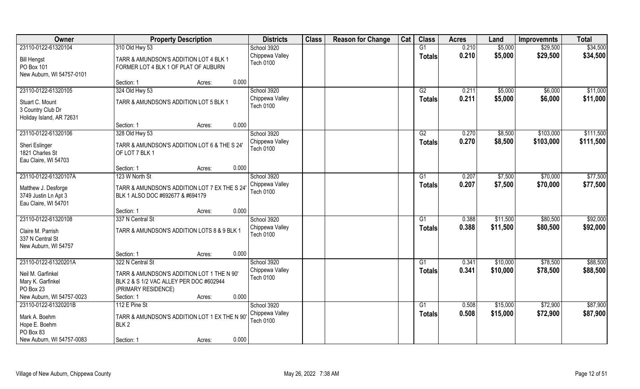| Owner                                | <b>Property Description</b>                  | <b>Districts</b>                    | <b>Class</b> | <b>Reason for Change</b> | Cat | <b>Class</b>    | <b>Acres</b> | Land     | <b>Improvemnts</b> | <b>Total</b> |
|--------------------------------------|----------------------------------------------|-------------------------------------|--------------|--------------------------|-----|-----------------|--------------|----------|--------------------|--------------|
| 23110-0122-61320104                  | 310 Old Hwy 53                               | School 3920                         |              |                          |     | G1              | 0.210        | \$5,000  | \$29,500           | \$34,500     |
| <b>Bill Hengst</b>                   | TARR & AMUNDSON'S ADDITION LOT 4 BLK 1       | Chippewa Valley                     |              |                          |     | <b>Totals</b>   | 0.210        | \$5,000  | \$29,500           | \$34,500     |
| PO Box 101                           | FORMER LOT 4 BLK 1 OF PLAT OF AUBURN         | <b>Tech 0100</b>                    |              |                          |     |                 |              |          |                    |              |
| New Auburn, WI 54757-0101            |                                              |                                     |              |                          |     |                 |              |          |                    |              |
|                                      | 0.000<br>Section: 1<br>Acres:                |                                     |              |                          |     |                 |              |          |                    |              |
| 23110-0122-61320105                  | 324 Old Hwy 53                               | School 3920                         |              |                          |     | G2              | 0.211        | \$5,000  | \$6,000            | \$11,000     |
|                                      | TARR & AMUNDSON'S ADDITION LOT 5 BLK 1       | Chippewa Valley                     |              |                          |     | <b>Totals</b>   | 0.211        | \$5,000  | \$6,000            | \$11,000     |
| Stuart C. Mount<br>3 Country Club Dr |                                              | <b>Tech 0100</b>                    |              |                          |     |                 |              |          |                    |              |
| Holiday Island, AR 72631             |                                              |                                     |              |                          |     |                 |              |          |                    |              |
|                                      | 0.000<br>Section: 1<br>Acres:                |                                     |              |                          |     |                 |              |          |                    |              |
| 23110-0122-61320106                  | 328 Old Hwy 53                               | School 3920                         |              |                          |     | G2              | 0.270        | \$8,500  | \$103,000          | \$111,500    |
|                                      |                                              | Chippewa Valley                     |              |                          |     | <b>Totals</b>   | 0.270        | \$8,500  | \$103,000          | \$111,500    |
| Sheri Eslinger                       | TARR & AMUNDSON'S ADDITION LOT 6 & THE S 24' | <b>Tech 0100</b>                    |              |                          |     |                 |              |          |                    |              |
| 1821 Charles St                      | OF LOT 7 BLK 1                               |                                     |              |                          |     |                 |              |          |                    |              |
| Eau Claire, WI 54703                 | 0.000<br>Section: 1<br>Acres:                |                                     |              |                          |     |                 |              |          |                    |              |
| 23110-0122-61320107A                 | 123 W North St                               | School 3920                         |              |                          |     | G <sub>1</sub>  | 0.207        | \$7,500  | \$70,000           | \$77,500     |
|                                      |                                              | Chippewa Valley                     |              |                          |     |                 | 0.207        | \$7,500  | \$70,000           | \$77,500     |
| Matthew J. Desforge                  | TARR & AMUNDSON'S ADDITION LOT 7 EX THE S 24 | <b>Tech 0100</b>                    |              |                          |     | <b>Totals</b>   |              |          |                    |              |
| 3749 Justin Ln Apt 3                 | BLK 1 ALSO DOC #692677 & #694179             |                                     |              |                          |     |                 |              |          |                    |              |
| Eau Claire, WI 54701                 |                                              |                                     |              |                          |     |                 |              |          |                    |              |
|                                      | 0.000<br>Section: 1<br>Acres:                |                                     |              |                          |     |                 |              |          |                    |              |
| 23110-0122-61320108                  | 337 N Central St                             | School 3920                         |              |                          |     | G1              | 0.388        | \$11,500 | \$80,500           | \$92,000     |
| Claire M. Parrish                    | TARR & AMUNDSON'S ADDITION LOTS 8 & 9 BLK 1  | Chippewa Valley<br><b>Tech 0100</b> |              |                          |     | <b>Totals</b>   | 0.388        | \$11,500 | \$80,500           | \$92,000     |
| 337 N Central St                     |                                              |                                     |              |                          |     |                 |              |          |                    |              |
| New Auburn, WI 54757                 |                                              |                                     |              |                          |     |                 |              |          |                    |              |
|                                      | 0.000<br>Section: 1<br>Acres:                |                                     |              |                          |     |                 |              |          |                    |              |
| 23110-0122-61320201A                 | 322 N Central St                             | School 3920                         |              |                          |     | G1              | 0.341        | \$10,000 | \$78,500           | \$88,500     |
| Neil M. Garfinkel                    | TARR & AMUNDSON'S ADDITION LOT 1 THE N 90'   | Chippewa Valley                     |              |                          |     | <b>Totals</b>   | 0.341        | \$10,000 | \$78,500           | \$88,500     |
| Mary K. Garfinkel                    | BLK 2 & S 1/2 VAC ALLEY PER DOC #602944      | <b>Tech 0100</b>                    |              |                          |     |                 |              |          |                    |              |
| PO Box 23                            | (PRIMARY RESIDENCE)                          |                                     |              |                          |     |                 |              |          |                    |              |
| New Auburn, WI 54757-0023            | 0.000<br>Section: 1<br>Acres:                |                                     |              |                          |     |                 |              |          |                    |              |
| 23110-0122-61320201B                 | 112 E Pine St                                | School 3920                         |              |                          |     | $\overline{G1}$ | 0.508        | \$15,000 | \$72,900           | \$87,900     |
| Mark A. Boehm                        | TARR & AMUNDSON'S ADDITION LOT 1 EX THE N 90 | Chippewa Valley                     |              |                          |     | <b>Totals</b>   | 0.508        | \$15,000 | \$72,900           | \$87,900     |
| Hope E. Boehm                        | BLK <sub>2</sub>                             | <b>Tech 0100</b>                    |              |                          |     |                 |              |          |                    |              |
| PO Box 83                            |                                              |                                     |              |                          |     |                 |              |          |                    |              |
| New Auburn, WI 54757-0083            | 0.000<br>Section: 1<br>Acres:                |                                     |              |                          |     |                 |              |          |                    |              |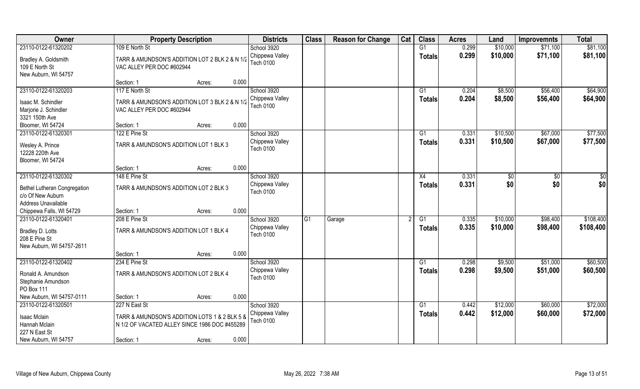| Owner                                                    | <b>Property Description</b>                    | <b>Districts</b>             | <b>Class</b> | <b>Reason for Change</b> | Cat | <b>Class</b>  | <b>Acres</b> | Land     | <b>Improvemnts</b> | <b>Total</b> |
|----------------------------------------------------------|------------------------------------------------|------------------------------|--------------|--------------------------|-----|---------------|--------------|----------|--------------------|--------------|
| 23110-0122-61320202                                      | 109 E North St                                 | School 3920                  |              |                          |     | G1            | 0.299        | \$10,000 | \$71,100           | \$81,100     |
| Bradley A. Goldsmith                                     | TARR & AMUNDSON'S ADDITION LOT 2 BLK 2 & N 1/2 | Chippewa Valley              |              |                          |     | <b>Totals</b> | 0.299        | \$10,000 | \$71,100           | \$81,100     |
| 109 E North St                                           | VAC ALLEY PER DOC #602944                      | <b>Tech 0100</b>             |              |                          |     |               |              |          |                    |              |
| New Auburn, WI 54757                                     |                                                |                              |              |                          |     |               |              |          |                    |              |
|                                                          | 0.000<br>Section: 1<br>Acres:                  |                              |              |                          |     |               |              |          |                    |              |
| 23110-0122-61320203                                      | 117 E North St                                 | School 3920                  |              |                          |     | G1            | 0.204        | \$8,500  | \$56,400           | \$64,900     |
| Isaac M. Schindler                                       | TARR & AMUNDSON'S ADDITION LOT 3 BLK 2 & N 1/2 | Chippewa Valley              |              |                          |     | <b>Totals</b> | 0.204        | \$8,500  | \$56,400           | \$64,900     |
| Marjorie J. Schindler                                    | VAC ALLEY PER DOC #602944                      | <b>Tech 0100</b>             |              |                          |     |               |              |          |                    |              |
| 3321 150th Ave                                           |                                                |                              |              |                          |     |               |              |          |                    |              |
| Bloomer, WI 54724                                        | 0.000<br>Section: 1<br>Acres:                  |                              |              |                          |     |               |              |          |                    |              |
| 23110-0122-61320301                                      | 122 E Pine St                                  | School 3920                  |              |                          |     | G1            | 0.331        | \$10,500 | \$67,000           | \$77,500     |
| Wesley A. Prince                                         | TARR & AMUNDSON'S ADDITION LOT 1 BLK 3         | Chippewa Valley              |              |                          |     | <b>Totals</b> | 0.331        | \$10,500 | \$67,000           | \$77,500     |
| 12228 220th Ave                                          |                                                | <b>Tech 0100</b>             |              |                          |     |               |              |          |                    |              |
| Bloomer, WI 54724                                        |                                                |                              |              |                          |     |               |              |          |                    |              |
|                                                          | 0.000<br>Section: 1<br>Acres:                  |                              |              |                          |     |               |              |          |                    |              |
| 23110-0122-61320302                                      | 148 E Pine St                                  | School 3920                  |              |                          |     | X4            | 0.331        | \$0      | \$0                | \$0          |
|                                                          |                                                | Chippewa Valley              |              |                          |     | <b>Totals</b> | 0.331        | \$0      | \$0                | \$0          |
| <b>Bethel Lutheran Congregation</b><br>c/o Of New Auburn | TARR & AMUNDSON'S ADDITION LOT 2 BLK 3         | <b>Tech 0100</b>             |              |                          |     |               |              |          |                    |              |
| Address Unavailable                                      |                                                |                              |              |                          |     |               |              |          |                    |              |
| Chippewa Falls, WI 54729                                 | 0.000<br>Section: 1<br>Acres:                  |                              |              |                          |     |               |              |          |                    |              |
| 23110-0122-61320401                                      | 208 E Pine St                                  | School 3920                  | G1           | Garage                   |     | G1            | 0.335        | \$10,000 | \$98,400           | \$108,400    |
|                                                          |                                                | Chippewa Valley              |              |                          |     | Totals        | 0.335        | \$10,000 | \$98,400           | \$108,400    |
| Bradley D. Lotts                                         | TARR & AMUNDSON'S ADDITION LOT 1 BLK 4         | Tech 0100                    |              |                          |     |               |              |          |                    |              |
| 208 E Pine St<br>New Auburn, WI 54757-2611               |                                                |                              |              |                          |     |               |              |          |                    |              |
|                                                          | 0.000<br>Section: 1<br>Acres:                  |                              |              |                          |     |               |              |          |                    |              |
| 23110-0122-61320402                                      | 234 E Pine St                                  | School 3920                  |              |                          |     | G1            | 0.298        | \$9,500  | \$51,000           | \$60,500     |
|                                                          |                                                | Chippewa Valley              |              |                          |     | <b>Totals</b> | 0.298        | \$9,500  | \$51,000           | \$60,500     |
| Ronald A. Amundson                                       | TARR & AMUNDSON'S ADDITION LOT 2 BLK 4         | Tech 0100                    |              |                          |     |               |              |          |                    |              |
| Stephanie Amundson                                       |                                                |                              |              |                          |     |               |              |          |                    |              |
| PO Box 111                                               |                                                |                              |              |                          |     |               |              |          |                    |              |
| New Auburn, WI 54757-0111                                | 0.000<br>Section: 1<br>Acres:                  |                              |              |                          |     |               |              |          |                    |              |
| 23110-0122-61320501                                      | 227 N East St                                  | School 3920                  |              |                          |     | G1            | 0.442        | \$12,000 | \$60,000           | \$72,000     |
| <b>Isaac Mclain</b>                                      | TARR & AMUNDSON'S ADDITION LOTS 1 & 2 BLK 5 &  | Chippewa Valley<br>Tech 0100 |              |                          |     | <b>Totals</b> | 0.442        | \$12,000 | \$60,000           | \$72,000     |
| Hannah Mclain                                            | N 1/2 OF VACATED ALLEY SINCE 1986 DOC #455289  |                              |              |                          |     |               |              |          |                    |              |
| 227 N East St                                            |                                                |                              |              |                          |     |               |              |          |                    |              |
| New Auburn, WI 54757                                     | 0.000<br>Section: 1<br>Acres:                  |                              |              |                          |     |               |              |          |                    |              |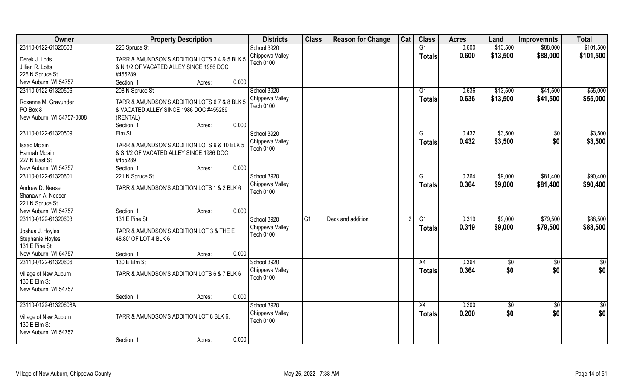| Owner                                | <b>Property Description</b>                   | <b>Districts</b> | <b>Class</b> | <b>Reason for Change</b> | Cat | <b>Class</b>    | <b>Acres</b> | Land       | <b>Improvemnts</b> | <b>Total</b>    |
|--------------------------------------|-----------------------------------------------|------------------|--------------|--------------------------|-----|-----------------|--------------|------------|--------------------|-----------------|
| 23110-0122-61320503                  | 226 Spruce St                                 | School 3920      |              |                          |     | G1              | 0.600        | \$13,500   | \$88,000           | \$101,500       |
| Derek J. Lotts                       | TARR & AMUNDSON'S ADDITION LOTS 3 4 & 5 BLK 5 | Chippewa Valley  |              |                          |     | <b>Totals</b>   | 0.600        | \$13,500   | \$88,000           | \$101,500       |
| Jillian R. Lotts                     | & N 1/2 OF VACATED ALLEY SINCE 1986 DOC       | <b>Tech 0100</b> |              |                          |     |                 |              |            |                    |                 |
| 226 N Spruce St                      | #455289                                       |                  |              |                          |     |                 |              |            |                    |                 |
| New Auburn, WI 54757                 | 0.000<br>Section: 1<br>Acres:                 |                  |              |                          |     |                 |              |            |                    |                 |
| 23110-0122-61320506                  | 208 N Spruce St                               | School 3920      |              |                          |     | G1              | 0.636        | \$13,500   | \$41,500           | \$55,000        |
|                                      |                                               | Chippewa Valley  |              |                          |     | <b>Totals</b>   | 0.636        | \$13,500   | \$41,500           | \$55,000        |
| Roxanne M. Gravunder                 | TARR & AMUNDSON'S ADDITION LOTS 6 7 & 8 BLK 5 | <b>Tech 0100</b> |              |                          |     |                 |              |            |                    |                 |
| PO Box 8                             | & VACATED ALLEY SINCE 1986 DOC #455289        |                  |              |                          |     |                 |              |            |                    |                 |
| New Auburn, WI 54757-0008            | (RENTAL)                                      |                  |              |                          |     |                 |              |            |                    |                 |
|                                      | 0.000<br>Section: 1<br>Acres:                 |                  |              |                          |     |                 |              |            |                    |                 |
| 23110-0122-61320509                  | Elm St                                        | School 3920      |              |                          |     | G1              | 0.432        | \$3,500    | $\sqrt{50}$        | \$3,500         |
| Isaac Mclain                         | TARR & AMUNDSON'S ADDITION LOTS 9 & 10 BLK 5  | Chippewa Valley  |              |                          |     | <b>Totals</b>   | 0.432        | \$3,500    | \$0                | \$3,500         |
| Hannah Mclain                        | & S 1/2 OF VACATED ALLEY SINCE 1986 DOC       | <b>Tech 0100</b> |              |                          |     |                 |              |            |                    |                 |
| 227 N East St                        | #455289                                       |                  |              |                          |     |                 |              |            |                    |                 |
| New Auburn, WI 54757                 | 0.000<br>Section: 1<br>Acres:                 |                  |              |                          |     |                 |              |            |                    |                 |
| 23110-0122-61320601                  | 221 N Spruce St                               | School 3920      |              |                          |     | G1              | 0.364        | \$9,000    | \$81,400           | \$90,400        |
| Andrew D. Neeser                     | TARR & AMUNDSON'S ADDITION LOTS 1 & 2 BLK 6   | Chippewa Valley  |              |                          |     | <b>Totals</b>   | 0.364        | \$9,000    | \$81,400           | \$90,400        |
| Shanawn A. Neeser                    |                                               | <b>Tech 0100</b> |              |                          |     |                 |              |            |                    |                 |
| 221 N Spruce St                      |                                               |                  |              |                          |     |                 |              |            |                    |                 |
| New Auburn, WI 54757                 | 0.000<br>Section: 1<br>Acres:                 |                  |              |                          |     |                 |              |            |                    |                 |
| 23110-0122-61320603                  | 131 E Pine St                                 | School 3920      | G1           | Deck and addition        |     | $\overline{G1}$ | 0.319        | \$9,000    | \$79,500           | \$88,500        |
|                                      |                                               | Chippewa Valley  |              |                          |     |                 | 0.319        | \$9,000    | \$79,500           | \$88,500        |
| Joshua J. Hoyles                     | TARR & AMUNDSON'S ADDITION LOT 3 & THE E      | <b>Tech 0100</b> |              |                          |     | <b>Totals</b>   |              |            |                    |                 |
| Stephanie Hoyles                     | 48.80' OF LOT 4 BLK 6                         |                  |              |                          |     |                 |              |            |                    |                 |
| 131 E Pine St                        |                                               |                  |              |                          |     |                 |              |            |                    |                 |
| New Auburn, WI 54757                 | 0.000<br>Section: 1<br>Acres:                 |                  |              |                          |     |                 |              |            |                    |                 |
| 23110-0122-61320606                  | 130 E Elm St                                  | School 3920      |              |                          |     | X4              | 0.364        | \$0        | $\sqrt{$0}$        | \$0             |
| Village of New Auburn                | TARR & AMUNDSON'S ADDITION LOTS 6 & 7 BLK 6   | Chippewa Valley  |              |                          |     | <b>Totals</b>   | 0.364        | \$0        | \$0                | \$0             |
| 130 E Elm St                         |                                               | <b>Tech 0100</b> |              |                          |     |                 |              |            |                    |                 |
| New Auburn, WI 54757                 |                                               |                  |              |                          |     |                 |              |            |                    |                 |
|                                      | 0.000<br>Section: 1<br>Acres:                 |                  |              |                          |     |                 |              |            |                    |                 |
| 23110-0122-61320608A                 |                                               | School 3920      |              |                          |     | $\overline{X4}$ | 0.200        | $\sqrt{6}$ | $\sqrt{$0}$        | $\overline{50}$ |
|                                      |                                               | Chippewa Valley  |              |                          |     | <b>Totals</b>   | 0.200        | \$0        | \$0                | \$0             |
| Village of New Auburn                | TARR & AMUNDSON'S ADDITION LOT 8 BLK 6.       | <b>Tech 0100</b> |              |                          |     |                 |              |            |                    |                 |
| 130 E Elm St<br>New Auburn, WI 54757 |                                               |                  |              |                          |     |                 |              |            |                    |                 |
|                                      | 0.000<br>Section: 1<br>Acres:                 |                  |              |                          |     |                 |              |            |                    |                 |
|                                      |                                               |                  |              |                          |     |                 |              |            |                    |                 |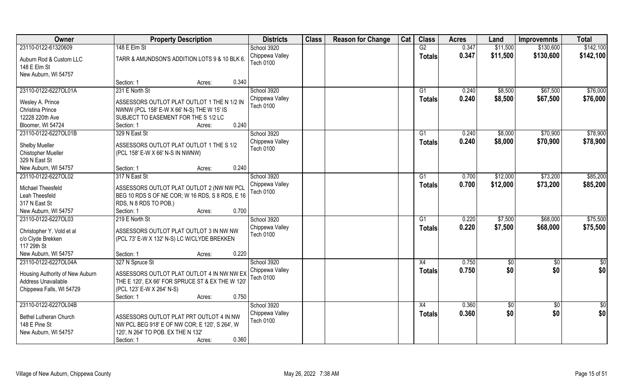| Owner                                   | <b>Property Description</b>                      | <b>Districts</b>             | <b>Class</b> | <b>Reason for Change</b> | Cat | <b>Class</b>  | <b>Acres</b> | Land            | <b>Improvemnts</b> | <b>Total</b>  |
|-----------------------------------------|--------------------------------------------------|------------------------------|--------------|--------------------------|-----|---------------|--------------|-----------------|--------------------|---------------|
| 23110-0122-61320609                     | 148 E Elm St                                     | School 3920                  |              |                          |     | G2            | 0.347        | \$11,500        | \$130,600          | \$142,100     |
| Auburn Rod & Custom LLC<br>148 E Elm St | TARR & AMUNDSON'S ADDITION LOTS 9 & 10 BLK 6.    | Chippewa Valley<br>Tech 0100 |              |                          |     | <b>Totals</b> | 0.347        | \$11,500        | \$130,600          | \$142,100     |
| New Auburn, WI 54757                    |                                                  |                              |              |                          |     |               |              |                 |                    |               |
|                                         | 0.340<br>Section: 1<br>Acres:                    |                              |              |                          |     |               |              |                 |                    |               |
| 23110-0122-6227OL01A                    | 231 E North St                                   | School 3920                  |              |                          |     | G1            | 0.240        | \$8,500         | \$67,500           | \$76,000      |
| Wesley A. Prince                        | ASSESSORS OUTLOT PLAT OUTLOT 1 THE N 1/2 IN      | Chippewa Valley              |              |                          |     | <b>Totals</b> | 0.240        | \$8,500         | \$67,500           | \$76,000      |
| Christina Prince                        | NWNW (PCL 158' E-W X 66' N-S) THE W 15' IS       | <b>Tech 0100</b>             |              |                          |     |               |              |                 |                    |               |
| 12228 220th Ave                         | SUBJECT TO EASEMENT FOR THE S 1/2 LC             |                              |              |                          |     |               |              |                 |                    |               |
| Bloomer, WI 54724                       | 0.240<br>Section: 1<br>Acres:                    |                              |              |                          |     |               |              |                 |                    |               |
| 23110-0122-6227OL01B                    | 329 N East St                                    | School 3920                  |              |                          |     | G1            | 0.240        | \$8,000         | \$70,900           | \$78,900      |
|                                         |                                                  | Chippewa Valley              |              |                          |     | <b>Totals</b> | 0.240        | \$8,000         | \$70,900           | \$78,900      |
| Shelby Mueller                          | ASSESSORS OUTLOT PLAT OUTLOT 1 THE S 1/2         | <b>Tech 0100</b>             |              |                          |     |               |              |                 |                    |               |
| Chistopher Mueller                      | (PCL 158' E-W X 66' N-S IN NWNW)                 |                              |              |                          |     |               |              |                 |                    |               |
| 329 N East St                           |                                                  |                              |              |                          |     |               |              |                 |                    |               |
| New Auburn, WI 54757                    | 0.240<br>Section: 1<br>Acres:                    |                              |              |                          |     |               |              |                 |                    |               |
| 23110-0122-6227OL02                     | 317 N East St                                    | School 3920                  |              |                          |     | G1            | 0.700        | \$12,000        | \$73,200           | \$85,200      |
| Michael Theesfeld                       | ASSESSORS OUTLOT PLAT OUTLOT 2 (NW NW PCL        | Chippewa Valley              |              |                          |     | <b>Totals</b> | 0.700        | \$12,000        | \$73,200           | \$85,200      |
| Leah Theesfeld                          | BEG 10 RDS S OF NE COR; W 16 RDS, S 8 RDS, E 16  | <b>Tech 0100</b>             |              |                          |     |               |              |                 |                    |               |
| 317 N East St                           | RDS, N 8 RDS TO POB.)                            |                              |              |                          |     |               |              |                 |                    |               |
| New Auburn, WI 54757                    | 0.700<br>Section: 1<br>Acres:                    |                              |              |                          |     |               |              |                 |                    |               |
| 23110-0122-6227OL03                     | 219 E North St                                   | School 3920                  |              |                          |     | G1            | 0.220        | \$7,500         | \$68,000           | \$75,500      |
|                                         |                                                  | Chippewa Valley              |              |                          |     | <b>Totals</b> | 0.220        | \$7,500         | \$68,000           | \$75,500      |
| Christopher Y. Vold et al               | ASSESSORS OUTLOT PLAT OUTLOT 3 IN NW NW          | <b>Tech 0100</b>             |              |                          |     |               |              |                 |                    |               |
| c/o Clyde Brekken                       | (PCL 73' E-W X 132' N-S) LC W/CLYDE BREKKEN      |                              |              |                          |     |               |              |                 |                    |               |
| 117 29th St                             |                                                  |                              |              |                          |     |               |              |                 |                    |               |
| New Auburn, WI 54757                    | 0.220<br>Section: 1<br>Acres:                    |                              |              |                          |     |               |              |                 |                    |               |
| 23110-0122-6227OL04A                    | 327 N Spruce St                                  | School 3920                  |              |                          |     | X4            | 0.750        | $\frac{6}{5}$   | $\sqrt{6}$         | $\frac{1}{2}$ |
| Housing Authority of New Auburn         | ASSESSORS OUTLOT PLAT OUTLOT 4 IN NW NW EX       | Chippewa Valley              |              |                          |     | <b>Totals</b> | 0.750        | \$0             | \$0                | \$0           |
| Address Unavailable                     | THE E 120', EX 66' FOR SPRUCE ST & EX THE W 120' | Tech 0100                    |              |                          |     |               |              |                 |                    |               |
| Chippewa Falls, WI 54729                | (PCL 123' E-W X 264' N-S)                        |                              |              |                          |     |               |              |                 |                    |               |
|                                         | 0.750<br>Section: 1<br>Acres:                    |                              |              |                          |     |               |              |                 |                    |               |
| 23110-0122-6227OL04B                    |                                                  | School 3920                  |              |                          |     | X4            | 0.360        | $\overline{50}$ | $\overline{60}$    | \$0           |
|                                         |                                                  | Chippewa Valley              |              |                          |     | <b>Totals</b> | 0.360        | \$0             | \$0                | \$0           |
| Bethel Lutheran Church                  | ASSESSORS OUTLOT PLAT PRT OUTLOT 4 IN NW         | <b>Tech 0100</b>             |              |                          |     |               |              |                 |                    |               |
| 148 E Pine St                           | NW PCL BEG 918' E OF NW COR; E 120', S 264', W   |                              |              |                          |     |               |              |                 |                    |               |
| New Auburn, WI 54757                    | 120', N 264' TO POB. EX THE N 132'               |                              |              |                          |     |               |              |                 |                    |               |
|                                         | 0.360<br>Section: 1<br>Acres:                    |                              |              |                          |     |               |              |                 |                    |               |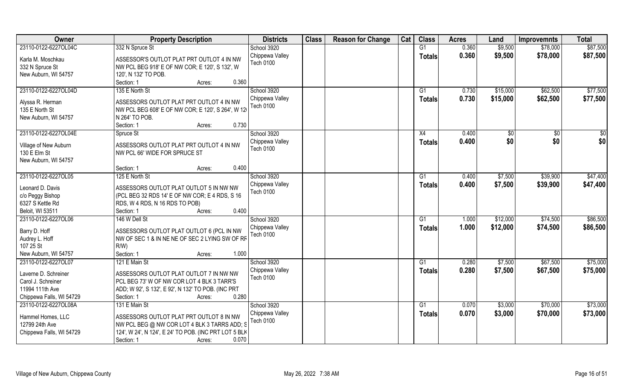| Owner                    | <b>Property Description</b>                           | <b>Districts</b>             | <b>Class</b> | <b>Reason for Change</b> | Cat | <b>Class</b>    | <b>Acres</b> | Land     | <b>Improvemnts</b> | <b>Total</b> |
|--------------------------|-------------------------------------------------------|------------------------------|--------------|--------------------------|-----|-----------------|--------------|----------|--------------------|--------------|
| 23110-0122-6227OL04C     | 332 N Spruce St                                       | School 3920                  |              |                          |     | G1              | 0.360        | \$9,500  | \$78,000           | \$87,500     |
| Karla M. Moschkau        | ASSESSOR'S OUTLOT PLAT PRT OUTLOT 4 IN NW             | Chippewa Valley              |              |                          |     | <b>Totals</b>   | 0.360        | \$9,500  | \$78,000           | \$87,500     |
| 332 N Spruce St          | NW PCL BEG 918' E OF NW COR; E 120', S 132', W        | Tech 0100                    |              |                          |     |                 |              |          |                    |              |
| New Auburn, WI 54757     | 120', N 132' TO POB.                                  |                              |              |                          |     |                 |              |          |                    |              |
|                          | 0.360<br>Section: 1<br>Acres:                         |                              |              |                          |     |                 |              |          |                    |              |
| 23110-0122-6227OL04D     | 135 E North St                                        | School 3920                  |              |                          |     | G1              | 0.730        | \$15,000 | \$62,500           | \$77,500     |
|                          |                                                       | Chippewa Valley              |              |                          |     | <b>Totals</b>   | 0.730        | \$15,000 | \$62,500           | \$77,500     |
| Alyssa R. Herman         | ASSESSORS OUTLOT PLAT PRT OUTLOT 4 IN NW              | <b>Tech 0100</b>             |              |                          |     |                 |              |          |                    |              |
| 135 E North St           | NW PCL BEG 608' E OF NW COR; E 120', S 264', W 12     |                              |              |                          |     |                 |              |          |                    |              |
| New Auburn, WI 54757     | N 264' TO POB.                                        |                              |              |                          |     |                 |              |          |                    |              |
|                          | 0.730<br>Section: 1<br>Acres:                         |                              |              |                          |     |                 |              |          |                    |              |
| 23110-0122-6227OL04E     | Spruce St                                             | School 3920                  |              |                          |     | X4              | 0.400        | \$0      | $\sqrt{50}$        | \$0          |
| Village of New Auburn    | ASSESSORS OUTLOT PLAT PRT OUTLOT 4 IN NW              | Chippewa Valley              |              |                          |     | <b>Totals</b>   | 0.400        | \$0      | \$0                | \$0          |
| 130 E Elm St             | NW PCL 66' WIDE FOR SPRUCE ST                         | <b>Tech 0100</b>             |              |                          |     |                 |              |          |                    |              |
| New Auburn, WI 54757     |                                                       |                              |              |                          |     |                 |              |          |                    |              |
|                          | 0.400<br>Section: 1<br>Acres:                         |                              |              |                          |     |                 |              |          |                    |              |
| 23110-0122-6227OL05      | 125 E North St                                        | School 3920                  |              |                          |     | G1              | 0.400        | \$7,500  | \$39,900           | \$47,400     |
|                          |                                                       |                              |              |                          |     |                 |              |          |                    |              |
| Leonard D. Davis         | ASSESSORS OUTLOT PLAT OUTLOT 5 IN NW NW               | Chippewa Valley<br>Tech 0100 |              |                          |     | <b>Totals</b>   | 0.400        | \$7,500  | \$39,900           | \$47,400     |
| c/o Peggy Bishop         | (PCL BEG 32 RDS 14' E OF NW COR; E 4 RDS, S 16        |                              |              |                          |     |                 |              |          |                    |              |
| 6327 S Kettle Rd         | RDS, W 4 RDS, N 16 RDS TO POB)                        |                              |              |                          |     |                 |              |          |                    |              |
| Beloit, WI 53511         | 0.400<br>Section: 1<br>Acres:                         |                              |              |                          |     |                 |              |          |                    |              |
| 23110-0122-6227OL06      | 146 W Dell St                                         | School 3920                  |              |                          |     | G1              | 1.000        | \$12,000 | \$74,500           | \$86,500     |
|                          |                                                       | Chippewa Valley              |              |                          |     | <b>Totals</b>   | 1.000        | \$12,000 | \$74,500           | \$86,500     |
| Barry D. Hoff            | ASSESSORS OUTLOT PLAT OUTLOT 6 (PCL IN NW             | <b>Tech 0100</b>             |              |                          |     |                 |              |          |                    |              |
| Audrey L. Hoff           | NW OF SEC 1 & IN NE NE OF SEC 2 LYING SW OF RF        |                              |              |                          |     |                 |              |          |                    |              |
| 107 25 St                | $R/W$ )                                               |                              |              |                          |     |                 |              |          |                    |              |
| New Auburn, WI 54757     | Section: 1<br>1.000<br>Acres:                         |                              |              |                          |     |                 |              |          |                    |              |
| 23110-0122-6227OL07      | 121 E Main St                                         | School 3920                  |              |                          |     | $\overline{G1}$ | 0.280        | \$7,500  | \$67,500           | \$75,000     |
| Laverne D. Schreiner     | ASSESSORS OUTLOT PLAT OUTLOT 7 IN NW NW               | Chippewa Valley              |              |                          |     | <b>Totals</b>   | 0.280        | \$7,500  | \$67,500           | \$75,000     |
| Carol J. Schreiner       | PCL BEG 73' W OF NW COR LOT 4 BLK 3 TARR'S            | Tech 0100                    |              |                          |     |                 |              |          |                    |              |
| 11994 111th Ave          | ADD; W 92', S 132', E 92', N 132' TO POB. (INC PRT    |                              |              |                          |     |                 |              |          |                    |              |
| Chippewa Falls, WI 54729 | 0.280<br>Section: 1<br>Acres:                         |                              |              |                          |     |                 |              |          |                    |              |
| 23110-0122-6227OL08A     | 131 E Main St                                         | School 3920                  |              |                          |     | G1              | 0.070        | \$3,000  | \$70,000           | \$73,000     |
|                          |                                                       | Chippewa Valley              |              |                          |     | <b>Totals</b>   | 0.070        | \$3,000  | \$70,000           | \$73,000     |
| Hammel Homes, LLC        | ASSESSORS OUTLOT PLAT PRT OUTLOT 8 IN NW              | <b>Tech 0100</b>             |              |                          |     |                 |              |          |                    |              |
| 12799 24th Ave           | NW PCL BEG @ NW COR LOT 4 BLK 3 TARRS ADD; S          |                              |              |                          |     |                 |              |          |                    |              |
| Chippewa Falls, WI 54729 | 124', W 24', N 124', E 24' TO POB. (INC PRT LOT 5 BLK |                              |              |                          |     |                 |              |          |                    |              |
|                          | 0.070<br>Section: 1<br>Acres:                         |                              |              |                          |     |                 |              |          |                    |              |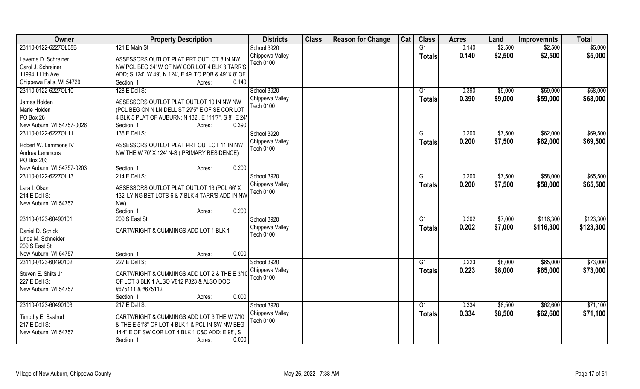| \$5,000<br>23110-0122-6227OL08B<br>121 E Main St<br>G1<br>0.140<br>\$2,500<br>\$2,500<br>School 3920<br>Chippewa Valley<br>0.140<br>\$2,500<br>\$2,500<br><b>Totals</b><br>Laverne D. Schreiner<br>ASSESSORS OUTLOT PLAT PRT OUTLOT 8 IN NW<br><b>Tech 0100</b><br>Carol J. Schreiner<br>NW PCL BEG 24' W OF NW COR LOT 4 BLK 3 TARR'S<br>11994 111th Ave<br>ADD; S 124', W 49', N 124', E 49' TO POB & 49' X 8' OF<br>Chippewa Falls, WI 54729<br>0.140<br>Section: 1<br>Acres:<br>23110-0122-6227OL10<br>School 3920<br>128 E Dell St<br>0.390<br>\$9,000<br>\$59,000<br>G <sub>1</sub><br>Chippewa Valley<br>0.390<br>\$9,000<br>\$59,000<br>Totals<br>James Holden<br>ASSESSORS OUTLOT PLAT OUTLOT 10 IN NW NW<br>Tech 0100<br>Marie Holden<br>(PCL BEG ON N LN DELL ST 29'5" E OF SE COR LOT<br>PO Box 26<br>4 BLK 5 PLAT OF AUBURN; N 132', E 111'7", S 8', E 24'<br>New Auburn, WI 54757-0026<br>0.390<br>Section: 1<br>Acres:<br>23110-0122-6227OL11<br>School 3920<br>\$7,500<br>\$62,000<br>136 E Dell St<br>G1<br>0.200<br>Chippewa Valley<br>0.200<br>\$7,500<br>\$62,000<br><b>Totals</b><br>Robert W. Lemmons IV<br>ASSESSORS OUTLOT PLAT PRT OUTLOT 11 IN NW<br><b>Tech 0100</b><br>Andrea Lemmons<br>NW THE W 70' X 124' N-S ( PRIMARY RESIDENCE)<br>PO Box 203<br>0.200<br>New Auburn, WI 54757-0203<br>Section: 1<br>Acres:<br>23110-0122-6227OL13<br>214 E Dell St<br>School 3920<br>\$7,500<br>\$58,000<br>G1<br>0.200<br>Chippewa Valley<br>0.200<br>\$7,500<br>\$58,000<br><b>Totals</b> | Owner         | <b>Property Description</b>                | <b>Districts</b> | <b>Class</b> | <b>Reason for Change</b> | Cat | <b>Class</b> | <b>Acres</b> | Land | <b>Improvemnts</b> | <b>Total</b> |
|----------------------------------------------------------------------------------------------------------------------------------------------------------------------------------------------------------------------------------------------------------------------------------------------------------------------------------------------------------------------------------------------------------------------------------------------------------------------------------------------------------------------------------------------------------------------------------------------------------------------------------------------------------------------------------------------------------------------------------------------------------------------------------------------------------------------------------------------------------------------------------------------------------------------------------------------------------------------------------------------------------------------------------------------------------------------------------------------------------------------------------------------------------------------------------------------------------------------------------------------------------------------------------------------------------------------------------------------------------------------------------------------------------------------------------------------------------------------------------------------------------------|---------------|--------------------------------------------|------------------|--------------|--------------------------|-----|--------------|--------------|------|--------------------|--------------|
|                                                                                                                                                                                                                                                                                                                                                                                                                                                                                                                                                                                                                                                                                                                                                                                                                                                                                                                                                                                                                                                                                                                                                                                                                                                                                                                                                                                                                                                                                                                |               |                                            |                  |              |                          |     |              |              |      |                    |              |
| \$68,000                                                                                                                                                                                                                                                                                                                                                                                                                                                                                                                                                                                                                                                                                                                                                                                                                                                                                                                                                                                                                                                                                                                                                                                                                                                                                                                                                                                                                                                                                                       |               |                                            |                  |              |                          |     |              |              |      |                    | \$5,000      |
|                                                                                                                                                                                                                                                                                                                                                                                                                                                                                                                                                                                                                                                                                                                                                                                                                                                                                                                                                                                                                                                                                                                                                                                                                                                                                                                                                                                                                                                                                                                |               |                                            |                  |              |                          |     |              |              |      |                    |              |
|                                                                                                                                                                                                                                                                                                                                                                                                                                                                                                                                                                                                                                                                                                                                                                                                                                                                                                                                                                                                                                                                                                                                                                                                                                                                                                                                                                                                                                                                                                                |               |                                            |                  |              |                          |     |              |              |      |                    |              |
|                                                                                                                                                                                                                                                                                                                                                                                                                                                                                                                                                                                                                                                                                                                                                                                                                                                                                                                                                                                                                                                                                                                                                                                                                                                                                                                                                                                                                                                                                                                |               |                                            |                  |              |                          |     |              |              |      |                    |              |
| \$68,000<br>\$69,500<br>\$69,500<br>\$65,500<br>\$65,500                                                                                                                                                                                                                                                                                                                                                                                                                                                                                                                                                                                                                                                                                                                                                                                                                                                                                                                                                                                                                                                                                                                                                                                                                                                                                                                                                                                                                                                       |               |                                            |                  |              |                          |     |              |              |      |                    |              |
|                                                                                                                                                                                                                                                                                                                                                                                                                                                                                                                                                                                                                                                                                                                                                                                                                                                                                                                                                                                                                                                                                                                                                                                                                                                                                                                                                                                                                                                                                                                |               |                                            |                  |              |                          |     |              |              |      |                    |              |
|                                                                                                                                                                                                                                                                                                                                                                                                                                                                                                                                                                                                                                                                                                                                                                                                                                                                                                                                                                                                                                                                                                                                                                                                                                                                                                                                                                                                                                                                                                                |               |                                            |                  |              |                          |     |              |              |      |                    |              |
|                                                                                                                                                                                                                                                                                                                                                                                                                                                                                                                                                                                                                                                                                                                                                                                                                                                                                                                                                                                                                                                                                                                                                                                                                                                                                                                                                                                                                                                                                                                |               |                                            |                  |              |                          |     |              |              |      |                    |              |
|                                                                                                                                                                                                                                                                                                                                                                                                                                                                                                                                                                                                                                                                                                                                                                                                                                                                                                                                                                                                                                                                                                                                                                                                                                                                                                                                                                                                                                                                                                                |               |                                            |                  |              |                          |     |              |              |      |                    |              |
|                                                                                                                                                                                                                                                                                                                                                                                                                                                                                                                                                                                                                                                                                                                                                                                                                                                                                                                                                                                                                                                                                                                                                                                                                                                                                                                                                                                                                                                                                                                |               |                                            |                  |              |                          |     |              |              |      |                    |              |
|                                                                                                                                                                                                                                                                                                                                                                                                                                                                                                                                                                                                                                                                                                                                                                                                                                                                                                                                                                                                                                                                                                                                                                                                                                                                                                                                                                                                                                                                                                                |               |                                            |                  |              |                          |     |              |              |      |                    |              |
|                                                                                                                                                                                                                                                                                                                                                                                                                                                                                                                                                                                                                                                                                                                                                                                                                                                                                                                                                                                                                                                                                                                                                                                                                                                                                                                                                                                                                                                                                                                |               |                                            |                  |              |                          |     |              |              |      |                    |              |
|                                                                                                                                                                                                                                                                                                                                                                                                                                                                                                                                                                                                                                                                                                                                                                                                                                                                                                                                                                                                                                                                                                                                                                                                                                                                                                                                                                                                                                                                                                                |               |                                            |                  |              |                          |     |              |              |      |                    |              |
|                                                                                                                                                                                                                                                                                                                                                                                                                                                                                                                                                                                                                                                                                                                                                                                                                                                                                                                                                                                                                                                                                                                                                                                                                                                                                                                                                                                                                                                                                                                |               |                                            |                  |              |                          |     |              |              |      |                    |              |
|                                                                                                                                                                                                                                                                                                                                                                                                                                                                                                                                                                                                                                                                                                                                                                                                                                                                                                                                                                                                                                                                                                                                                                                                                                                                                                                                                                                                                                                                                                                |               |                                            |                  |              |                          |     |              |              |      |                    |              |
|                                                                                                                                                                                                                                                                                                                                                                                                                                                                                                                                                                                                                                                                                                                                                                                                                                                                                                                                                                                                                                                                                                                                                                                                                                                                                                                                                                                                                                                                                                                |               |                                            |                  |              |                          |     |              |              |      |                    |              |
|                                                                                                                                                                                                                                                                                                                                                                                                                                                                                                                                                                                                                                                                                                                                                                                                                                                                                                                                                                                                                                                                                                                                                                                                                                                                                                                                                                                                                                                                                                                |               |                                            |                  |              |                          |     |              |              |      |                    |              |
| Tech 0100                                                                                                                                                                                                                                                                                                                                                                                                                                                                                                                                                                                                                                                                                                                                                                                                                                                                                                                                                                                                                                                                                                                                                                                                                                                                                                                                                                                                                                                                                                      | Lara I. Olson | ASSESSORS OUTLOT PLAT OUTLOT 13 (PCL 66' X |                  |              |                          |     |              |              |      |                    |              |
| 132' LYING BET LOTS 6 & 7 BLK 4 TARR'S ADD IN NW<br>214 E Dell St                                                                                                                                                                                                                                                                                                                                                                                                                                                                                                                                                                                                                                                                                                                                                                                                                                                                                                                                                                                                                                                                                                                                                                                                                                                                                                                                                                                                                                              |               |                                            |                  |              |                          |     |              |              |      |                    |              |
| New Auburn, WI 54757<br>NW)                                                                                                                                                                                                                                                                                                                                                                                                                                                                                                                                                                                                                                                                                                                                                                                                                                                                                                                                                                                                                                                                                                                                                                                                                                                                                                                                                                                                                                                                                    |               |                                            |                  |              |                          |     |              |              |      |                    |              |
| 0.200<br>Section: 1<br>Acres:                                                                                                                                                                                                                                                                                                                                                                                                                                                                                                                                                                                                                                                                                                                                                                                                                                                                                                                                                                                                                                                                                                                                                                                                                                                                                                                                                                                                                                                                                  |               |                                            |                  |              |                          |     |              |              |      |                    |              |
| \$123,300<br>School 3920<br>0.202<br>\$116,300<br>23110-0123-60490101<br>209 S East St<br>G1<br>\$7,000                                                                                                                                                                                                                                                                                                                                                                                                                                                                                                                                                                                                                                                                                                                                                                                                                                                                                                                                                                                                                                                                                                                                                                                                                                                                                                                                                                                                        |               |                                            |                  |              |                          |     |              |              |      |                    |              |
| 0.202<br>\$7,000<br>\$116,300<br>Chippewa Valley<br>\$123,300<br>Totals<br>CARTWRIGHT & CUMMINGS ADD LOT 1 BLK 1<br>Daniel D. Schick                                                                                                                                                                                                                                                                                                                                                                                                                                                                                                                                                                                                                                                                                                                                                                                                                                                                                                                                                                                                                                                                                                                                                                                                                                                                                                                                                                           |               |                                            |                  |              |                          |     |              |              |      |                    |              |
| Tech 0100<br>Linda M. Schneider                                                                                                                                                                                                                                                                                                                                                                                                                                                                                                                                                                                                                                                                                                                                                                                                                                                                                                                                                                                                                                                                                                                                                                                                                                                                                                                                                                                                                                                                                |               |                                            |                  |              |                          |     |              |              |      |                    |              |
| 209 S East St                                                                                                                                                                                                                                                                                                                                                                                                                                                                                                                                                                                                                                                                                                                                                                                                                                                                                                                                                                                                                                                                                                                                                                                                                                                                                                                                                                                                                                                                                                  |               |                                            |                  |              |                          |     |              |              |      |                    |              |
| New Auburn, WI 54757<br>0.000<br>Section: 1<br>Acres:                                                                                                                                                                                                                                                                                                                                                                                                                                                                                                                                                                                                                                                                                                                                                                                                                                                                                                                                                                                                                                                                                                                                                                                                                                                                                                                                                                                                                                                          |               |                                            |                  |              |                          |     |              |              |      |                    |              |
| \$73,000<br>23110-0123-60490102<br>School 3920<br>G1<br>\$8,000<br>\$65,000<br>227 E Dell St<br>0.223                                                                                                                                                                                                                                                                                                                                                                                                                                                                                                                                                                                                                                                                                                                                                                                                                                                                                                                                                                                                                                                                                                                                                                                                                                                                                                                                                                                                          |               |                                            |                  |              |                          |     |              |              |      |                    |              |
| Chippewa Valley<br>0.223<br>\$8,000<br>\$65,000<br>\$73,000<br><b>Totals</b>                                                                                                                                                                                                                                                                                                                                                                                                                                                                                                                                                                                                                                                                                                                                                                                                                                                                                                                                                                                                                                                                                                                                                                                                                                                                                                                                                                                                                                   |               |                                            |                  |              |                          |     |              |              |      |                    |              |
| Steven E. Shilts Jr<br>CARTWRIGHT & CUMMINGS ADD LOT 2 & THE E 3/1<br>Tech 0100                                                                                                                                                                                                                                                                                                                                                                                                                                                                                                                                                                                                                                                                                                                                                                                                                                                                                                                                                                                                                                                                                                                                                                                                                                                                                                                                                                                                                                |               |                                            |                  |              |                          |     |              |              |      |                    |              |
| 227 E Dell St<br>OF LOT 3 BLK 1 ALSO V812 P823 & ALSO DOC                                                                                                                                                                                                                                                                                                                                                                                                                                                                                                                                                                                                                                                                                                                                                                                                                                                                                                                                                                                                                                                                                                                                                                                                                                                                                                                                                                                                                                                      |               |                                            |                  |              |                          |     |              |              |      |                    |              |
| New Auburn, WI 54757<br>#675111 & #675112                                                                                                                                                                                                                                                                                                                                                                                                                                                                                                                                                                                                                                                                                                                                                                                                                                                                                                                                                                                                                                                                                                                                                                                                                                                                                                                                                                                                                                                                      |               |                                            |                  |              |                          |     |              |              |      |                    |              |
| 0.000<br>Section: 1<br>Acres:                                                                                                                                                                                                                                                                                                                                                                                                                                                                                                                                                                                                                                                                                                                                                                                                                                                                                                                                                                                                                                                                                                                                                                                                                                                                                                                                                                                                                                                                                  |               |                                            |                  |              |                          |     |              |              |      |                    |              |
| \$62,600<br>\$71,100<br>23110-0123-60490103<br>217 E Dell St<br>School 3920<br>0.334<br>\$8,500<br>G1                                                                                                                                                                                                                                                                                                                                                                                                                                                                                                                                                                                                                                                                                                                                                                                                                                                                                                                                                                                                                                                                                                                                                                                                                                                                                                                                                                                                          |               |                                            |                  |              |                          |     |              |              |      |                    |              |
| 0.334<br>Chippewa Valley<br>\$8,500<br>\$62,600<br>\$71,100<br><b>Totals</b><br>CARTWRIGHT & CUMMINGS ADD LOT 3 THE W 7/10<br>Timothy E. Baalrud                                                                                                                                                                                                                                                                                                                                                                                                                                                                                                                                                                                                                                                                                                                                                                                                                                                                                                                                                                                                                                                                                                                                                                                                                                                                                                                                                               |               |                                            |                  |              |                          |     |              |              |      |                    |              |
| Tech 0100<br>217 E Dell St<br>& THE E 51'8" OF LOT 4 BLK 1 & PCL IN SW NW BEG                                                                                                                                                                                                                                                                                                                                                                                                                                                                                                                                                                                                                                                                                                                                                                                                                                                                                                                                                                                                                                                                                                                                                                                                                                                                                                                                                                                                                                  |               |                                            |                  |              |                          |     |              |              |      |                    |              |
| New Auburn, WI 54757<br>14'4" E OF SW COR LOT 4 BLK 1 C&C ADD; E 98', S                                                                                                                                                                                                                                                                                                                                                                                                                                                                                                                                                                                                                                                                                                                                                                                                                                                                                                                                                                                                                                                                                                                                                                                                                                                                                                                                                                                                                                        |               |                                            |                  |              |                          |     |              |              |      |                    |              |
| 0.000<br>Section: 1<br>Acres:                                                                                                                                                                                                                                                                                                                                                                                                                                                                                                                                                                                                                                                                                                                                                                                                                                                                                                                                                                                                                                                                                                                                                                                                                                                                                                                                                                                                                                                                                  |               |                                            |                  |              |                          |     |              |              |      |                    |              |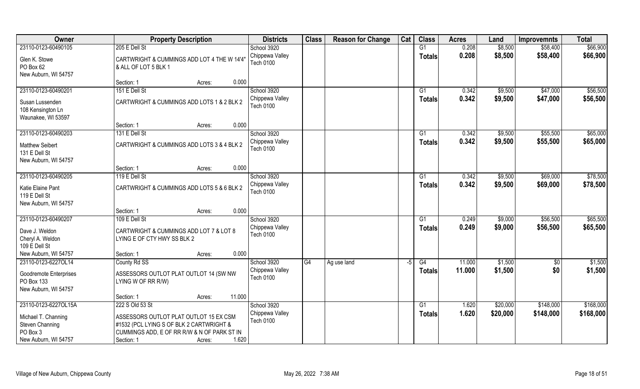| Owner                                       | <b>Property Description</b>                                                             | <b>Districts</b> | <b>Class</b> | <b>Reason for Change</b> | Cat  | <b>Class</b>   | <b>Acres</b> | Land     | <b>Improvemnts</b> | <b>Total</b> |
|---------------------------------------------|-----------------------------------------------------------------------------------------|------------------|--------------|--------------------------|------|----------------|--------------|----------|--------------------|--------------|
| 23110-0123-60490105                         | 205 E Dell St                                                                           | School 3920      |              |                          |      | G1             | 0.208        | \$8,500  | \$58,400           | \$66,900     |
| Glen K. Stowe                               | CARTWRIGHT & CUMMINGS ADD LOT 4 THE W 14'4"                                             | Chippewa Valley  |              |                          |      | <b>Totals</b>  | 0.208        | \$8,500  | \$58,400           | \$66,900     |
| PO Box 62                                   | & ALL OF LOT 5 BLK 1                                                                    | <b>Tech 0100</b> |              |                          |      |                |              |          |                    |              |
| New Auburn, WI 54757                        |                                                                                         |                  |              |                          |      |                |              |          |                    |              |
|                                             | 0.000<br>Section: 1<br>Acres:                                                           |                  |              |                          |      |                |              |          |                    |              |
| 23110-0123-60490201                         | 151 E Dell St                                                                           | School 3920      |              |                          |      | G <sub>1</sub> | 0.342        | \$9,500  | \$47,000           | \$56,500     |
| Susan Lussenden                             | CARTWRIGHT & CUMMINGS ADD LOTS 1 & 2 BLK 2                                              | Chippewa Valley  |              |                          |      | Totals         | 0.342        | \$9,500  | \$47,000           | \$56,500     |
| 108 Kensington Ln                           |                                                                                         | <b>Tech 0100</b> |              |                          |      |                |              |          |                    |              |
| Waunakee, WI 53597                          |                                                                                         |                  |              |                          |      |                |              |          |                    |              |
|                                             | 0.000<br>Section: 1<br>Acres:                                                           |                  |              |                          |      |                |              |          |                    |              |
| 23110-0123-60490203                         | 131 E Dell St                                                                           | School 3920      |              |                          |      | G1             | 0.342        | \$9,500  | \$55,500           | \$65,000     |
| <b>Matthew Seibert</b>                      | CARTWRIGHT & CUMMINGS ADD LOTS 3 & 4 BLK 2                                              | Chippewa Valley  |              |                          |      | <b>Totals</b>  | 0.342        | \$9,500  | \$55,500           | \$65,000     |
| 131 E Dell St                               |                                                                                         | <b>Tech 0100</b> |              |                          |      |                |              |          |                    |              |
| New Auburn, WI 54757                        |                                                                                         |                  |              |                          |      |                |              |          |                    |              |
|                                             | 0.000<br>Section: 1<br>Acres:                                                           |                  |              |                          |      |                |              |          |                    |              |
| 23110-0123-60490205                         | 119 E Dell St                                                                           | School 3920      |              |                          |      | G1             | 0.342        | \$9,500  | \$69,000           | \$78,500     |
| Katie Elaine Pant                           | CARTWRIGHT & CUMMINGS ADD LOTS 5 & 6 BLK 2                                              | Chippewa Valley  |              |                          |      | <b>Totals</b>  | 0.342        | \$9,500  | \$69,000           | \$78,500     |
| 119 E Dell St                               |                                                                                         | <b>Tech 0100</b> |              |                          |      |                |              |          |                    |              |
| New Auburn, WI 54757                        |                                                                                         |                  |              |                          |      |                |              |          |                    |              |
|                                             | 0.000<br>Section: 1<br>Acres:                                                           |                  |              |                          |      |                |              |          |                    |              |
| 23110-0123-60490207                         | 109 E Dell St                                                                           | School 3920      |              |                          |      | G1             | 0.249        | \$9,000  | \$56,500           | \$65,500     |
|                                             |                                                                                         | Chippewa Valley  |              |                          |      | Totals         | 0.249        | \$9,000  | \$56,500           | \$65,500     |
| Dave J. Weldon<br>Cheryl A. Weldon          | CARTWRIGHT & CUMMINGS ADD LOT 7 & LOT 8<br>LYING E OF CTY HWY SS BLK 2                  | <b>Tech 0100</b> |              |                          |      |                |              |          |                    |              |
| 109 E Dell St                               |                                                                                         |                  |              |                          |      |                |              |          |                    |              |
| New Auburn, WI 54757                        | 0.000<br>Section: 1<br>Acres:                                                           |                  |              |                          |      |                |              |          |                    |              |
| 23110-0123-6227OL14                         | County Rd SS                                                                            | School 3920      | G4           | Ag use land              | $-5$ | G4             | 11.000       | \$1,500  | \$0                | \$1,500      |
|                                             |                                                                                         | Chippewa Valley  |              |                          |      | <b>Totals</b>  | 11.000       | \$1,500  | \$0                | \$1,500      |
| <b>Goodremote Enterprises</b><br>PO Box 133 | ASSESSORS OUTLOT PLAT OUTLOT 14 (SW NW<br>LYING W OF RR R/W)                            | <b>Tech 0100</b> |              |                          |      |                |              |          |                    |              |
| New Auburn, WI 54757                        |                                                                                         |                  |              |                          |      |                |              |          |                    |              |
|                                             | 11.000<br>Section: 1<br>Acres:                                                          |                  |              |                          |      |                |              |          |                    |              |
| 23110-0123-6227OL15A                        | 222 S Old 53 St                                                                         | School 3920      |              |                          |      | G1             | 1.620        | \$20,000 | \$148,000          | \$168,000    |
|                                             |                                                                                         | Chippewa Valley  |              |                          |      | <b>Totals</b>  | 1.620        | \$20,000 | \$148,000          | \$168,000    |
| Michael T. Channing                         | ASSESSORS OUTLOT PLAT OUTLOT 15 EX CSM                                                  | <b>Tech 0100</b> |              |                          |      |                |              |          |                    |              |
| Steven Channing<br>PO Box 3                 | #1532 (PCL LYING S OF BLK 2 CARTWRIGHT &<br>CUMMINGS ADD, E OF RR R/W & N OF PARK ST IN |                  |              |                          |      |                |              |          |                    |              |
|                                             | 1.620                                                                                   |                  |              |                          |      |                |              |          |                    |              |
| New Auburn, WI 54757                        | Section: 1<br>Acres:                                                                    |                  |              |                          |      |                |              |          |                    |              |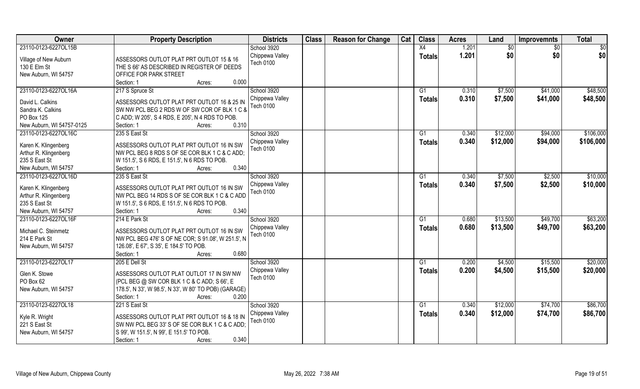| Owner                     | <b>Property Description</b>                           | <b>Districts</b>                    | <b>Class</b> | <b>Reason for Change</b> | Cat | <b>Class</b>    | <b>Acres</b> | Land     | <b>Improvemnts</b> | <b>Total</b> |
|---------------------------|-------------------------------------------------------|-------------------------------------|--------------|--------------------------|-----|-----------------|--------------|----------|--------------------|--------------|
| 23110-0123-6227OL15B      |                                                       | School 3920                         |              |                          |     | X4              | 1.201        | \$0      | \$0                | \$0          |
| Village of New Auburn     | ASSESSORS OUTLOT PLAT PRT OUTLOT 15 & 16              | Chippewa Valley                     |              |                          |     | <b>Totals</b>   | 1.201        | \$0      | \$0                | \$0          |
| 130 E Elm St              | THE S 66' AS DESCRIBED IN REGISTER OF DEEDS           | Tech 0100                           |              |                          |     |                 |              |          |                    |              |
| New Auburn, WI 54757      | OFFICE FOR PARK STREET                                |                                     |              |                          |     |                 |              |          |                    |              |
|                           | Section: 1<br>0.000<br>Acres:                         |                                     |              |                          |     |                 |              |          |                    |              |
| 23110-0123-6227OL16A      | 217 S Spruce St                                       | School 3920                         |              |                          |     | G <sub>1</sub>  | 0.310        | \$7,500  | \$41,000           | \$48,500     |
|                           |                                                       | Chippewa Valley                     |              |                          |     | <b>Totals</b>   | 0.310        | \$7,500  | \$41,000           | \$48,500     |
| David L. Calkins          | ASSESSORS OUTLOT PLAT PRT OUTLOT 16 & 25 IN           | Tech 0100                           |              |                          |     |                 |              |          |                    |              |
| Sandra K. Calkins         | SW NW PCL BEG 2 RDS W OF SW COR OF BLK 1 C &          |                                     |              |                          |     |                 |              |          |                    |              |
| PO Box 125                | C ADD; W 205', S 4 RDS, E 205', N 4 RDS TO POB.       |                                     |              |                          |     |                 |              |          |                    |              |
| New Auburn, WI 54757-0125 | 0.310<br>Section: 1<br>Acres:                         |                                     |              |                          |     |                 |              |          |                    |              |
| 23110-0123-6227OL16C      | 235 S East St                                         | School 3920                         |              |                          |     | G1              | 0.340        | \$12,000 | \$94,000           | \$106,000    |
| Karen K. Klingenberg      | ASSESSORS OUTLOT PLAT PRT OUTLOT 16 IN SW             | Chippewa Valley                     |              |                          |     | <b>Totals</b>   | 0.340        | \$12,000 | \$94,000           | \$106,000    |
| Arthur R. Klingenberg     | NW PCL BEG 8 RDS S OF SE COR BLK 1 C & C ADD;         | Tech 0100                           |              |                          |     |                 |              |          |                    |              |
| 235 S East St             | W 151.5', S 6 RDS, E 151.5', N 6 RDS TO POB.          |                                     |              |                          |     |                 |              |          |                    |              |
| New Auburn, WI 54757      | 0.340<br>Section: 1<br>Acres:                         |                                     |              |                          |     |                 |              |          |                    |              |
| 23110-0123-6227OL16D      | 235 S East St                                         | School 3920                         |              |                          |     | G1              | 0.340        | \$7,500  | \$2,500            | \$10,000     |
|                           |                                                       | Chippewa Valley                     |              |                          |     |                 | 0.340        |          |                    |              |
| Karen K. Klingenberg      | ASSESSORS OUTLOT PLAT PRT OUTLOT 16 IN SW             | Tech 0100                           |              |                          |     | <b>Totals</b>   |              | \$7,500  | \$2,500            | \$10,000     |
| Arthur R. Klingenberg     | NW PCL BEG 14 RDS S OF SE COR BLK 1 C & C ADD         |                                     |              |                          |     |                 |              |          |                    |              |
| 235 S East St             | W 151.5', S 6 RDS, E 151.5', N 6 RDS TO POB.          |                                     |              |                          |     |                 |              |          |                    |              |
| New Auburn, WI 54757      | 0.340<br>Section: 1<br>Acres:                         |                                     |              |                          |     |                 |              |          |                    |              |
| 23110-0123-6227OL16F      | 214 E Park St                                         | School 3920                         |              |                          |     | G1              | 0.680        | \$13,500 | \$49,700           | \$63,200     |
| Michael C. Steinmetz      | ASSESSORS OUTLOT PLAT PRT OUTLOT 16 IN SW             | Chippewa Valley                     |              |                          |     | <b>Totals</b>   | 0.680        | \$13,500 | \$49,700           | \$63,200     |
| 214 E Park St             | NW PCL BEG 476' S OF NE COR; S 91.08', W 251.5', N    | <b>Tech 0100</b>                    |              |                          |     |                 |              |          |                    |              |
| New Auburn, WI 54757      | 126.08', E 67', S 35', E 184.5' TO POB.               |                                     |              |                          |     |                 |              |          |                    |              |
|                           | Section: 1<br>0.680<br>Acres:                         |                                     |              |                          |     |                 |              |          |                    |              |
| 23110-0123-6227OL17       | 205 E Dell St                                         | School 3920                         |              |                          |     | $\overline{G1}$ | 0.200        | \$4,500  | \$15,500           | \$20,000     |
|                           |                                                       |                                     |              |                          |     |                 |              |          |                    |              |
| Glen K. Stowe             | ASSESSORS OUTLOT PLAT OUTLOT 17 IN SW NW              | Chippewa Valley<br><b>Tech 0100</b> |              |                          |     | <b>Totals</b>   | 0.200        | \$4,500  | \$15,500           | \$20,000     |
| PO Box 62                 | (PCL BEG @ SW COR BLK 1 C & C ADD; S 66', E           |                                     |              |                          |     |                 |              |          |                    |              |
| New Auburn, WI 54757      | 178.5', N 33', W 98.5', N 33', W 80' TO POB) (GARAGE) |                                     |              |                          |     |                 |              |          |                    |              |
|                           | 0.200<br>Section: 1<br>Acres:                         |                                     |              |                          |     |                 |              |          |                    |              |
| 23110-0123-6227OL18       | 221 S East St                                         | School 3920                         |              |                          |     | G1              | 0.340        | \$12,000 | \$74,700           | \$86,700     |
|                           |                                                       | Chippewa Valley                     |              |                          |     | <b>Totals</b>   | 0.340        | \$12,000 | \$74,700           | \$86,700     |
| Kyle R. Wright            | ASSESSORS OUTLOT PLAT PRT OUTLOT 16 & 18 IN           | <b>Tech 0100</b>                    |              |                          |     |                 |              |          |                    |              |
| 221 S East St             | SW NW PCL BEG 33' S OF SE COR BLK 1 C & C ADD;        |                                     |              |                          |     |                 |              |          |                    |              |
| New Auburn, WI 54757      | S 99', W 151.5', N 99', E 151.5' TO POB.              |                                     |              |                          |     |                 |              |          |                    |              |
|                           | 0.340<br>Section: 1<br>Acres:                         |                                     |              |                          |     |                 |              |          |                    |              |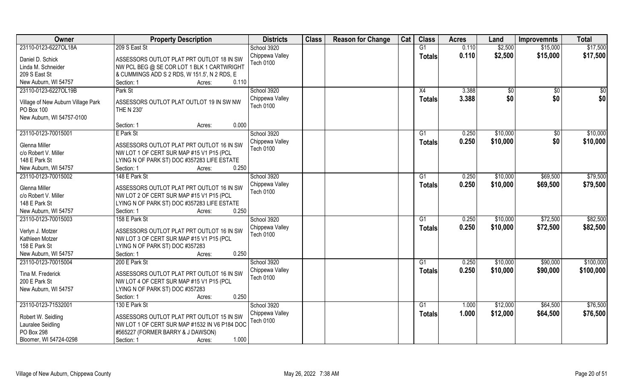| Owner                                            | <b>Property Description</b>                   | <b>Districts</b>             | <b>Class</b> | <b>Reason for Change</b> | Cat | <b>Class</b>   | <b>Acres</b> | Land     | <b>Improvemnts</b> | <b>Total</b> |
|--------------------------------------------------|-----------------------------------------------|------------------------------|--------------|--------------------------|-----|----------------|--------------|----------|--------------------|--------------|
| 23110-0123-6227OL18A                             | 209 S East St                                 | School 3920                  |              |                          |     | G1             | 0.110        | \$2,500  | \$15,000           | \$17,500     |
| Daniel D. Schick                                 | ASSESSORS OUTLOT PLAT PRT OUTLOT 18 IN SW     | Chippewa Valley<br>Tech 0100 |              |                          |     | <b>Totals</b>  | 0.110        | \$2,500  | \$15,000           | \$17,500     |
| Linda M. Schneider                               | NW PCL BEG @ SE COR LOT 1 BLK 1 CARTWRIGHT    |                              |              |                          |     |                |              |          |                    |              |
| 209 S East St                                    | & CUMMINGS ADD S 2 RDS, W 151.5', N 2 RDS, E  |                              |              |                          |     |                |              |          |                    |              |
| New Auburn, WI 54757                             | 0.110<br>Section: 1<br>Acres:                 |                              |              |                          |     |                |              |          |                    |              |
| 23110-0123-6227OL19B                             | Park St                                       | School 3920                  |              |                          |     | X4             | 3.388        | \$0      | \$0                | \$0          |
|                                                  | ASSESSORS OUTLOT PLAT OUTLOT 19 IN SW NW      | Chippewa Valley              |              |                          |     | Totals         | 3.388        | \$0      | \$0                | \$0          |
| Village of New Auburn Village Park<br>PO Box 100 | THE N 230'                                    | <b>Tech 0100</b>             |              |                          |     |                |              |          |                    |              |
| New Auburn, WI 54757-0100                        |                                               |                              |              |                          |     |                |              |          |                    |              |
|                                                  | 0.000<br>Section: 1<br>Acres:                 |                              |              |                          |     |                |              |          |                    |              |
| 23110-0123-70015001                              | E Park St                                     | School 3920                  |              |                          |     | G1             | 0.250        | \$10,000 | \$0                | \$10,000     |
|                                                  |                                               | Chippewa Valley              |              |                          |     | <b>Totals</b>  | 0.250        | \$10,000 | \$0                | \$10,000     |
| Glenna Miller                                    | ASSESSORS OUTLOT PLAT PRT OUTLOT 16 IN SW     | <b>Tech 0100</b>             |              |                          |     |                |              |          |                    |              |
| c/o Robert V. Miller                             | NW LOT 1 OF CERT SUR MAP #15 V1 P15 (PCL      |                              |              |                          |     |                |              |          |                    |              |
| 148 E Park St                                    | LYING N OF PARK ST) DOC #357283 LIFE ESTATE   |                              |              |                          |     |                |              |          |                    |              |
| New Auburn, WI 54757                             | 0.250<br>Section: 1<br>Acres:                 |                              |              |                          |     |                |              |          |                    |              |
| 23110-0123-70015002                              | 148 E Park St                                 | School 3920                  |              |                          |     | G <sub>1</sub> | 0.250        | \$10,000 | \$69,500           | \$79,500     |
| Glenna Miller                                    | ASSESSORS OUTLOT PLAT PRT OUTLOT 16 IN SW     | Chippewa Valley              |              |                          |     | <b>Totals</b>  | 0.250        | \$10,000 | \$69,500           | \$79,500     |
| c/o Robert V. Miller                             | NW LOT 2 OF CERT SUR MAP #15 V1 P15 (PCL      | <b>Tech 0100</b>             |              |                          |     |                |              |          |                    |              |
| 148 E Park St                                    | LYING N OF PARK ST) DOC #357283 LIFE ESTATE   |                              |              |                          |     |                |              |          |                    |              |
| New Auburn, WI 54757                             | 0.250<br>Section: 1<br>Acres:                 |                              |              |                          |     |                |              |          |                    |              |
| 23110-0123-70015003                              | 158 E Park St                                 | School 3920                  |              |                          |     | G1             | 0.250        | \$10,000 | \$72,500           | \$82,500     |
|                                                  |                                               | Chippewa Valley              |              |                          |     | <b>Totals</b>  | 0.250        | \$10,000 | \$72,500           | \$82,500     |
| Verlyn J. Motzer                                 | ASSESSORS OUTLOT PLAT PRT OUTLOT 16 IN SW     | <b>Tech 0100</b>             |              |                          |     |                |              |          |                    |              |
| Kathleen Motzer                                  | NW LOT 3 OF CERT SUR MAP #15 V1 P15 (PCL      |                              |              |                          |     |                |              |          |                    |              |
| 158 E Park St                                    | LYING N OF PARK ST) DOC #357283               |                              |              |                          |     |                |              |          |                    |              |
| New Auburn, WI 54757                             | 0.250<br>Section: 1<br>Acres:                 |                              |              |                          |     |                |              |          |                    |              |
| 23110-0123-70015004                              | 200 E Park St                                 | School 3920                  |              |                          |     | G1             | 0.250        | \$10,000 | \$90,000           | \$100,000    |
| Tina M. Frederick                                | ASSESSORS OUTLOT PLAT PRT OUTLOT 16 IN SW     | Chippewa Valley              |              |                          |     | <b>Totals</b>  | 0.250        | \$10,000 | \$90,000           | \$100,000    |
| 200 E Park St                                    | NW LOT 4 OF CERT SUR MAP #15 V1 P15 (PCL      | <b>Tech 0100</b>             |              |                          |     |                |              |          |                    |              |
| New Auburn, WI 54757                             | LYING N OF PARK ST) DOC #357283               |                              |              |                          |     |                |              |          |                    |              |
|                                                  | 0.250<br>Section: 1<br>Acres:                 |                              |              |                          |     |                |              |          |                    |              |
| 23110-0123-71532001                              | 130 E Park St                                 | School 3920                  |              |                          |     | G1             | 1.000        | \$12,000 | \$64,500           | \$76,500     |
|                                                  |                                               | Chippewa Valley              |              |                          |     | <b>Totals</b>  | 1.000        | \$12,000 | \$64,500           | \$76,500     |
| Robert W. Seidling                               | ASSESSORS OUTLOT PLAT PRT OUTLOT 15 IN SW     | <b>Tech 0100</b>             |              |                          |     |                |              |          |                    |              |
| Lauralee Seidling                                | NW LOT 1 OF CERT SUR MAP #1532 IN V6 P184 DOC |                              |              |                          |     |                |              |          |                    |              |
| PO Box 298                                       | #565227 (FORMER BARRY & J DAWSON)             |                              |              |                          |     |                |              |          |                    |              |
| Bloomer, WI 54724-0298                           | 1.000<br>Section: 1<br>Acres:                 |                              |              |                          |     |                |              |          |                    |              |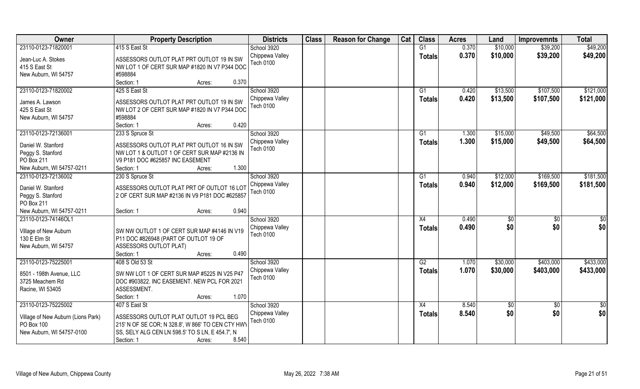| Owner                                   | <b>Property Description</b>                       | <b>Districts</b>                    | <b>Class</b> | <b>Reason for Change</b> | Cat | <b>Class</b>   | <b>Acres</b> | Land     | <b>Improvemnts</b> | <b>Total</b> |
|-----------------------------------------|---------------------------------------------------|-------------------------------------|--------------|--------------------------|-----|----------------|--------------|----------|--------------------|--------------|
| 23110-0123-71820001                     | 415 S East St                                     | School 3920                         |              |                          |     | G1             | 0.370        | \$10,000 | \$39,200           | \$49,200     |
| Jean-Luc A. Stokes                      | ASSESSORS OUTLOT PLAT PRT OUTLOT 19 IN SW         | Chippewa Valley                     |              |                          |     | <b>Totals</b>  | 0.370        | \$10,000 | \$39,200           | \$49,200     |
| 415 S East St                           | NW LOT 1 OF CERT SUR MAP #1820 IN V7 P344 DOC     | <b>Tech 0100</b>                    |              |                          |     |                |              |          |                    |              |
| New Auburn, WI 54757                    | #598884                                           |                                     |              |                          |     |                |              |          |                    |              |
|                                         | 0.370<br>Section: 1<br>Acres:                     |                                     |              |                          |     |                |              |          |                    |              |
| 23110-0123-71820002                     | 425 S East St                                     | School 3920                         |              |                          |     | G <sub>1</sub> | 0.420        | \$13,500 | \$107,500          | \$121,000    |
|                                         |                                                   | Chippewa Valley                     |              |                          |     | <b>Totals</b>  | 0.420        | \$13,500 | \$107,500          | \$121,000    |
| James A. Lawson                         | ASSESSORS OUTLOT PLAT PRT OUTLOT 19 IN SW         | Tech 0100                           |              |                          |     |                |              |          |                    |              |
| 425 S East St                           | NW LOT 2 OF CERT SUR MAP #1820 IN V7 P344 DOC     |                                     |              |                          |     |                |              |          |                    |              |
| New Auburn, WI 54757                    | #598884                                           |                                     |              |                          |     |                |              |          |                    |              |
|                                         | 0.420<br>Section: 1<br>Acres:                     |                                     |              |                          |     |                |              |          |                    |              |
| 23110-0123-72136001                     | 233 S Spruce St                                   | School 3920                         |              |                          |     | G1             | 1.300        | \$15,000 | \$49,500           | \$64,500     |
| Daniel W. Stanford                      | ASSESSORS OUTLOT PLAT PRT OUTLOT 16 IN SW         | Chippewa Valley                     |              |                          |     | <b>Totals</b>  | 1.300        | \$15,000 | \$49,500           | \$64,500     |
| Peggy S. Stanford                       | NW LOT 1 & OUTLOT 1 OF CERT SUR MAP #2136 IN      | Tech 0100                           |              |                          |     |                |              |          |                    |              |
| PO Box 211                              | V9 P181 DOC #625857 INC EASEMENT                  |                                     |              |                          |     |                |              |          |                    |              |
| New Auburn, WI 54757-0211               | 1.300<br>Section: 1<br>Acres:                     |                                     |              |                          |     |                |              |          |                    |              |
| 23110-0123-72136002                     | 230 S Spruce St                                   | School 3920                         |              |                          |     | G1             | 0.940        | \$12,000 | \$169,500          | \$181,500    |
|                                         |                                                   | Chippewa Valley                     |              |                          |     | <b>Totals</b>  | 0.940        | \$12,000 | \$169,500          | \$181,500    |
| Daniel W. Stanford                      | ASSESSORS OUTLOT PLAT PRT OF OUTLOT 16 LOT        | <b>Tech 0100</b>                    |              |                          |     |                |              |          |                    |              |
| Peggy S. Stanford                       | 2 OF CERT SUR MAP #2136 IN V9 P181 DOC #625857    |                                     |              |                          |     |                |              |          |                    |              |
| PO Box 211<br>New Auburn, WI 54757-0211 | 0.940                                             |                                     |              |                          |     |                |              |          |                    |              |
| 23110-0123-74146OL1                     | Section: 1<br>Acres:                              |                                     |              |                          |     |                | 0.490        |          |                    |              |
|                                         |                                                   | School 3920                         |              |                          |     | X4             |              | \$0      | \$0                | \$0          |
| Village of New Auburn                   | SW NW OUTLOT 1 OF CERT SUR MAP #4146 IN V19       | Chippewa Valley<br><b>Tech 0100</b> |              |                          |     | <b>Totals</b>  | 0.490        | \$0      | \$0                | \$0          |
| 130 E Elm St                            | P11 DOC #826948 (PART OF OUTLOT 19 OF             |                                     |              |                          |     |                |              |          |                    |              |
| New Auburn, WI 54757                    | ASSESSORS OUTLOT PLAT)                            |                                     |              |                          |     |                |              |          |                    |              |
|                                         | Section: 1<br>0.490<br>Acres:                     |                                     |              |                          |     |                |              |          |                    |              |
| 23110-0123-75225001                     | 408 S Old 53 St                                   | School 3920                         |              |                          |     | G2             | 1.070        | \$30,000 | \$403,000          | \$433,000    |
| 8501 - 198th Avenue, LLC                | SW NW LOT 1 OF CERT SUR MAP #5225 IN V25 P47      | Chippewa Valley                     |              |                          |     | <b>Totals</b>  | 1.070        | \$30,000 | \$403,000          | \$433,000    |
| 3725 Meachem Rd                         | DOC #903822. INC EASEMENT. NEW PCL FOR 2021       | Tech 0100                           |              |                          |     |                |              |          |                    |              |
| Racine, WI 53405                        | ASSESSMENT.                                       |                                     |              |                          |     |                |              |          |                    |              |
|                                         | 1.070<br>Section: 1<br>Acres:                     |                                     |              |                          |     |                |              |          |                    |              |
| 23110-0123-75225002                     | 407 S East St                                     | School 3920                         |              |                          |     | X4             | 8.540        | \$0      | $\overline{60}$    | \$0          |
|                                         |                                                   | Chippewa Valley                     |              |                          |     |                | 8.540        | \$0      | \$0                | \$0          |
| Village of New Auburn (Lions Park)      | ASSESSORS OUTLOT PLAT OUTLOT 19 PCL BEG           | <b>Tech 0100</b>                    |              |                          |     | <b>Totals</b>  |              |          |                    |              |
| PO Box 100                              | 215' N OF SE COR; N 328.8', W 866' TO CEN CTY HWY |                                     |              |                          |     |                |              |          |                    |              |
| New Auburn, WI 54757-0100               | SS, SELY ALG CEN LN 598.5' TO S LN, E 454.7', N   |                                     |              |                          |     |                |              |          |                    |              |
|                                         | Section: 1<br>8.540<br>Acres:                     |                                     |              |                          |     |                |              |          |                    |              |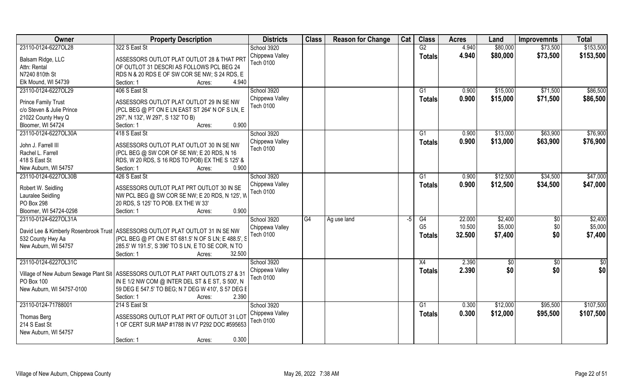| Owner                      | <b>Property Description</b>                                                         | <b>Districts</b>                    | <b>Class</b> | <b>Reason for Change</b> | Cat | <b>Class</b>   | <b>Acres</b> | Land     | <b>Improvemnts</b> | <b>Total</b> |
|----------------------------|-------------------------------------------------------------------------------------|-------------------------------------|--------------|--------------------------|-----|----------------|--------------|----------|--------------------|--------------|
| 23110-0124-6227OL28        | 322 S East St                                                                       | School 3920                         |              |                          |     | G2             | 4.940        | \$80,000 | \$73,500           | \$153,500    |
| Balsam Ridge, LLC          | ASSESSORS OUTLOT PLAT OUTLOT 28 & THAT PRT                                          | Chippewa Valley<br>Tech 0100        |              |                          |     | <b>Totals</b>  | 4.940        | \$80,000 | \$73,500           | \$153,500    |
| Attn: Rental               | OF OUTLOT 31 DESCRI AS FOLLOWS PCL BEG 24                                           |                                     |              |                          |     |                |              |          |                    |              |
| N7240 810th St             | RDS N & 20 RDS E OF SW COR SE NW; S 24 RDS, E                                       |                                     |              |                          |     |                |              |          |                    |              |
| Elk Mound, WI 54739        | 4.940<br>Section: 1<br>Acres:                                                       |                                     |              |                          |     |                |              |          |                    |              |
| 23110-0124-6227OL29        | 406 S East St                                                                       | School 3920                         |              |                          |     | G1             | 0.900        | \$15,000 | \$71,500           | \$86,500     |
| <b>Prince Family Trust</b> | ASSESSORS OUTLOT PLAT OUTLOT 29 IN SE NW                                            | Chippewa Valley<br>Tech 0100        |              |                          |     | <b>Totals</b>  | 0.900        | \$15,000 | \$71,500           | \$86,500     |
| c/o Steven & Julie Prince  | (PCL BEG @ PT ON E LN EAST ST 264' N OF S LN, E                                     |                                     |              |                          |     |                |              |          |                    |              |
| 21022 County Hwy Q         | 297', N 132', W 297', S 132' TO B)                                                  |                                     |              |                          |     |                |              |          |                    |              |
| Bloomer, WI 54724          | 0.900<br>Section: 1<br>Acres:                                                       |                                     |              |                          |     |                |              |          |                    |              |
| 23110-0124-6227OL30A       | 418 S East St                                                                       | School 3920                         |              |                          |     | G1             | 0.900        | \$13,000 | \$63,900           | \$76,900     |
| John J. Farrell III        | ASSESSORS OUTLOT PLAT OUTLOT 30 IN SE NW                                            | Chippewa Valley                     |              |                          |     | <b>Totals</b>  | 0.900        | \$13,000 | \$63,900           | \$76,900     |
| Rachel L. Farrell          | (PCL BEG @ SW COR OF SE NW; E 20 RDS, N 16                                          | <b>Tech 0100</b>                    |              |                          |     |                |              |          |                    |              |
| 418 S East St              | RDS, W 20 RDS, S 16 RDS TO POB) EX THE S 125' &                                     |                                     |              |                          |     |                |              |          |                    |              |
| New Auburn, WI 54757       | 0.900<br>Section: 1<br>Acres:                                                       |                                     |              |                          |     |                |              |          |                    |              |
| 23110-0124-6227OL30B       | 426 S East St                                                                       | School 3920                         |              |                          |     | G1             | 0.900        | \$12,500 | \$34,500           | \$47,000     |
| Robert W. Seidling         | ASSESSORS OUTLOT PLAT PRT OUTLOT 30 IN SE                                           | Chippewa Valley<br><b>Tech 0100</b> |              |                          |     | <b>Totals</b>  | 0.900        | \$12,500 | \$34,500           | \$47,000     |
| Lauralee Seidling          | NW PCL BEG @ SW COR SE NW; E 20 RDS, N 125', W                                      |                                     |              |                          |     |                |              |          |                    |              |
| PO Box 298                 | 20 RDS, S 125' TO POB. EX THE W 33'                                                 |                                     |              |                          |     |                |              |          |                    |              |
| Bloomer, WI 54724-0298     | 0.900<br>Section: 1<br>Acres:                                                       |                                     |              |                          |     |                |              |          |                    |              |
| 23110-0124-6227OL31A       |                                                                                     | School 3920                         | G4           | Ag use land              | -5  | G4             | 22.000       | \$2,400  | $\sqrt{6}$         | \$2,400      |
|                            | David Lee & Kimberly Rosenbrook Trust   ASSESSORS OUTLOT PLAT OUTLOT 31 IN SE NW    | Chippewa Valley                     |              |                          |     | G <sub>5</sub> | 10.500       | \$5,000  | \$0                | \$5,000      |
| 532 County Hwy Aa          | (PCL BEG @ PT ON E ST 681.5' N OF S LN; E 488.5', S                                 | Tech 0100                           |              |                          |     | <b>Totals</b>  | 32.500       | \$7,400  | \$0                | \$7,400      |
| New Auburn, WI 54757       | 285.5' W 191.5', S 396' TO S LN, E TO SE COR, N TO                                  |                                     |              |                          |     |                |              |          |                    |              |
|                            | Section: 1<br>32.500<br>Acres:                                                      |                                     |              |                          |     |                |              |          |                    |              |
| 23110-0124-6227OL31C       |                                                                                     | School 3920                         |              |                          |     | X4             | 2.390        | \$0      | \$0                | $rac{1}{6}$  |
|                            | Village of New Auburn Sewage Plant Sit   ASSESSORS OUTLOT PLAT PART OUTLOTS 27 & 31 | Chippewa Valley                     |              |                          |     | <b>Totals</b>  | 2.390        | \$0      | \$0                | \$0          |
| PO Box 100                 | IN E 1/2 NW COM @ INTER DEL ST & E ST, S 500', N                                    | Tech 0100                           |              |                          |     |                |              |          |                    |              |
| New Auburn, WI 54757-0100  | 59 DEG E 547.5' TO BEG; N 7 DEG W 410', S 57 DEG E                                  |                                     |              |                          |     |                |              |          |                    |              |
|                            | 2.390<br>Section: 1<br>Acres:                                                       |                                     |              |                          |     |                |              |          |                    |              |
| 23110-0124-71788001        | 214 S East St                                                                       | School 3920                         |              |                          |     | G1             | 0.300        | \$12,000 | \$95,500           | \$107,500    |
|                            |                                                                                     | Chippewa Valley                     |              |                          |     |                | 0.300        | \$12,000 | \$95,500           | \$107,500    |
| Thomas Berg                | ASSESSORS OUTLOT PLAT PRT OF OUTLOT 31 LOT                                          | Tech 0100                           |              |                          |     | <b>Totals</b>  |              |          |                    |              |
| 214 S East St              | 1 OF CERT SUR MAP #1788 IN V7 P292 DOC #595653                                      |                                     |              |                          |     |                |              |          |                    |              |
| New Auburn, WI 54757       |                                                                                     |                                     |              |                          |     |                |              |          |                    |              |
|                            | 0.300<br>Section: 1<br>Acres:                                                       |                                     |              |                          |     |                |              |          |                    |              |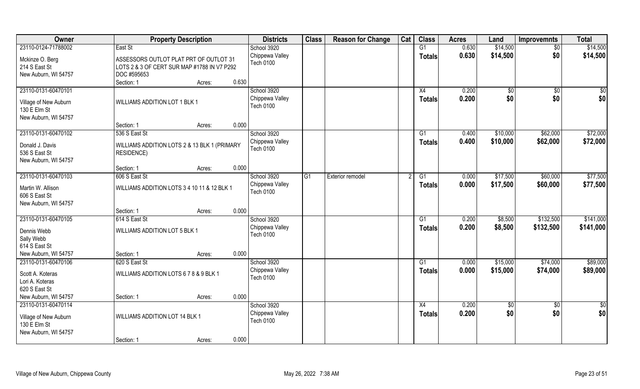| Owner                                                                                | <b>Property Description</b>                                                                          | <b>Districts</b>                                   | <b>Class</b> | <b>Reason for Change</b> | Cat | <b>Class</b>        | <b>Acres</b>   | Land                 | <b>Improvemnts</b>     | <b>Total</b>           |
|--------------------------------------------------------------------------------------|------------------------------------------------------------------------------------------------------|----------------------------------------------------|--------------|--------------------------|-----|---------------------|----------------|----------------------|------------------------|------------------------|
| 23110-0124-71788002                                                                  | East St                                                                                              | School 3920                                        |              |                          |     | G1                  | 0.630          | \$14,500             | $\overline{50}$        | \$14,500               |
| Mckinze O. Berg<br>214 S East St<br>New Auburn, WI 54757                             | ASSESSORS OUTLOT PLAT PRT OF OUTLOT 31<br>LOTS 2 & 3 OF CERT SUR MAP #1788 IN V7 P292<br>DOC #595653 | Chippewa Valley<br><b>Tech 0100</b>                |              |                          |     | <b>Totals</b>       | 0.630          | \$14,500             | \$0                    | \$14,500               |
|                                                                                      | 0.630<br>Section: 1<br>Acres:                                                                        |                                                    |              |                          |     |                     |                |                      |                        |                        |
| 23110-0131-60470101<br>Village of New Auburn<br>130 E Elm St<br>New Auburn, WI 54757 | WILLIAMS ADDITION LOT 1 BLK 1                                                                        | School 3920<br>Chippewa Valley<br><b>Tech 0100</b> |              |                          |     | X4<br><b>Totals</b> | 0.200<br>0.200 | $\sqrt[6]{}$<br>\$0  | $\overline{50}$<br>\$0 | \$0<br>\$0             |
|                                                                                      | 0.000<br>Section: 1<br>Acres:                                                                        |                                                    |              |                          |     |                     |                |                      |                        |                        |
| 23110-0131-60470102<br>Donald J. Davis<br>536 S East St<br>New Auburn, WI 54757      | 536 S East St<br>WILLIAMS ADDITION LOTS 2 & 13 BLK 1 (PRIMARY<br><b>RESIDENCE)</b>                   | School 3920<br>Chippewa Valley<br><b>Tech 0100</b> |              |                          |     | G1<br><b>Totals</b> | 0.400<br>0.400 | \$10,000<br>\$10,000 | \$62,000<br>\$62,000   | \$72,000<br>\$72,000   |
|                                                                                      | 0.000<br>Section: 1<br>Acres:                                                                        |                                                    |              |                          |     |                     |                |                      |                        |                        |
| 23110-0131-60470103                                                                  | 606 S East St                                                                                        | School 3920                                        | G1           | Exterior remodel         |     | G <sub>1</sub>      | 0.000          | \$17,500             | \$60,000               | \$77,500               |
| Martin W. Allison<br>606 S East St<br>New Auburn, WI 54757                           | WILLIAMS ADDITION LOTS 3 4 10 11 & 12 BLK 1                                                          | Chippewa Valley<br><b>Tech 0100</b>                |              |                          |     | <b>Totals</b>       | 0.000          | \$17,500             | \$60,000               | \$77,500               |
|                                                                                      | 0.000<br>Section: 1<br>Acres:                                                                        |                                                    |              |                          |     |                     |                |                      |                        |                        |
| 23110-0131-60470105<br>Dennis Webb<br>Sally Webb<br>614 S East St                    | 614 S East St<br>WILLIAMS ADDITION LOT 5 BLK 1                                                       | School 3920<br>Chippewa Valley<br><b>Tech 0100</b> |              |                          |     | G1<br>Totals        | 0.200<br>0.200 | \$8,500<br>\$8,500   | \$132,500<br>\$132,500 | \$141,000<br>\$141,000 |
| New Auburn, WI 54757                                                                 | 0.000<br>Section: 1<br>Acres:                                                                        |                                                    |              |                          |     |                     |                |                      |                        |                        |
| 23110-0131-60470106                                                                  | 620 S East St                                                                                        | School 3920                                        |              |                          |     | G1                  | 0.000          | \$15,000             | \$74,000               | \$89,000               |
| Scott A. Koteras<br>Lori A. Koteras<br>620 S East St                                 | WILLIAMS ADDITION LOTS 6 7 8 & 9 BLK 1                                                               | Chippewa Valley<br><b>Tech 0100</b>                |              |                          |     | <b>Totals</b>       | 0.000          | \$15,000             | \$74,000               | \$89,000               |
| New Auburn, WI 54757                                                                 | 0.000<br>Section: 1<br>Acres:                                                                        |                                                    |              |                          |     |                     |                |                      |                        |                        |
| 23110-0131-60470114<br>Village of New Auburn<br>130 E Elm St<br>New Auburn, WI 54757 | <b>WILLIAMS ADDITION LOT 14 BLK 1</b>                                                                | School 3920<br>Chippewa Valley<br><b>Tech 0100</b> |              |                          |     | X4<br>Totals        | 0.200<br>0.200 | \$0<br>\$0           | $\overline{50}$<br>\$0 | \$0<br>\$0             |
|                                                                                      | 0.000<br>Section: 1<br>Acres:                                                                        |                                                    |              |                          |     |                     |                |                      |                        |                        |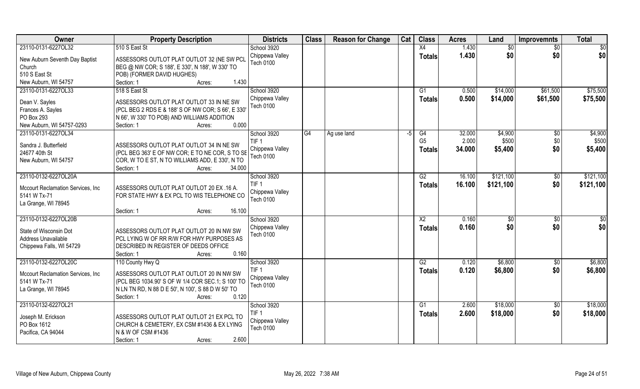| Owner                              | <b>Property Description</b>                                                                        | <b>Districts</b>             | <b>Class</b> | <b>Reason for Change</b> | Cat  | <b>Class</b>    | <b>Acres</b> | Land      | <b>Improvemnts</b> | <b>Total</b> |
|------------------------------------|----------------------------------------------------------------------------------------------------|------------------------------|--------------|--------------------------|------|-----------------|--------------|-----------|--------------------|--------------|
| 23110-0131-6227OL32                | 510 S East St                                                                                      | School 3920                  |              |                          |      | X4              | 1.430        | \$0       | \$0                | \$0          |
| New Auburn Seventh Day Baptist     | ASSESSORS OUTLOT PLAT OUTLOT 32 (NE SW PCL                                                         | Chippewa Valley<br>Tech 0100 |              |                          |      | <b>Totals</b>   | 1.430        | \$0       | \$0                | \$0          |
| Church                             | BEG @ NW COR; S 188', E 330', N 188', W 330' TO                                                    |                              |              |                          |      |                 |              |           |                    |              |
| 510 S East St                      | POB) (FORMER DAVID HUGHES)                                                                         |                              |              |                          |      |                 |              |           |                    |              |
| New Auburn, WI 54757               | 1.430<br>Section: 1<br>Acres:                                                                      |                              |              |                          |      |                 |              |           |                    |              |
| 23110-0131-6227OL33                | 518 S East St                                                                                      | School 3920                  |              |                          |      | G <sub>1</sub>  | 0.500        | \$14,000  | \$61,500           | \$75,500     |
| Dean V. Sayles                     | ASSESSORS OUTLOT PLAT OUTLOT 33 IN NE SW                                                           | Chippewa Valley              |              |                          |      | Totals          | 0.500        | \$14,000  | \$61,500           | \$75,500     |
| Frances A. Sayles                  | (PCL BEG 2 RDS E & 188' S OF NW COR; S 66', E 330'                                                 | <b>Tech 0100</b>             |              |                          |      |                 |              |           |                    |              |
| PO Box 293                         | N 66', W 330' TO POB) AND WILLIAMS ADDITION                                                        |                              |              |                          |      |                 |              |           |                    |              |
| New Auburn, WI 54757-0293          | 0.000<br>Section: 1<br>Acres:                                                                      |                              |              |                          |      |                 |              |           |                    |              |
| 23110-0131-6227OL34                |                                                                                                    | School 3920                  | G4           | Ag use land              | $-5$ | G4              | 32.000       | \$4,900   | \$0                | \$4,900      |
|                                    |                                                                                                    | TIF <sub>1</sub>             |              |                          |      | G <sub>5</sub>  | 2.000        | \$500     | \$0                | \$500        |
| Sandra J. Butterfield              | ASSESSORS OUTLOT PLAT OUTLOT 34 IN NE SW                                                           | Chippewa Valley              |              |                          |      | <b>Totals</b>   | 34.000       | \$5,400   | \$0                | \$5,400      |
| 24677 40th St                      | (PCL BEG 363' E OF NW COR; E TO NE COR, S TO SE<br>COR, W TO E ST, N TO WILLIAMS ADD, E 330', N TO | Tech 0100                    |              |                          |      |                 |              |           |                    |              |
| New Auburn, WI 54757               | Section: 1<br>34.000<br>Acres:                                                                     |                              |              |                          |      |                 |              |           |                    |              |
| 23110-0132-6227OL20A               |                                                                                                    | School 3920                  |              |                          |      | G2              | 16.100       | \$121,100 | \$0                | \$121,100    |
|                                    |                                                                                                    | TIF <sub>1</sub>             |              |                          |      | <b>Totals</b>   | 16.100       | \$121,100 | \$0                | \$121,100    |
| Mccourt Reclamation Services, Inc. | ASSESSORS OUTLOT PLAT OUTLOT 20 EX .16 A.                                                          | Chippewa Valley              |              |                          |      |                 |              |           |                    |              |
| 5141 W Tx-71                       | FOR STATE HWY & EX PCL TO WIS TELEPHONE CO                                                         | Tech 0100                    |              |                          |      |                 |              |           |                    |              |
| La Grange, WI 78945                |                                                                                                    |                              |              |                          |      |                 |              |           |                    |              |
|                                    | 16.100<br>Section: 1<br>Acres:                                                                     |                              |              |                          |      |                 |              |           |                    |              |
| 23110-0132-6227OL20B               |                                                                                                    | School 3920                  |              |                          |      | $\overline{X2}$ | 0.160        | \$0       | \$0                | \$0          |
| State of Wisconsin Dot             | ASSESSORS OUTLOT PLAT OUTLOT 20 IN NW SW                                                           | Chippewa Valley              |              |                          |      | <b>Totals</b>   | 0.160        | \$0       | \$0                | \$0          |
| Address Unavailable                | PCL LYING W OF RR R/W FOR HWY PURPOSES AS                                                          | Tech 0100                    |              |                          |      |                 |              |           |                    |              |
| Chippewa Falls, WI 54729           | DESCRIBED IN REGISTER OF DEEDS OFFICE                                                              |                              |              |                          |      |                 |              |           |                    |              |
|                                    | 0.160<br>Section: 1<br>Acres:                                                                      |                              |              |                          |      |                 |              |           |                    |              |
| 23110-0132-6227OL20C               | 110 County Hwy Q                                                                                   | School 3920                  |              |                          |      | G2              | 0.120        | \$6,800   | \$0                | \$6,800      |
| Mccourt Reclamation Services, Inc. | ASSESSORS OUTLOT PLAT OUTLOT 20 IN NW SW                                                           | TIF <sub>1</sub>             |              |                          |      | <b>Totals</b>   | 0.120        | \$6,800   | \$0                | \$6,800      |
| 5141 W Tx-71                       | (PCL BEG 1034.90' S OF W 1/4 COR SEC.1; S 100' TO                                                  | Chippewa Valley              |              |                          |      |                 |              |           |                    |              |
| La Grange, WI 78945                | N LN TN RD, N 88 D E 50', N 100', S 88 D W 50' TO                                                  | <b>Tech 0100</b>             |              |                          |      |                 |              |           |                    |              |
|                                    | 0.120<br>Section: 1<br>Acres:                                                                      |                              |              |                          |      |                 |              |           |                    |              |
| 23110-0132-6227OL21                |                                                                                                    | School 3920                  |              |                          |      | G1              | 2.600        | \$18,000  | $\sqrt{6}$         | \$18,000     |
|                                    |                                                                                                    | TIF <sub>1</sub>             |              |                          |      | <b>Totals</b>   | 2.600        | \$18,000  | \$0                | \$18,000     |
| Joseph M. Erickson<br>PO Box 1612  | ASSESSORS OUTLOT PLAT OUTLOT 21 EX PCL TO<br>CHURCH & CEMETERY, EX CSM #1436 & EX LYING            | Chippewa Valley              |              |                          |      |                 |              |           |                    |              |
| Pacifica, CA 94044                 | N & W OF CSM #1436                                                                                 | Tech 0100                    |              |                          |      |                 |              |           |                    |              |
|                                    | 2.600<br>Section: 1<br>Acres:                                                                      |                              |              |                          |      |                 |              |           |                    |              |
|                                    |                                                                                                    |                              |              |                          |      |                 |              |           |                    |              |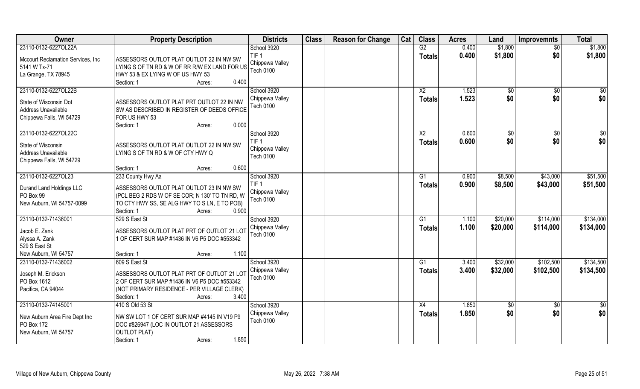| Owner                              | <b>Property Description</b>                    | <b>Districts</b>                    | <b>Class</b> | <b>Reason for Change</b> | Cat | <b>Class</b>    | <b>Acres</b> | Land         | <b>Improvemnts</b> | <b>Total</b>    |
|------------------------------------|------------------------------------------------|-------------------------------------|--------------|--------------------------|-----|-----------------|--------------|--------------|--------------------|-----------------|
| 23110-0132-6227OL22A               |                                                | School 3920                         |              |                          |     | G2              | 0.400        | \$1,800      | $\overline{50}$    | \$1,800         |
| Mccourt Reclamation Services, Inc. | ASSESSORS OUTLOT PLAT OUTLOT 22 IN NW SW       | TIF <sub>1</sub><br>Chippewa Valley |              |                          |     | Totals          | 0.400        | \$1,800      | \$0                | \$1,800         |
| 5141 W Tx-71                       | LYING S OF TN RD & W OF RR R/W EX LAND FOR US  | <b>Tech 0100</b>                    |              |                          |     |                 |              |              |                    |                 |
| La Grange, TX 78945                | HWY 53 & EX LYING W OF US HWY 53               |                                     |              |                          |     |                 |              |              |                    |                 |
|                                    | 0.400<br>Section: 1<br>Acres:                  |                                     |              |                          |     |                 |              |              |                    |                 |
| 23110-0132-6227OL22B               |                                                | School 3920                         |              |                          |     | $\overline{X2}$ | 1.523        | $\sqrt[6]{}$ | \$0                | $\overline{50}$ |
| State of Wisconsin Dot             | ASSESSORS OUTLOT PLAT PRT OUTLOT 22 IN NW      | Chippewa Valley                     |              |                          |     | <b>Totals</b>   | 1.523        | \$0          | \$0                | \$0             |
| Address Unavailable                | SW AS DESCRIBED IN REGISTER OF DEEDS OFFICE    | <b>Tech 0100</b>                    |              |                          |     |                 |              |              |                    |                 |
| Chippewa Falls, WI 54729           | FOR US HWY 53                                  |                                     |              |                          |     |                 |              |              |                    |                 |
|                                    | Section: 1<br>0.000<br>Acres:                  |                                     |              |                          |     |                 |              |              |                    |                 |
| 23110-0132-6227OL22C               |                                                | School 3920                         |              |                          |     | X <sub>2</sub>  | 0.600        | \$0          | $\sqrt[6]{30}$     | \$0             |
| State of Wisconsin                 | ASSESSORS OUTLOT PLAT OUTLOT 22 IN NW SW       | TIF <sub>1</sub>                    |              |                          |     | <b>Totals</b>   | 0.600        | \$0          | \$0                | \$0             |
| Address Unavailable                | LYING S OF TN RD & W OF CTY HWY Q              | Chippewa Valley                     |              |                          |     |                 |              |              |                    |                 |
| Chippewa Falls, WI 54729           |                                                | <b>Tech 0100</b>                    |              |                          |     |                 |              |              |                    |                 |
|                                    | 0.600<br>Section: 1<br>Acres:                  |                                     |              |                          |     |                 |              |              |                    |                 |
| 23110-0132-6227OL23                | 233 County Hwy Aa                              | School 3920                         |              |                          |     | G1              | 0.900        | \$8,500      | \$43,000           | \$51,500        |
|                                    |                                                | TIF <sub>1</sub>                    |              |                          |     | Totals          | 0.900        | \$8,500      | \$43,000           | \$51,500        |
| Durand Land Holdings LLC           | ASSESSORS OUTLOT PLAT OUTLOT 23 IN NW SW       | Chippewa Valley                     |              |                          |     |                 |              |              |                    |                 |
| PO Box 99                          | (PCL BEG 2 RDS W OF SE COR; N 130' TO TN RD, W | Tech 0100                           |              |                          |     |                 |              |              |                    |                 |
| New Auburn, WI 54757-0099          | TO CTY HWY SS, SE ALG HWY TO S LN, E TO POB)   |                                     |              |                          |     |                 |              |              |                    |                 |
|                                    | Section: 1<br>0.900<br>Acres:                  |                                     |              |                          |     |                 |              |              |                    |                 |
| 23110-0132-71436001                | 529 S East St                                  | School 3920                         |              |                          |     | G1              | 1.100        | \$20,000     | \$114,000          | \$134,000       |
| Jacob E. Zank                      | ASSESSORS OUTLOT PLAT PRT OF OUTLOT 21 LOT     | Chippewa Valley<br>Tech 0100        |              |                          |     | <b>Totals</b>   | 1.100        | \$20,000     | \$114,000          | \$134,000       |
| Alyssa A. Zank                     | 1 OF CERT SUR MAP #1436 IN V6 P5 DOC #553342   |                                     |              |                          |     |                 |              |              |                    |                 |
| 529 S East St                      |                                                |                                     |              |                          |     |                 |              |              |                    |                 |
| New Auburn, WI 54757               | 1.100<br>Section: 1<br>Acres:                  |                                     |              |                          |     |                 |              |              |                    |                 |
| 23110-0132-71436002                | 609 S East St                                  | School 3920                         |              |                          |     | G1              | 3.400        | \$32,000     | \$102,500          | \$134,500       |
| Joseph M. Erickson                 | ASSESSORS OUTLOT PLAT PRT OF OUTLOT 21 LOT     | Chippewa Valley                     |              |                          |     | <b>Totals</b>   | 3.400        | \$32,000     | \$102,500          | \$134,500       |
| PO Box 1612                        | 2 OF CERT SUR MAP #1436 IN V6 P5 DOC #553342   | Tech 0100                           |              |                          |     |                 |              |              |                    |                 |
| Pacifica, CA 94044                 | (NOT PRIMARY RESIDENCE - PER VILLAGE CLERK)    |                                     |              |                          |     |                 |              |              |                    |                 |
|                                    | 3.400<br>Section: 1<br>Acres:                  |                                     |              |                          |     |                 |              |              |                    |                 |
| 23110-0132-74145001                | 410 S Old 53 St                                | School 3920                         |              |                          |     | X4              | 1.850        | \$0          | $\overline{30}$    | \$0             |
| New Auburn Area Fire Dept Inc      | NW SW LOT 1 OF CERT SUR MAP #4145 IN V19 P9    | Chippewa Valley                     |              |                          |     | <b>Totals</b>   | 1.850        | \$0          | \$0                | \$0             |
| PO Box 172                         | DOC #826947 (LOC IN OUTLOT 21 ASSESSORS        | <b>Tech 0100</b>                    |              |                          |     |                 |              |              |                    |                 |
| New Auburn, WI 54757               | <b>OUTLOT PLAT)</b>                            |                                     |              |                          |     |                 |              |              |                    |                 |
|                                    | Section: 1<br>1.850<br>Acres:                  |                                     |              |                          |     |                 |              |              |                    |                 |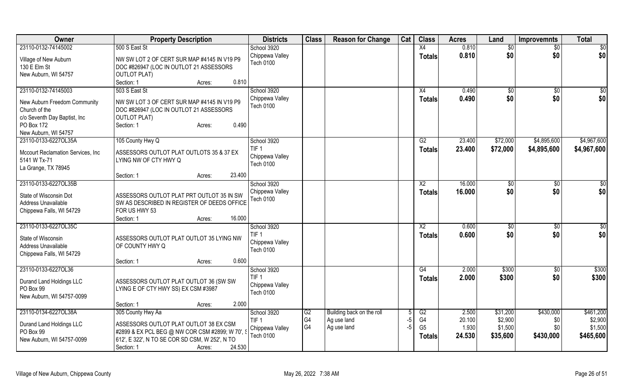| Owner                                      | <b>Property Description</b>                                    | <b>Districts</b> | <b>Class</b>   | <b>Reason for Change</b>  | Cat  | <b>Class</b>    | <b>Acres</b> | Land            | <b>Improvemnts</b> | <b>Total</b>    |
|--------------------------------------------|----------------------------------------------------------------|------------------|----------------|---------------------------|------|-----------------|--------------|-----------------|--------------------|-----------------|
| 23110-0132-74145002                        | 500 S East St                                                  | School 3920      |                |                           |      | $\overline{X4}$ | 0.810        | $\overline{50}$ | $\sqrt{$0}$        | $\overline{50}$ |
| Village of New Auburn                      | NW SW LOT 2 OF CERT SUR MAP #4145 IN V19 P9                    | Chippewa Valley  |                |                           |      | <b>Totals</b>   | 0.810        | \$0             | \$0                | \$0             |
| 130 E Elm St                               | DOC #826947 (LOC IN OUTLOT 21 ASSESSORS                        | <b>Tech 0100</b> |                |                           |      |                 |              |                 |                    |                 |
| New Auburn, WI 54757                       | <b>OUTLOT PLAT)</b>                                            |                  |                |                           |      |                 |              |                 |                    |                 |
|                                            | 0.810<br>Section: 1<br>Acres:                                  |                  |                |                           |      |                 |              |                 |                    |                 |
| 23110-0132-74145003                        | 503 S East St                                                  | School 3920      |                |                           |      | X4              | 0.490        | \$0             | $\sqrt{$0}$        | $\sqrt{50}$     |
|                                            |                                                                | Chippewa Valley  |                |                           |      | <b>Totals</b>   | 0.490        | \$0             | \$0                | \$0             |
| New Auburn Freedom Community               | NW SW LOT 3 OF CERT SUR MAP #4145 IN V19 P9                    | <b>Tech 0100</b> |                |                           |      |                 |              |                 |                    |                 |
| Church of the                              | DOC #826947 (LOC IN OUTLOT 21 ASSESSORS<br><b>OUTLOT PLAT)</b> |                  |                |                           |      |                 |              |                 |                    |                 |
| c/o Seventh Day Baptist, Inc<br>PO Box 172 | 0.490<br>Section: 1<br>Acres:                                  |                  |                |                           |      |                 |              |                 |                    |                 |
| New Auburn, WI 54757                       |                                                                |                  |                |                           |      |                 |              |                 |                    |                 |
| 23110-0133-6227OL35A                       | 105 County Hwy Q                                               | School 3920      |                |                           |      | G2              | 23.400       | \$72,000        | \$4,895,600        | \$4,967,600     |
|                                            |                                                                | TIF <sub>1</sub> |                |                           |      | <b>Totals</b>   | 23.400       | \$72,000        | \$4,895,600        | \$4,967,600     |
| Mccourt Reclamation Services, Inc          | ASSESSORS OUTLOT PLAT OUTLOTS 35 & 37 EX                       | Chippewa Valley  |                |                           |      |                 |              |                 |                    |                 |
| 5141 W Tx-71                               | LYING NW OF CTY HWY Q                                          | <b>Tech 0100</b> |                |                           |      |                 |              |                 |                    |                 |
| La Grange, TX 78945                        |                                                                |                  |                |                           |      |                 |              |                 |                    |                 |
|                                            | 23.400<br>Section: 1<br>Acres:                                 |                  |                |                           |      |                 |              |                 |                    |                 |
| 23110-0133-6227OL35B                       |                                                                | School 3920      |                |                           |      | $\overline{X2}$ | 16.000       | \$0             | \$0                | $\sqrt{50}$     |
| State of Wisconsin Dot                     | ASSESSORS OUTLOT PLAT PRT OUTLOT 35 IN SW                      | Chippewa Valley  |                |                           |      | <b>Totals</b>   | 16.000       | \$0             | \$0                | \$0             |
| Address Unavailable                        | SW AS DESCRIBED IN REGISTER OF DEEDS OFFICE                    | Tech 0100        |                |                           |      |                 |              |                 |                    |                 |
| Chippewa Falls, WI 54729                   | FOR US HWY 53                                                  |                  |                |                           |      |                 |              |                 |                    |                 |
|                                            | 16.000<br>Section: 1<br>Acres:                                 |                  |                |                           |      |                 |              |                 |                    |                 |
| 23110-0133-6227OL35C                       |                                                                | School 3920      |                |                           |      | X2              | 0.600        | \$0             | \$0                | \$0             |
| State of Wisconsin                         |                                                                | TIF <sub>1</sub> |                |                           |      | <b>Totals</b>   | 0.600        | \$0             | \$0                | \$0             |
| Address Unavailable                        | ASSESSORS OUTLOT PLAT OUTLOT 35 LYING NW<br>OF COUNTY HWY Q    | Chippewa Valley  |                |                           |      |                 |              |                 |                    |                 |
| Chippewa Falls, WI 54729                   |                                                                | <b>Tech 0100</b> |                |                           |      |                 |              |                 |                    |                 |
|                                            | 0.600<br>Section: 1<br>Acres:                                  |                  |                |                           |      |                 |              |                 |                    |                 |
| 23110-0133-6227OL36                        |                                                                | School 3920      |                |                           |      | G4              | 2.000        | \$300           | $\sqrt{6}$         | \$300           |
|                                            |                                                                | TIF <sub>1</sub> |                |                           |      |                 | 2.000        | \$300           | \$0                | \$300           |
| Durand Land Holdings LLC                   | ASSESSORS OUTLOT PLAT OUTLOT 36 (SW SW                         | Chippewa Valley  |                |                           |      | <b>Totals</b>   |              |                 |                    |                 |
| PO Box 99                                  | LYING E OF CTY HWY SS) EX CSM #3987                            | <b>Tech 0100</b> |                |                           |      |                 |              |                 |                    |                 |
| New Auburn, WI 54757-0099                  |                                                                |                  |                |                           |      |                 |              |                 |                    |                 |
|                                            | 2.000<br>Section: 1<br>Acres:                                  |                  |                |                           |      |                 |              |                 |                    |                 |
| 23110-0134-6227OL38A                       | 305 County Hwy Aa                                              | School 3920      | G2             | Building back on the roll |      | G2              | 2.500        | \$31,200        | \$430,000          | \$461,200       |
| Durand Land Holdings LLC                   | ASSESSORS OUTLOT PLAT OUTLOT 38 EX CSM                         | TIF <sub>1</sub> | G <sub>4</sub> | Ag use land               | -5   | G4              | 20.100       | \$2,900         | \$0                | \$2,900         |
| PO Box 99                                  | #2899 & EX PCL BEG @ NW COR CSM #2899; W 70', \$               | Chippewa Valley  | G4             | Ag use land               | $-5$ | G <sub>5</sub>  | 1.930        | \$1,500         | \$0                | \$1,500         |
| New Auburn, WI 54757-0099                  | 612', E 322', N TO SE COR SD CSM, W 252', N TO                 | Tech 0100        |                |                           |      | <b>Totals</b>   | 24.530       | \$35,600        | \$430,000          | \$465,600       |
|                                            | 24.530<br>Section: 1<br>Acres:                                 |                  |                |                           |      |                 |              |                 |                    |                 |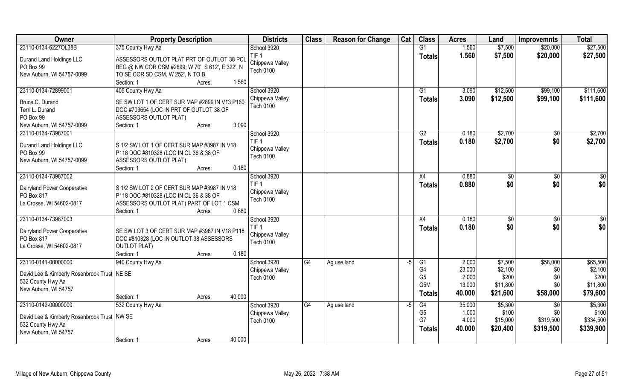| Owner                                         | <b>Property Description</b>                      | <b>Districts</b>                    | <b>Class</b> | <b>Reason for Change</b> | Cat  | <b>Class</b>     | <b>Acres</b> | Land         | <b>Improvemnts</b> | <b>Total</b> |
|-----------------------------------------------|--------------------------------------------------|-------------------------------------|--------------|--------------------------|------|------------------|--------------|--------------|--------------------|--------------|
| 23110-0134-6227OL38B                          | 375 County Hwy Aa                                | School 3920                         |              |                          |      | $\overline{G1}$  | 1.560        | \$7,500      | \$20,000           | \$27,500     |
| Durand Land Holdings LLC                      | ASSESSORS OUTLOT PLAT PRT OF OUTLOT 38 PCL       | TIF <sub>1</sub>                    |              |                          |      | <b>Totals</b>    | 1.560        | \$7,500      | \$20,000           | \$27,500     |
| PO Box 99                                     | BEG @ NW COR CSM #2899; W 70', S 612', E 322', N | Chippewa Valley                     |              |                          |      |                  |              |              |                    |              |
| New Auburn, WI 54757-0099                     | TO SE COR SD CSM, W 252', N TO B.                | <b>Tech 0100</b>                    |              |                          |      |                  |              |              |                    |              |
|                                               | 1.560<br>Section: 1<br>Acres:                    |                                     |              |                          |      |                  |              |              |                    |              |
| 23110-0134-72899001                           | 405 County Hwy Aa                                | School 3920                         |              |                          |      | G <sub>1</sub>   | 3.090        | \$12,500     | \$99,100           | \$111,600    |
| Bruce C. Durand                               | SE SW LOT 1 OF CERT SUR MAP #2899 IN V13 P160    | Chippewa Valley                     |              |                          |      | Totals           | 3.090        | \$12,500     | \$99,100           | \$111,600    |
| Terri L. Durand                               | DOC #703654 (LOC IN PRT OF OUTLOT 38 OF          | <b>Tech 0100</b>                    |              |                          |      |                  |              |              |                    |              |
| PO Box 99                                     | ASSESSORS OUTLOT PLAT)                           |                                     |              |                          |      |                  |              |              |                    |              |
| New Auburn, WI 54757-0099                     | 3.090<br>Section: 1<br>Acres:                    |                                     |              |                          |      |                  |              |              |                    |              |
| 23110-0134-73987001                           |                                                  | School 3920                         |              |                          |      | G2               | 0.180        | \$2,700      | $\sqrt[6]{}$       | \$2,700      |
|                                               |                                                  | TIF <sub>1</sub>                    |              |                          |      | <b>Totals</b>    | 0.180        | \$2,700      | \$0                | \$2,700      |
| Durand Land Holdings LLC                      | S 1/2 SW LOT 1 OF CERT SUR MAP #3987 IN V18      | Chippewa Valley                     |              |                          |      |                  |              |              |                    |              |
| PO Box 99                                     | P118 DOC #810328 (LOC IN OL 36 & 38 OF           | <b>Tech 0100</b>                    |              |                          |      |                  |              |              |                    |              |
| New Auburn, WI 54757-0099                     | <b>ASSESSORS OUTLOT PLAT)</b>                    |                                     |              |                          |      |                  |              |              |                    |              |
|                                               | 0.180<br>Section: 1<br>Acres:                    |                                     |              |                          |      |                  |              |              |                    |              |
| 23110-0134-73987002                           |                                                  | School 3920                         |              |                          |      | X4               | 0.880        | $\sqrt[6]{}$ | $\sqrt[6]{3}$      | \$0          |
| Dairyland Power Cooperative                   | S 1/2 SW LOT 2 OF CERT SUR MAP #3987 IN V18      | TIF <sub>1</sub>                    |              |                          |      | <b>Totals</b>    | 0.880        | \$0          | \$0                | \$0          |
| PO Box 817                                    | P118 DOC #810328 (LOC IN OL 36 & 38 OF           | Chippewa Valley<br><b>Tech 0100</b> |              |                          |      |                  |              |              |                    |              |
| La Crosse, WI 54602-0817                      | ASSESSORS OUTLOT PLAT) PART OF LOT 1 CSM         |                                     |              |                          |      |                  |              |              |                    |              |
|                                               | Section: 1<br>0.880<br>Acres:                    |                                     |              |                          |      |                  |              |              |                    |              |
| 23110-0134-73987003                           |                                                  | School 3920                         |              |                          |      | X4               | 0.180        | \$           | $\sqrt[6]{3}$      | \$0          |
| Dairyland Power Cooperative                   | SE SW LOT 3 OF CERT SUR MAP #3987 IN V18 P118    | TIF <sub>1</sub>                    |              |                          |      | <b>Totals</b>    | 0.180        | \$0          | \$0                | \$0          |
| PO Box 817                                    | DOC #810328 (LOC IN OUTLOT 38 ASSESSORS          | Chippewa Valley                     |              |                          |      |                  |              |              |                    |              |
| La Crosse, WI 54602-0817                      | <b>OUTLOT PLAT)</b>                              | <b>Tech 0100</b>                    |              |                          |      |                  |              |              |                    |              |
|                                               | Section: 1<br>0.180<br>Acres:                    |                                     |              |                          |      |                  |              |              |                    |              |
| 23110-0141-00000000                           | 940 County Hwy Aa                                | School 3920                         | G4           | Ag use land              | $-5$ | G1               | 2.000        | \$7,500      | \$58,000           | \$65,500     |
|                                               |                                                  | Chippewa Valley                     |              |                          |      | G4               | 23.000       | \$2,100      | \$0                | \$2,100      |
| David Lee & Kimberly Rosenbrook Trust   NE SE |                                                  | <b>Tech 0100</b>                    |              |                          |      | G <sub>5</sub>   | 2.000        | \$200        | \$0                | \$200        |
| 532 County Hwy Aa                             |                                                  |                                     |              |                          |      | G <sub>5</sub> M | 13.000       | \$11,800     | \$0                | \$11,800     |
| New Auburn, WI 54757                          | 40.000<br>Section: 1<br>Acres:                   |                                     |              |                          |      | <b>Totals</b>    | 40.000       | \$21,600     | \$58,000           | \$79,600     |
| 23110-0142-00000000                           | 532 County Hwy Aa                                | School 3920                         | G4           | Ag use land              | -5   | G4               | 35.000       | \$5,300      | \$0                | \$5,300      |
|                                               |                                                  | Chippewa Valley                     |              |                          |      | G <sub>5</sub>   | 1.000        | \$100        | \$0                | \$100        |
| David Lee & Kimberly Rosenbrook Trust   NW SE |                                                  | <b>Tech 0100</b>                    |              |                          |      | G7               | 4.000        | \$15,000     | \$319,500          | \$334,500    |
| 532 County Hwy Aa                             |                                                  |                                     |              |                          |      | <b>Totals</b>    | 40.000       | \$20,400     | \$319,500          | \$339,900    |
| New Auburn, WI 54757                          |                                                  |                                     |              |                          |      |                  |              |              |                    |              |
|                                               | 40.000<br>Section: 1<br>Acres:                   |                                     |              |                          |      |                  |              |              |                    |              |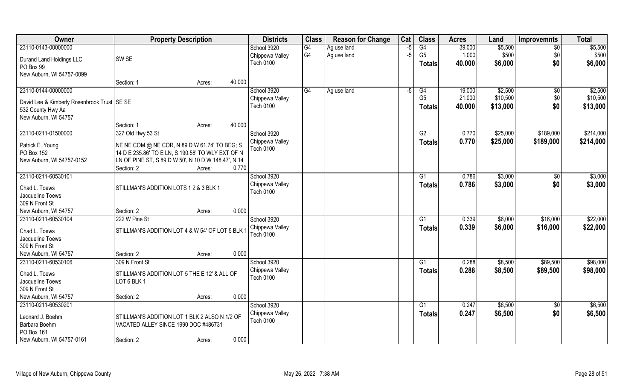| Owner                                         | <b>Property Description</b>                         |        | <b>Districts</b> | <b>Class</b>    | <b>Reason for Change</b> | Cat  | <b>Class</b>   | <b>Acres</b> | Land     | <b>Improvemnts</b> | <b>Total</b> |
|-----------------------------------------------|-----------------------------------------------------|--------|------------------|-----------------|--------------------------|------|----------------|--------------|----------|--------------------|--------------|
| 23110-0143-00000000                           |                                                     |        | School 3920      | $\overline{G4}$ | Ag use land              | $-5$ | G4             | 39.000       | \$5,500  | $\sqrt{6}$         | \$5,500      |
| Durand Land Holdings LLC                      | SW <sub>SE</sub>                                    |        | Chippewa Valley  | G <sub>4</sub>  | Ag use land              | $-5$ | G <sub>5</sub> | 1.000        | \$500    | \$0                | \$500        |
| PO Box 99                                     |                                                     |        | <b>Tech 0100</b> |                 |                          |      | Totals         | 40.000       | \$6,000  | \$0                | \$6,000      |
| New Auburn, WI 54757-0099                     |                                                     |        |                  |                 |                          |      |                |              |          |                    |              |
|                                               | Section: 1<br>Acres:                                | 40.000 |                  |                 |                          |      |                |              |          |                    |              |
| 23110-0144-00000000                           |                                                     |        | School 3920      | G4              | Ag use land              | $-5$ | G4             | 19.000       | \$2,500  | $\sqrt[6]{}$       | \$2,500      |
| David Lee & Kimberly Rosenbrook Trust   SE SE |                                                     |        | Chippewa Valley  |                 |                          |      | G <sub>5</sub> | 21.000       | \$10,500 | \$0                | \$10,500     |
| 532 County Hwy Aa                             |                                                     |        | <b>Tech 0100</b> |                 |                          |      | <b>Totals</b>  | 40.000       | \$13,000 | \$0                | \$13,000     |
| New Auburn, WI 54757                          |                                                     |        |                  |                 |                          |      |                |              |          |                    |              |
|                                               | Section: 1<br>Acres:                                | 40.000 |                  |                 |                          |      |                |              |          |                    |              |
| 23110-0211-01500000                           | 327 Old Hwy 53 St                                   |        | School 3920      |                 |                          |      | G2             | 0.770        | \$25,000 | \$189,000          | \$214,000    |
| Patrick E. Young                              | NE NE COM @ NE COR, N 89 D W 61.74' TO BEG; S       |        | Chippewa Valley  |                 |                          |      | <b>Totals</b>  | 0.770        | \$25,000 | \$189,000          | \$214,000    |
| PO Box 152                                    | 14 D E 235.86' TO E LN, S 190.58' TO WLY EXT OF N   |        | Tech 0100        |                 |                          |      |                |              |          |                    |              |
| New Auburn, WI 54757-0152                     | LN OF PINE ST, S 89 D W 50', N 10 D W 148.47', N 14 |        |                  |                 |                          |      |                |              |          |                    |              |
|                                               | Section: 2<br>Acres:                                | 0.770  |                  |                 |                          |      |                |              |          |                    |              |
| 23110-0211-60530101                           |                                                     |        | School 3920      |                 |                          |      | G <sub>1</sub> | 0.786        | \$3,000  | \$0                | \$3,000      |
| Chad L. Toews                                 | STILLMAN'S ADDITION LOTS 1 2 & 3 BLK 1              |        | Chippewa Valley  |                 |                          |      | <b>Totals</b>  | 0.786        | \$3,000  | \$0                | \$3,000      |
| Jacqueline Toews                              |                                                     |        | <b>Tech 0100</b> |                 |                          |      |                |              |          |                    |              |
| 309 N Front St                                |                                                     |        |                  |                 |                          |      |                |              |          |                    |              |
| New Auburn, WI 54757                          | Section: 2<br>Acres:                                | 0.000  |                  |                 |                          |      |                |              |          |                    |              |
| 23110-0211-60530104                           | 222 W Pine St                                       |        | School 3920      |                 |                          |      | G1             | 0.339        | \$6,000  | \$16,000           | \$22,000     |
| Chad L. Toews                                 | STILLMAN'S ADDITION LOT 4 & W 54' OF LOT 5 BLK      |        | Chippewa Valley  |                 |                          |      | Totals         | 0.339        | \$6,000  | \$16,000           | \$22,000     |
| Jacqueline Toews                              |                                                     |        | <b>Tech 0100</b> |                 |                          |      |                |              |          |                    |              |
| 309 N Front St                                |                                                     |        |                  |                 |                          |      |                |              |          |                    |              |
| New Auburn, WI 54757                          | Section: 2<br>Acres:                                | 0.000  |                  |                 |                          |      |                |              |          |                    |              |
| 23110-0211-60530106                           | 309 N Front St                                      |        | School 3920      |                 |                          |      | G1             | 0.288        | \$8,500  | \$89,500           | \$98,000     |
| Chad L. Toews                                 | STILLMAN'S ADDITION LOT 5 THE E 12' & ALL OF        |        | Chippewa Valley  |                 |                          |      | <b>Totals</b>  | 0.288        | \$8,500  | \$89,500           | \$98,000     |
| Jacqueline Toews                              | LOT 6 BLK 1                                         |        | <b>Tech 0100</b> |                 |                          |      |                |              |          |                    |              |
| 309 N Front St                                |                                                     |        |                  |                 |                          |      |                |              |          |                    |              |
| New Auburn, WI 54757                          | Section: 2<br>Acres:                                | 0.000  |                  |                 |                          |      |                |              |          |                    |              |
| 23110-0211-60530201                           |                                                     |        | School 3920      |                 |                          |      | G1             | 0.247        | \$6,500  | $\sqrt{$0}$        | \$6,500      |
| Leonard J. Boehm                              | STILLMAN'S ADDITION LOT 1 BLK 2 ALSO N 1/2 OF       |        | Chippewa Valley  |                 |                          |      | <b>Totals</b>  | 0.247        | \$6,500  | \$0                | \$6,500      |
| Barbara Boehm                                 | VACATED ALLEY SINCE 1990 DOC #486731                |        | <b>Tech 0100</b> |                 |                          |      |                |              |          |                    |              |
| PO Box 161                                    |                                                     |        |                  |                 |                          |      |                |              |          |                    |              |
| New Auburn, WI 54757-0161                     | Section: 2<br>Acres:                                | 0.000  |                  |                 |                          |      |                |              |          |                    |              |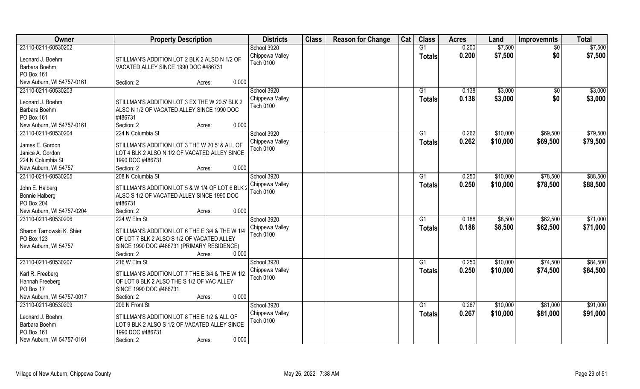| <b>Owner</b>              | <b>Property Description</b>                      | <b>Districts</b> | <b>Class</b> | <b>Reason for Change</b> | Cat | <b>Class</b>   | <b>Acres</b> | Land     | <b>Improvemnts</b> | <b>Total</b> |
|---------------------------|--------------------------------------------------|------------------|--------------|--------------------------|-----|----------------|--------------|----------|--------------------|--------------|
| 23110-0211-60530202       |                                                  | School 3920      |              |                          |     | G1             | 0.200        | \$7,500  | $\overline{50}$    | \$7,500      |
| Leonard J. Boehm          | STILLMAN'S ADDITION LOT 2 BLK 2 ALSO N 1/2 OF    | Chippewa Valley  |              |                          |     | <b>Totals</b>  | 0.200        | \$7,500  | \$0                | \$7,500      |
| Barbara Boehm             | VACATED ALLEY SINCE 1990 DOC #486731             | <b>Tech 0100</b> |              |                          |     |                |              |          |                    |              |
| PO Box 161                |                                                  |                  |              |                          |     |                |              |          |                    |              |
| New Auburn, WI 54757-0161 | 0.000<br>Section: 2<br>Acres:                    |                  |              |                          |     |                |              |          |                    |              |
| 23110-0211-60530203       |                                                  | School 3920      |              |                          |     | G <sub>1</sub> | 0.138        | \$3,000  | \$0                | \$3,000      |
|                           |                                                  | Chippewa Valley  |              |                          |     | <b>Totals</b>  | 0.138        | \$3,000  | \$0                | \$3,000      |
| Leonard J. Boehm          | STILLMAN'S ADDITION LOT 3 EX THE W 20.5' BLK 2   | <b>Tech 0100</b> |              |                          |     |                |              |          |                    |              |
| Barbara Boehm             | ALSO N 1/2 OF VACATED ALLEY SINCE 1990 DOC       |                  |              |                          |     |                |              |          |                    |              |
| PO Box 161                | #486731                                          |                  |              |                          |     |                |              |          |                    |              |
| New Auburn, WI 54757-0161 | 0.000<br>Section: 2<br>Acres:                    |                  |              |                          |     |                |              |          |                    |              |
| 23110-0211-60530204       | 224 N Columbia St                                | School 3920      |              |                          |     | G <sub>1</sub> | 0.262        | \$10,000 | \$69,500           | \$79,500     |
| James E. Gordon           | STILLMAN'S ADDITION LOT 3 THE W 20.5' & ALL OF   | Chippewa Valley  |              |                          |     | <b>Totals</b>  | 0.262        | \$10,000 | \$69,500           | \$79,500     |
| Janice A. Gordon          | LOT 4 BLK 2 ALSO N 1/2 OF VACATED ALLEY SINCE    | Tech 0100        |              |                          |     |                |              |          |                    |              |
| 224 N Columbia St         | 1990 DOC #486731                                 |                  |              |                          |     |                |              |          |                    |              |
| New Auburn, WI 54757      | 0.000<br>Section: 2<br>Acres:                    |                  |              |                          |     |                |              |          |                    |              |
| 23110-0211-60530205       | 208 N Columbia St                                | School 3920      |              |                          |     | G <sub>1</sub> | 0.250        | \$10,000 | \$78,500           | \$88,500     |
|                           |                                                  | Chippewa Valley  |              |                          |     |                | 0.250        | \$10,000 | \$78,500           | \$88,500     |
| John E. Halberg           | STILLMAN'S ADDITION LOT 5 & W 1/4 OF LOT 6 BLK : | Tech 0100        |              |                          |     | <b>Totals</b>  |              |          |                    |              |
| <b>Bonnie Halberg</b>     | ALSO S 1/2 OF VACATED ALLEY SINCE 1990 DOC       |                  |              |                          |     |                |              |          |                    |              |
| PO Box 204                | #486731                                          |                  |              |                          |     |                |              |          |                    |              |
| New Auburn, WI 54757-0204 | 0.000<br>Section: 2<br>Acres:                    |                  |              |                          |     |                |              |          |                    |              |
| 23110-0211-60530206       | 224 W Elm St                                     | School 3920      |              |                          |     | G1             | 0.188        | \$8,500  | \$62,500           | \$71,000     |
| Sharon Tarnowski K. Shier | STILLMAN'S ADDITION LOT 6 THE E 3/4 & THE W 1/4  | Chippewa Valley  |              |                          |     | <b>Totals</b>  | 0.188        | \$8,500  | \$62,500           | \$71,000     |
| PO Box 123                | OF LOT 7 BLK 2 ALSO S 1/2 OF VACATED ALLEY       | <b>Tech 0100</b> |              |                          |     |                |              |          |                    |              |
| New Auburn, WI 54757      | SINCE 1990 DOC #486731 (PRIMARY RESIDENCE)       |                  |              |                          |     |                |              |          |                    |              |
|                           | Section: 2<br>0.000<br>Acres:                    |                  |              |                          |     |                |              |          |                    |              |
| 23110-0211-60530207       | 216 W Elm St                                     | School 3920      |              |                          |     | G <sub>1</sub> | 0.250        | \$10,000 | \$74,500           | \$84,500     |
|                           |                                                  | Chippewa Valley  |              |                          |     |                | 0.250        | \$10,000 | \$74,500           | \$84,500     |
| Karl R. Freeberg          | STILLMAN'S ADDITION LOT 7 THE E 3/4 & THE W 1/2  | Tech 0100        |              |                          |     | <b>Totals</b>  |              |          |                    |              |
| Hannah Freeberg           | OF LOT 8 BLK 2 ALSO THE S 1/2 OF VAC ALLEY       |                  |              |                          |     |                |              |          |                    |              |
| PO Box 17                 | SINCE 1990 DOC #486731                           |                  |              |                          |     |                |              |          |                    |              |
| New Auburn, WI 54757-0017 | 0.000<br>Section: 2<br>Acres:                    |                  |              |                          |     |                |              |          |                    |              |
| 23110-0211-60530209       | 209 N Front St                                   | School 3920      |              |                          |     | G <sub>1</sub> | 0.267        | \$10,000 | \$81,000           | \$91,000     |
| Leonard J. Boehm          | STILLMAN'S ADDITION LOT 8 THE E 1/2 & ALL OF     | Chippewa Valley  |              |                          |     | <b>Totals</b>  | 0.267        | \$10,000 | \$81,000           | \$91,000     |
| Barbara Boehm             | LOT 9 BLK 2 ALSO S 1/2 OF VACATED ALLEY SINCE    | Tech 0100        |              |                          |     |                |              |          |                    |              |
| PO Box 161                | 1990 DOC #486731                                 |                  |              |                          |     |                |              |          |                    |              |
|                           |                                                  |                  |              |                          |     |                |              |          |                    |              |
| New Auburn, WI 54757-0161 | 0.000<br>Section: 2<br>Acres:                    |                  |              |                          |     |                |              |          |                    |              |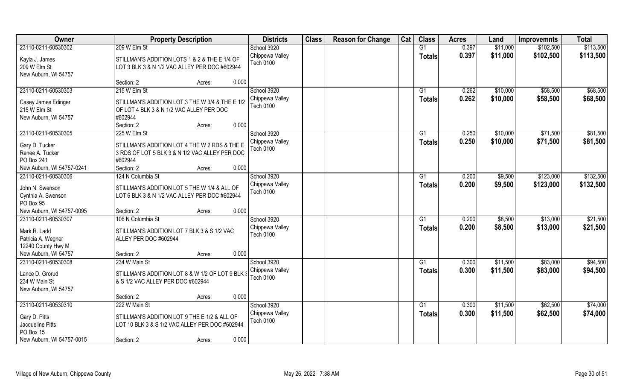| Owner                             | <b>Property Description</b>                                                                     | <b>Districts</b>             | <b>Class</b> | <b>Reason for Change</b> | Cat | <b>Class</b>    | <b>Acres</b> | Land     | <b>Improvemnts</b> | <b>Total</b> |
|-----------------------------------|-------------------------------------------------------------------------------------------------|------------------------------|--------------|--------------------------|-----|-----------------|--------------|----------|--------------------|--------------|
| 23110-0211-60530302               | 209 W Elm St                                                                                    | School 3920                  |              |                          |     | G1              | 0.397        | \$11,000 | \$102,500          | \$113,500    |
| Kayla J. James                    | STILLMAN'S ADDITION LOTS 1 & 2 & THE E 1/4 OF                                                   | Chippewa Valley<br>Tech 0100 |              |                          |     | <b>Totals</b>   | 0.397        | \$11,000 | \$102,500          | \$113,500    |
| 209 W Elm St                      | LOT 3 BLK 3 & N 1/2 VAC ALLEY PER DOC #602944                                                   |                              |              |                          |     |                 |              |          |                    |              |
| New Auburn, WI 54757              |                                                                                                 |                              |              |                          |     |                 |              |          |                    |              |
|                                   | 0.000<br>Section: 2<br>Acres:                                                                   |                              |              |                          |     |                 |              |          |                    |              |
| 23110-0211-60530303               | 215 W Elm St                                                                                    | School 3920                  |              |                          |     | $\overline{G1}$ | 0.262        | \$10,000 | \$58,500           | \$68,500     |
| Casey James Edinger               | STILLMAN'S ADDITION LOT 3 THE W 3/4 & THE E 1/2                                                 | Chippewa Valley              |              |                          |     | Totals          | 0.262        | \$10,000 | \$58,500           | \$68,500     |
| 215 W Elm St                      | OF LOT 4 BLK 3 & N 1/2 VAC ALLEY PER DOC                                                        | <b>Tech 0100</b>             |              |                          |     |                 |              |          |                    |              |
| New Auburn, WI 54757              | #602944                                                                                         |                              |              |                          |     |                 |              |          |                    |              |
|                                   | 0.000<br>Section: 2<br>Acres:                                                                   |                              |              |                          |     |                 |              |          |                    |              |
| 23110-0211-60530305               | 225 W Elm St                                                                                    | School 3920                  |              |                          |     | G1              | 0.250        | \$10,000 | \$71,500           | \$81,500     |
|                                   |                                                                                                 | Chippewa Valley              |              |                          |     | <b>Totals</b>   | 0.250        | \$10,000 | \$71,500           | \$81,500     |
| Gary D. Tucker<br>Renee A. Tucker | STILLMAN'S ADDITION LOT 4 THE W 2 RDS & THE E<br>3 RDS OF LOT 5 BLK 3 & N 1/2 VAC ALLEY PER DOC | Tech 0100                    |              |                          |     |                 |              |          |                    |              |
| PO Box 241                        | #602944                                                                                         |                              |              |                          |     |                 |              |          |                    |              |
| New Auburn, WI 54757-0241         | Section: 2<br>0.000<br>Acres:                                                                   |                              |              |                          |     |                 |              |          |                    |              |
| 23110-0211-60530306               | 124 N Columbia St                                                                               | School 3920                  |              |                          |     | G1              | 0.200        | \$9,500  | \$123,000          | \$132,500    |
|                                   |                                                                                                 | Chippewa Valley              |              |                          |     |                 | 0.200        | \$9,500  | \$123,000          | \$132,500    |
| John N. Swenson                   | STILLMAN'S ADDITION LOT 5 THE W 1/4 & ALL OF                                                    | <b>Tech 0100</b>             |              |                          |     | <b>Totals</b>   |              |          |                    |              |
| Cynthia A. Swenson                | LOT 6 BLK 3 & N 1/2 VAC ALLEY PER DOC #602944                                                   |                              |              |                          |     |                 |              |          |                    |              |
| PO Box 95                         |                                                                                                 |                              |              |                          |     |                 |              |          |                    |              |
| New Auburn, WI 54757-0095         | 0.000<br>Section: 2<br>Acres:                                                                   |                              |              |                          |     |                 |              |          |                    |              |
| 23110-0211-60530307               | 106 N Columbia St                                                                               | School 3920                  |              |                          |     | G1              | 0.200        | \$8,500  | \$13,000           | \$21,500     |
| Mark R. Ladd                      | STILLMAN'S ADDITION LOT 7 BLK 3 & S 1/2 VAC                                                     | Chippewa Valley              |              |                          |     | <b>Totals</b>   | 0.200        | \$8,500  | \$13,000           | \$21,500     |
| Patricia A. Wegner                | ALLEY PER DOC #602944                                                                           | <b>Tech 0100</b>             |              |                          |     |                 |              |          |                    |              |
| 12240 County Hwy M                |                                                                                                 |                              |              |                          |     |                 |              |          |                    |              |
| New Auburn, WI 54757              | 0.000<br>Section: 2<br>Acres:                                                                   |                              |              |                          |     |                 |              |          |                    |              |
| 23110-0211-60530308               | 234 W Main St                                                                                   | School 3920                  |              |                          |     | G1              | 0.300        | \$11,500 | \$83,000           | \$94,500     |
|                                   |                                                                                                 | Chippewa Valley              |              |                          |     | Totals          | 0.300        | \$11,500 | \$83,000           | \$94,500     |
| Lance D. Grorud                   | STILLMAN'S ADDITION LOT 8 & W 1/2 OF LOT 9 BLK 3                                                | <b>Tech 0100</b>             |              |                          |     |                 |              |          |                    |              |
| 234 W Main St                     | & S 1/2 VAC ALLEY PER DOC #602944                                                               |                              |              |                          |     |                 |              |          |                    |              |
| New Auburn, WI 54757              |                                                                                                 |                              |              |                          |     |                 |              |          |                    |              |
|                                   | 0.000<br>Section: 2<br>Acres:                                                                   |                              |              |                          |     |                 |              |          |                    |              |
| 23110-0211-60530310               | 222 W Main St                                                                                   | School 3920                  |              |                          |     | G1              | 0.300        | \$11,500 | \$62,500           | \$74,000     |
| Gary D. Pitts                     | STILLMAN'S ADDITION LOT 9 THE E 1/2 & ALL OF                                                    | Chippewa Valley              |              |                          |     | <b>Totals</b>   | 0.300        | \$11,500 | \$62,500           | \$74,000     |
| Jacqueline Pitts                  | LOT 10 BLK 3 & S 1/2 VAC ALLEY PER DOC #602944                                                  | Tech 0100                    |              |                          |     |                 |              |          |                    |              |
| PO Box 15                         |                                                                                                 |                              |              |                          |     |                 |              |          |                    |              |
| New Auburn, WI 54757-0015         | 0.000<br>Section: 2<br>Acres:                                                                   |                              |              |                          |     |                 |              |          |                    |              |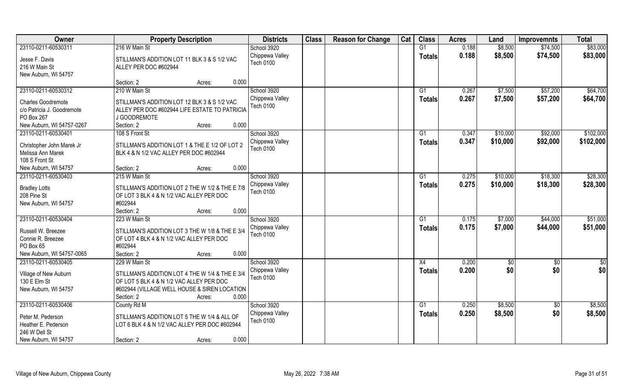| \$83,000<br>23110-0211-60530311<br>216 W Main St<br>School 3920<br>G1<br>0.188<br>\$8,500<br>\$74,500<br>0.188<br>\$83,000<br>Chippewa Valley<br>\$8,500<br>\$74,500<br><b>Totals</b><br>Jesse F. Davis<br>STILLMAN'S ADDITION LOT 11 BLK 3 & S 1/2 VAC<br><b>Tech 0100</b><br>216 W Main St<br>ALLEY PER DOC #602944<br>New Auburn, WI 54757<br>Section: 2<br>0.000<br>Acres:<br>210 W Main St<br>School 3920<br>23110-0211-60530312<br>0.267<br>\$7,500<br>\$57,200<br>\$64,700<br>G <sub>1</sub><br>Chippewa Valley<br>0.267<br>\$7,500<br>\$64,700<br>\$57,200<br><b>Totals</b><br>STILLMAN'S ADDITION LOT 12 BLK 3 & S 1/2 VAC<br><b>Charles Goodremote</b><br><b>Tech 0100</b><br>c/o Patricia J. Goodremote<br>ALLEY PER DOC #602944 LIFE ESTATE TO PATRICIA<br>PO Box 267<br>J GOODREMOTE<br>0.000<br>New Auburn, WI 54757-0267<br>Section: 2<br>Acres:<br>School 3920<br>23110-0211-60530401<br>G1<br>0.347<br>\$10,000<br>\$92,000<br>108 S Front St<br>Chippewa Valley<br>0.347<br>\$10,000<br>\$92,000<br><b>Totals</b><br>STILLMAN'S ADDITION LOT 1 & THE E 1/2 OF LOT 2<br>Christopher John Marek Jr<br><b>Tech 0100</b><br>Melissa Ann Marek<br>BLK 4 & N 1/2 VAC ALLEY PER DOC #602944<br>108 S Front St<br>0.000<br>New Auburn, WI 54757<br>Section: 2<br>Acres:<br>School 3920<br>\$18,300<br>23110-0211-60530403<br>215 W Main St<br>0.275<br>\$10,000<br>G1<br>0.275<br>Chippewa Valley<br>\$10,000<br>\$18,300<br><b>Totals</b><br>STILLMAN'S ADDITION LOT 2 THE W 1/2 & THE E 7/8<br><b>Bradley Lotts</b><br><b>Tech 0100</b><br>208 Pine St<br>OF LOT 3 BLK 4 & N 1/2 VAC ALLEY PER DOC<br>#602944<br>New Auburn, WI 54757<br>0.000<br>Section: 2<br>Acres:<br>23110-0211-60530404<br>223 W Main St<br>0.175<br>\$7,000<br>\$44,000<br>School 3920<br>G1<br>\$7,000<br>0.175<br>\$44,000<br>Chippewa Valley<br><b>Totals</b><br>Russell W. Breezee<br>STILLMAN'S ADDITION LOT 3 THE W 1/8 & THE E 3/4<br><b>Tech 0100</b><br>Connie R. Breezee<br>OF LOT 4 BLK 4 & N 1/2 VAC ALLEY PER DOC<br>#602944<br>PO Box 65<br>New Auburn, WI 54757-0065<br>Section: 2<br>0.000<br>Acres: | Owner | <b>Property Description</b> | <b>Districts</b> | <b>Class</b> | <b>Reason for Change</b> | Cat | <b>Class</b> | <b>Acres</b> | Land | <b>Improvemnts</b> | <b>Total</b> |
|---------------------------------------------------------------------------------------------------------------------------------------------------------------------------------------------------------------------------------------------------------------------------------------------------------------------------------------------------------------------------------------------------------------------------------------------------------------------------------------------------------------------------------------------------------------------------------------------------------------------------------------------------------------------------------------------------------------------------------------------------------------------------------------------------------------------------------------------------------------------------------------------------------------------------------------------------------------------------------------------------------------------------------------------------------------------------------------------------------------------------------------------------------------------------------------------------------------------------------------------------------------------------------------------------------------------------------------------------------------------------------------------------------------------------------------------------------------------------------------------------------------------------------------------------------------------------------------------------------------------------------------------------------------------------------------------------------------------------------------------------------------------------------------------------------------------------------------------------------------------------------------------------------------------------------------------------------------------------------------------------------------------------------------------------------------------------------------------------------|-------|-----------------------------|------------------|--------------|--------------------------|-----|--------------|--------------|------|--------------------|--------------|
|                                                                                                                                                                                                                                                                                                                                                                                                                                                                                                                                                                                                                                                                                                                                                                                                                                                                                                                                                                                                                                                                                                                                                                                                                                                                                                                                                                                                                                                                                                                                                                                                                                                                                                                                                                                                                                                                                                                                                                                                                                                                                                         |       |                             |                  |              |                          |     |              |              |      |                    |              |
|                                                                                                                                                                                                                                                                                                                                                                                                                                                                                                                                                                                                                                                                                                                                                                                                                                                                                                                                                                                                                                                                                                                                                                                                                                                                                                                                                                                                                                                                                                                                                                                                                                                                                                                                                                                                                                                                                                                                                                                                                                                                                                         |       |                             |                  |              |                          |     |              |              |      |                    |              |
|                                                                                                                                                                                                                                                                                                                                                                                                                                                                                                                                                                                                                                                                                                                                                                                                                                                                                                                                                                                                                                                                                                                                                                                                                                                                                                                                                                                                                                                                                                                                                                                                                                                                                                                                                                                                                                                                                                                                                                                                                                                                                                         |       |                             |                  |              |                          |     |              |              |      |                    |              |
|                                                                                                                                                                                                                                                                                                                                                                                                                                                                                                                                                                                                                                                                                                                                                                                                                                                                                                                                                                                                                                                                                                                                                                                                                                                                                                                                                                                                                                                                                                                                                                                                                                                                                                                                                                                                                                                                                                                                                                                                                                                                                                         |       |                             |                  |              |                          |     |              |              |      |                    |              |
|                                                                                                                                                                                                                                                                                                                                                                                                                                                                                                                                                                                                                                                                                                                                                                                                                                                                                                                                                                                                                                                                                                                                                                                                                                                                                                                                                                                                                                                                                                                                                                                                                                                                                                                                                                                                                                                                                                                                                                                                                                                                                                         |       |                             |                  |              |                          |     |              |              |      |                    |              |
|                                                                                                                                                                                                                                                                                                                                                                                                                                                                                                                                                                                                                                                                                                                                                                                                                                                                                                                                                                                                                                                                                                                                                                                                                                                                                                                                                                                                                                                                                                                                                                                                                                                                                                                                                                                                                                                                                                                                                                                                                                                                                                         |       |                             |                  |              |                          |     |              |              |      |                    |              |
| \$102,000<br>\$102,000<br>\$28,300<br>\$28,300<br>\$51,000<br>\$51,000                                                                                                                                                                                                                                                                                                                                                                                                                                                                                                                                                                                                                                                                                                                                                                                                                                                                                                                                                                                                                                                                                                                                                                                                                                                                                                                                                                                                                                                                                                                                                                                                                                                                                                                                                                                                                                                                                                                                                                                                                                  |       |                             |                  |              |                          |     |              |              |      |                    |              |
|                                                                                                                                                                                                                                                                                                                                                                                                                                                                                                                                                                                                                                                                                                                                                                                                                                                                                                                                                                                                                                                                                                                                                                                                                                                                                                                                                                                                                                                                                                                                                                                                                                                                                                                                                                                                                                                                                                                                                                                                                                                                                                         |       |                             |                  |              |                          |     |              |              |      |                    |              |
|                                                                                                                                                                                                                                                                                                                                                                                                                                                                                                                                                                                                                                                                                                                                                                                                                                                                                                                                                                                                                                                                                                                                                                                                                                                                                                                                                                                                                                                                                                                                                                                                                                                                                                                                                                                                                                                                                                                                                                                                                                                                                                         |       |                             |                  |              |                          |     |              |              |      |                    |              |
|                                                                                                                                                                                                                                                                                                                                                                                                                                                                                                                                                                                                                                                                                                                                                                                                                                                                                                                                                                                                                                                                                                                                                                                                                                                                                                                                                                                                                                                                                                                                                                                                                                                                                                                                                                                                                                                                                                                                                                                                                                                                                                         |       |                             |                  |              |                          |     |              |              |      |                    |              |
|                                                                                                                                                                                                                                                                                                                                                                                                                                                                                                                                                                                                                                                                                                                                                                                                                                                                                                                                                                                                                                                                                                                                                                                                                                                                                                                                                                                                                                                                                                                                                                                                                                                                                                                                                                                                                                                                                                                                                                                                                                                                                                         |       |                             |                  |              |                          |     |              |              |      |                    |              |
|                                                                                                                                                                                                                                                                                                                                                                                                                                                                                                                                                                                                                                                                                                                                                                                                                                                                                                                                                                                                                                                                                                                                                                                                                                                                                                                                                                                                                                                                                                                                                                                                                                                                                                                                                                                                                                                                                                                                                                                                                                                                                                         |       |                             |                  |              |                          |     |              |              |      |                    |              |
|                                                                                                                                                                                                                                                                                                                                                                                                                                                                                                                                                                                                                                                                                                                                                                                                                                                                                                                                                                                                                                                                                                                                                                                                                                                                                                                                                                                                                                                                                                                                                                                                                                                                                                                                                                                                                                                                                                                                                                                                                                                                                                         |       |                             |                  |              |                          |     |              |              |      |                    |              |
|                                                                                                                                                                                                                                                                                                                                                                                                                                                                                                                                                                                                                                                                                                                                                                                                                                                                                                                                                                                                                                                                                                                                                                                                                                                                                                                                                                                                                                                                                                                                                                                                                                                                                                                                                                                                                                                                                                                                                                                                                                                                                                         |       |                             |                  |              |                          |     |              |              |      |                    |              |
|                                                                                                                                                                                                                                                                                                                                                                                                                                                                                                                                                                                                                                                                                                                                                                                                                                                                                                                                                                                                                                                                                                                                                                                                                                                                                                                                                                                                                                                                                                                                                                                                                                                                                                                                                                                                                                                                                                                                                                                                                                                                                                         |       |                             |                  |              |                          |     |              |              |      |                    |              |
|                                                                                                                                                                                                                                                                                                                                                                                                                                                                                                                                                                                                                                                                                                                                                                                                                                                                                                                                                                                                                                                                                                                                                                                                                                                                                                                                                                                                                                                                                                                                                                                                                                                                                                                                                                                                                                                                                                                                                                                                                                                                                                         |       |                             |                  |              |                          |     |              |              |      |                    |              |
|                                                                                                                                                                                                                                                                                                                                                                                                                                                                                                                                                                                                                                                                                                                                                                                                                                                                                                                                                                                                                                                                                                                                                                                                                                                                                                                                                                                                                                                                                                                                                                                                                                                                                                                                                                                                                                                                                                                                                                                                                                                                                                         |       |                             |                  |              |                          |     |              |              |      |                    |              |
|                                                                                                                                                                                                                                                                                                                                                                                                                                                                                                                                                                                                                                                                                                                                                                                                                                                                                                                                                                                                                                                                                                                                                                                                                                                                                                                                                                                                                                                                                                                                                                                                                                                                                                                                                                                                                                                                                                                                                                                                                                                                                                         |       |                             |                  |              |                          |     |              |              |      |                    |              |
|                                                                                                                                                                                                                                                                                                                                                                                                                                                                                                                                                                                                                                                                                                                                                                                                                                                                                                                                                                                                                                                                                                                                                                                                                                                                                                                                                                                                                                                                                                                                                                                                                                                                                                                                                                                                                                                                                                                                                                                                                                                                                                         |       |                             |                  |              |                          |     |              |              |      |                    |              |
|                                                                                                                                                                                                                                                                                                                                                                                                                                                                                                                                                                                                                                                                                                                                                                                                                                                                                                                                                                                                                                                                                                                                                                                                                                                                                                                                                                                                                                                                                                                                                                                                                                                                                                                                                                                                                                                                                                                                                                                                                                                                                                         |       |                             |                  |              |                          |     |              |              |      |                    |              |
|                                                                                                                                                                                                                                                                                                                                                                                                                                                                                                                                                                                                                                                                                                                                                                                                                                                                                                                                                                                                                                                                                                                                                                                                                                                                                                                                                                                                                                                                                                                                                                                                                                                                                                                                                                                                                                                                                                                                                                                                                                                                                                         |       |                             |                  |              |                          |     |              |              |      |                    |              |
|                                                                                                                                                                                                                                                                                                                                                                                                                                                                                                                                                                                                                                                                                                                                                                                                                                                                                                                                                                                                                                                                                                                                                                                                                                                                                                                                                                                                                                                                                                                                                                                                                                                                                                                                                                                                                                                                                                                                                                                                                                                                                                         |       |                             |                  |              |                          |     |              |              |      |                    |              |
|                                                                                                                                                                                                                                                                                                                                                                                                                                                                                                                                                                                                                                                                                                                                                                                                                                                                                                                                                                                                                                                                                                                                                                                                                                                                                                                                                                                                                                                                                                                                                                                                                                                                                                                                                                                                                                                                                                                                                                                                                                                                                                         |       |                             |                  |              |                          |     |              |              |      |                    |              |
|                                                                                                                                                                                                                                                                                                                                                                                                                                                                                                                                                                                                                                                                                                                                                                                                                                                                                                                                                                                                                                                                                                                                                                                                                                                                                                                                                                                                                                                                                                                                                                                                                                                                                                                                                                                                                                                                                                                                                                                                                                                                                                         |       |                             |                  |              |                          |     |              |              |      |                    |              |
|                                                                                                                                                                                                                                                                                                                                                                                                                                                                                                                                                                                                                                                                                                                                                                                                                                                                                                                                                                                                                                                                                                                                                                                                                                                                                                                                                                                                                                                                                                                                                                                                                                                                                                                                                                                                                                                                                                                                                                                                                                                                                                         |       |                             |                  |              |                          |     |              |              |      |                    |              |
|                                                                                                                                                                                                                                                                                                                                                                                                                                                                                                                                                                                                                                                                                                                                                                                                                                                                                                                                                                                                                                                                                                                                                                                                                                                                                                                                                                                                                                                                                                                                                                                                                                                                                                                                                                                                                                                                                                                                                                                                                                                                                                         |       |                             |                  |              |                          |     |              |              |      |                    |              |
|                                                                                                                                                                                                                                                                                                                                                                                                                                                                                                                                                                                                                                                                                                                                                                                                                                                                                                                                                                                                                                                                                                                                                                                                                                                                                                                                                                                                                                                                                                                                                                                                                                                                                                                                                                                                                                                                                                                                                                                                                                                                                                         |       |                             |                  |              |                          |     |              |              |      |                    |              |
| School 3920<br>23110-0211-60530405<br>229 W Main St<br>X4<br>0.200<br>$\sqrt{6}$<br>$\overline{50}$<br>\$0                                                                                                                                                                                                                                                                                                                                                                                                                                                                                                                                                                                                                                                                                                                                                                                                                                                                                                                                                                                                                                                                                                                                                                                                                                                                                                                                                                                                                                                                                                                                                                                                                                                                                                                                                                                                                                                                                                                                                                                              |       |                             |                  |              |                          |     |              |              |      |                    |              |
| \$0<br>\$0<br>0.200<br>\$0<br>Chippewa Valley<br><b>Totals</b><br>Village of New Auburn<br>STILLMAN'S ADDITION LOT 4 THE W 1/4 & THE E 3/4                                                                                                                                                                                                                                                                                                                                                                                                                                                                                                                                                                                                                                                                                                                                                                                                                                                                                                                                                                                                                                                                                                                                                                                                                                                                                                                                                                                                                                                                                                                                                                                                                                                                                                                                                                                                                                                                                                                                                              |       |                             |                  |              |                          |     |              |              |      |                    |              |
| Tech 0100<br>130 E Elm St<br>OF LOT 5 BLK 4 & N 1/2 VAC ALLEY PER DOC                                                                                                                                                                                                                                                                                                                                                                                                                                                                                                                                                                                                                                                                                                                                                                                                                                                                                                                                                                                                                                                                                                                                                                                                                                                                                                                                                                                                                                                                                                                                                                                                                                                                                                                                                                                                                                                                                                                                                                                                                                   |       |                             |                  |              |                          |     |              |              |      |                    |              |
| New Auburn, WI 54757<br>#602944 (VILLAGE WELL HOUSE & SIREN LOCATION                                                                                                                                                                                                                                                                                                                                                                                                                                                                                                                                                                                                                                                                                                                                                                                                                                                                                                                                                                                                                                                                                                                                                                                                                                                                                                                                                                                                                                                                                                                                                                                                                                                                                                                                                                                                                                                                                                                                                                                                                                    |       |                             |                  |              |                          |     |              |              |      |                    |              |
| 0.000<br>Section: 2<br>Acres:                                                                                                                                                                                                                                                                                                                                                                                                                                                                                                                                                                                                                                                                                                                                                                                                                                                                                                                                                                                                                                                                                                                                                                                                                                                                                                                                                                                                                                                                                                                                                                                                                                                                                                                                                                                                                                                                                                                                                                                                                                                                           |       |                             |                  |              |                          |     |              |              |      |                    |              |
| 23110-0211-60530406<br>\$8,500<br>\$8,500<br>County Rd M<br>School 3920<br>G1<br>0.250<br>$\overline{60}$                                                                                                                                                                                                                                                                                                                                                                                                                                                                                                                                                                                                                                                                                                                                                                                                                                                                                                                                                                                                                                                                                                                                                                                                                                                                                                                                                                                                                                                                                                                                                                                                                                                                                                                                                                                                                                                                                                                                                                                               |       |                             |                  |              |                          |     |              |              |      |                    |              |
| \$0<br>Chippewa Valley<br>0.250<br>\$8,500<br>\$8,500<br><b>Totals</b><br>STILLMAN'S ADDITION LOT 5 THE W 1/4 & ALL OF<br>Peter M. Pederson                                                                                                                                                                                                                                                                                                                                                                                                                                                                                                                                                                                                                                                                                                                                                                                                                                                                                                                                                                                                                                                                                                                                                                                                                                                                                                                                                                                                                                                                                                                                                                                                                                                                                                                                                                                                                                                                                                                                                             |       |                             |                  |              |                          |     |              |              |      |                    |              |
| <b>Tech 0100</b><br>Heather E. Pederson<br>LOT 6 BLK 4 & N 1/2 VAC ALLEY PER DOC #602944                                                                                                                                                                                                                                                                                                                                                                                                                                                                                                                                                                                                                                                                                                                                                                                                                                                                                                                                                                                                                                                                                                                                                                                                                                                                                                                                                                                                                                                                                                                                                                                                                                                                                                                                                                                                                                                                                                                                                                                                                |       |                             |                  |              |                          |     |              |              |      |                    |              |
| 246 W Dell St                                                                                                                                                                                                                                                                                                                                                                                                                                                                                                                                                                                                                                                                                                                                                                                                                                                                                                                                                                                                                                                                                                                                                                                                                                                                                                                                                                                                                                                                                                                                                                                                                                                                                                                                                                                                                                                                                                                                                                                                                                                                                           |       |                             |                  |              |                          |     |              |              |      |                    |              |
| 0.000<br>New Auburn, WI 54757<br>Section: 2<br>Acres:                                                                                                                                                                                                                                                                                                                                                                                                                                                                                                                                                                                                                                                                                                                                                                                                                                                                                                                                                                                                                                                                                                                                                                                                                                                                                                                                                                                                                                                                                                                                                                                                                                                                                                                                                                                                                                                                                                                                                                                                                                                   |       |                             |                  |              |                          |     |              |              |      |                    |              |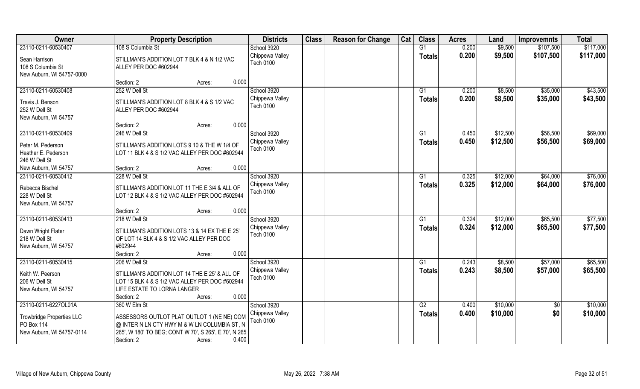| Owner                                                                                               | <b>Property Description</b>                                                                                                                                                                           | <b>Districts</b>                                   | <b>Class</b> | <b>Reason for Change</b> | Cat | <b>Class</b>        | <b>Acres</b>   | Land                 | <b>Improvemnts</b>     | <b>Total</b>         |
|-----------------------------------------------------------------------------------------------------|-------------------------------------------------------------------------------------------------------------------------------------------------------------------------------------------------------|----------------------------------------------------|--------------|--------------------------|-----|---------------------|----------------|----------------------|------------------------|----------------------|
| 23110-0211-60530407                                                                                 | 108 S Columbia St                                                                                                                                                                                     | School 3920                                        |              |                          |     | G1                  | 0.200          | \$9,500              | \$107,500              | \$117,000            |
| Sean Harrison<br>108 S Columbia St<br>New Auburn, WI 54757-0000                                     | STILLMAN'S ADDITION LOT 7 BLK 4 & N 1/2 VAC<br>ALLEY PER DOC #602944                                                                                                                                  | Chippewa Valley<br><b>Tech 0100</b>                |              |                          |     | <b>Totals</b>       | 0.200          | \$9,500              | \$107,500              | \$117,000            |
|                                                                                                     | 0.000<br>Section: 2<br>Acres:                                                                                                                                                                         |                                                    |              |                          |     |                     |                |                      |                        |                      |
| 23110-0211-60530408                                                                                 | 252 W Dell St                                                                                                                                                                                         | School 3920<br>Chippewa Valley                     |              |                          |     | G1<br>Totals        | 0.200<br>0.200 | \$8,500<br>\$8,500   | \$35,000<br>\$35,000   | \$43,500<br>\$43,500 |
| Travis J. Benson<br>252 W Dell St<br>New Auburn, WI 54757                                           | STILLMAN'S ADDITION LOT 8 BLK 4 & S 1/2 VAC<br>ALLEY PER DOC #602944                                                                                                                                  | <b>Tech 0100</b>                                   |              |                          |     |                     |                |                      |                        |                      |
|                                                                                                     | 0.000<br>Section: 2<br>Acres:                                                                                                                                                                         |                                                    |              |                          |     |                     |                |                      |                        |                      |
| 23110-0211-60530409                                                                                 | 246 W Dell St                                                                                                                                                                                         | School 3920                                        |              |                          |     | G1                  | 0.450          | \$12,500             | \$56,500               | \$69,000             |
| Peter M. Pederson<br>Heather E. Pederson<br>246 W Dell St                                           | STILLMAN'S ADDITION LOTS 9 10 & THE W 1/4 OF<br>LOT 11 BLK 4 & S 1/2 VAC ALLEY PER DOC #602944                                                                                                        | Chippewa Valley<br><b>Tech 0100</b>                |              |                          |     | <b>Totals</b>       | 0.450          | \$12,500             | \$56,500               | \$69,000             |
| New Auburn, WI 54757                                                                                | 0.000<br>Section: 2<br>Acres:                                                                                                                                                                         |                                                    |              |                          |     |                     |                |                      |                        |                      |
| 23110-0211-60530412                                                                                 | 228 W Dell St                                                                                                                                                                                         | School 3920                                        |              |                          |     | G1                  | 0.325          | \$12,000             | \$64,000               | \$76,000             |
| Rebecca Bischel<br>228 W Dell St<br>New Auburn, WI 54757                                            | STILLMAN'S ADDITION LOT 11 THE E 3/4 & ALL OF<br>LOT 12 BLK 4 & S 1/2 VAC ALLEY PER DOC #602944                                                                                                       | Chippewa Valley<br>Tech 0100                       |              |                          |     | <b>Totals</b>       | 0.325          | \$12,000             | \$64,000               | \$76,000             |
|                                                                                                     | 0.000<br>Section: 2<br>Acres:                                                                                                                                                                         |                                                    |              |                          |     |                     |                |                      |                        |                      |
| 23110-0211-60530413                                                                                 | 218 W Dell St                                                                                                                                                                                         | School 3920<br>Chippewa Valley                     |              |                          |     | G1<br><b>Totals</b> | 0.324<br>0.324 | \$12,000<br>\$12,000 | \$65,500<br>\$65,500   | \$77,500<br>\$77,500 |
| Dawn Wright Flater<br>218 W Dell St<br>New Auburn, WI 54757                                         | STILLMAN'S ADDITION LOTS 13 & 14 EX THE E 25'<br>OF LOT 14 BLK 4 & S 1/2 VAC ALLEY PER DOC<br>#602944<br>0.000<br>Section: 2<br>Acres:                                                                | <b>Tech 0100</b>                                   |              |                          |     |                     |                |                      |                        |                      |
| 23110-0211-60530415                                                                                 | 206 W Dell St                                                                                                                                                                                         | School 3920                                        |              |                          |     | G1                  | 0.243          | \$8,500              | \$57,000               | \$65,500             |
| Keith W. Peerson<br>206 W Dell St<br>New Auburn, WI 54757                                           | STILLMAN'S ADDITION LOT 14 THE E 25' & ALL OF<br>LOT 15 BLK 4 & S 1/2 VAC ALLEY PER DOC #602944<br>LIFE ESTATE TO LORNA LANGER<br>0.000<br>Section: 2<br>Acres:                                       | Chippewa Valley<br>Tech 0100                       |              |                          |     | <b>Totals</b>       | 0.243          | \$8,500              | \$57,000               | \$65,500             |
| 23110-0211-6227OL01A<br><b>Trowbridge Properties LLC</b><br>PO Box 114<br>New Auburn, WI 54757-0114 | 360 W Elm St<br>ASSESSORS OUTLOT PLAT OUTLOT 1 (NE NE) COM<br>@ INTER N LN CTY HWY M & W LN COLUMBIA ST, N<br>265', W 180' TO BEG; CONT W 70', S 265', E 70', N 265'<br>0.400<br>Section: 2<br>Acres: | School 3920<br>Chippewa Valley<br><b>Tech 0100</b> |              |                          |     | G2<br><b>Totals</b> | 0.400<br>0.400 | \$10,000<br>\$10,000 | $\overline{50}$<br>\$0 | \$10,000<br>\$10,000 |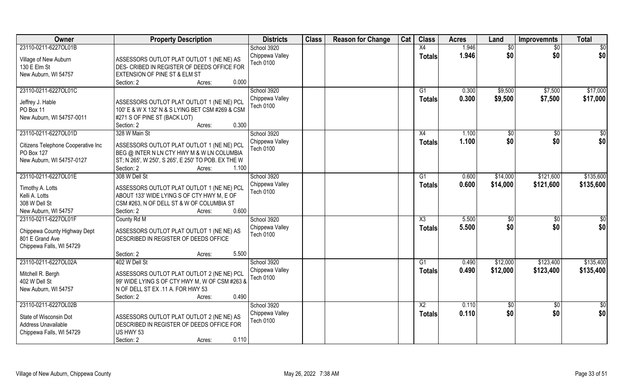| Owner                                                                                                 | <b>Property Description</b>                                                                                                                                                                       | <b>Districts</b>                                   | <b>Class</b> | <b>Reason for Change</b> | Cat | <b>Class</b>                     | <b>Acres</b>   | Land                 | <b>Improvemnts</b>     | <b>Total</b>           |
|-------------------------------------------------------------------------------------------------------|---------------------------------------------------------------------------------------------------------------------------------------------------------------------------------------------------|----------------------------------------------------|--------------|--------------------------|-----|----------------------------------|----------------|----------------------|------------------------|------------------------|
| 23110-0211-6227OL01B                                                                                  |                                                                                                                                                                                                   | School 3920                                        |              |                          |     | X4                               | 1.946          | \$0                  | \$0                    | \$0                    |
| Village of New Auburn<br>130 E Elm St<br>New Auburn, WI 54757                                         | ASSESSORS OUTLOT PLAT OUTLOT 1 (NE NE) AS<br>DES- CRIBED IN REGISTER OF DEEDS OFFICE FOR<br>EXTENSION OF PINE ST & ELM ST<br>Section: 2<br>0.000<br>Acres:                                        | Chippewa Valley<br>Tech 0100                       |              |                          |     | <b>Totals</b>                    | 1.946          | \$0                  | \$0                    | \$0                    |
| 23110-0211-6227OL01C<br>Jeffrey J. Hable<br>PO Box 11<br>New Auburn, WI 54757-0011                    | ASSESSORS OUTLOT PLAT OUTLOT 1 (NE NE) PCL<br>100' E & W X 132' N & S LYING BET CSM #269 & CSM<br>#271 S OF PINE ST (BACK LOT)<br>0.300<br>Section: 2<br>Acres:                                   | School 3920<br>Chippewa Valley<br><b>Tech 0100</b> |              |                          |     | G1<br><b>Totals</b>              | 0.300<br>0.300 | \$9,500<br>\$9,500   | \$7,500<br>\$7,500     | \$17,000<br>\$17,000   |
| 23110-0211-6227OL01D<br>Citizens Telephone Cooperative Inc<br>PO Box 127<br>New Auburn, WI 54757-0127 | 328 W Main St<br>ASSESSORS OUTLOT PLAT OUTLOT 1 (NE NE) PCL<br>BEG @ INTER N LN CTY HWY M & W LN COLUMBIA<br>ST; N 265', W 250', S 265', E 250' TO POB. EX THE W<br>1.100<br>Section: 2<br>Acres: | School 3920<br>Chippewa Valley<br>Tech 0100        |              |                          |     | X4<br><b>Totals</b>              | 1.100<br>1.100 | \$0<br>\$0           | $\sqrt{50}$<br>\$0     | \$0<br>\$0             |
| 23110-0211-6227OL01E<br>Timothy A. Lotts<br>Kelli A. Lotts<br>308 W Dell St<br>New Auburn, WI 54757   | 308 W Dell St<br>ASSESSORS OUTLOT PLAT OUTLOT 1 (NE NE) PCL<br>ABOUT 133' WIDE LYING S OF CTY HWY M, E OF<br>CSM #263, N OF DELL ST & W OF COLUMBIA ST<br>0.600<br>Section: 2<br>Acres:           | School 3920<br>Chippewa Valley<br><b>Tech 0100</b> |              |                          |     | G1<br><b>Totals</b>              | 0.600<br>0.600 | \$14,000<br>\$14,000 | \$121,600<br>\$121,600 | \$135,600<br>\$135,600 |
| 23110-0211-6227OL01F<br>Chippewa County Highway Dept<br>801 E Grand Ave<br>Chippewa Falls, WI 54729   | County Rd M<br>ASSESSORS OUTLOT PLAT OUTLOT 1 (NE NE) AS<br>DESCRIBED IN REGISTER OF DEEDS OFFICE<br>5.500<br>Section: 2<br>Acres:                                                                | School 3920<br>Chippewa Valley<br><b>Tech 0100</b> |              |                          |     | X3<br><b>Totals</b>              | 5.500<br>5.500 | \$0<br>\$0           | \$0<br>\$0             | \$0<br>\$0             |
| 23110-0211-6227OL02A<br>Mitchell R. Bergh<br>402 W Dell St<br>New Auburn, WI 54757                    | 402 W Dell St<br>ASSESSORS OUTLOT PLAT OUTLOT 2 (NE NE) PCL<br>99' WIDE LYING S OF CTY HWY M, W OF CSM #263 &<br>N OF DELL ST EX .11 A. FOR HWY 53<br>0.490<br>Section: 2<br>Acres:               | School 3920<br>Chippewa Valley<br>Tech 0100        |              |                          |     | G1<br><b>Totals</b>              | 0.490<br>0.490 | \$12,000<br>\$12,000 | \$123,400<br>\$123,400 | \$135,400<br>\$135,400 |
| 23110-0211-6227OL02B<br>State of Wisconsin Dot<br>Address Unavailable<br>Chippewa Falls, WI 54729     | ASSESSORS OUTLOT PLAT OUTLOT 2 (NE NE) AS<br>DESCRIBED IN REGISTER OF DEEDS OFFICE FOR<br>US HWY 53<br>0.110<br>Section: 2<br>Acres:                                                              | School 3920<br>Chippewa Valley<br>Tech 0100        |              |                          |     | $\overline{X2}$<br><b>Totals</b> | 0.110<br>0.110 | \$0<br>\$0           | $\overline{60}$<br>\$0 | \$0<br>\$0             |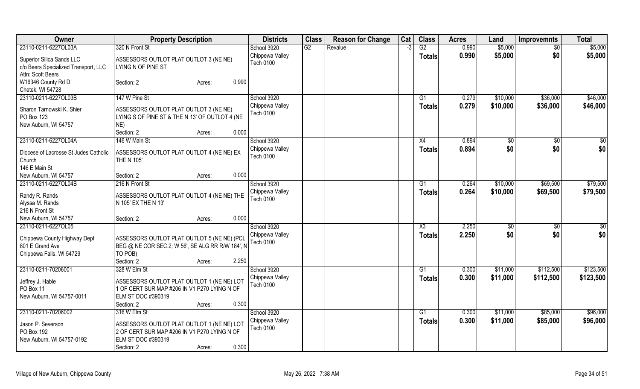| Owner                                           | <b>Property Description</b>                                                              | <b>Districts</b> | <b>Class</b>    | <b>Reason for Change</b> | Cat | <b>Class</b>    | <b>Acres</b> | Land         | <b>Improvemnts</b> | <b>Total</b> |
|-------------------------------------------------|------------------------------------------------------------------------------------------|------------------|-----------------|--------------------------|-----|-----------------|--------------|--------------|--------------------|--------------|
| 23110-0211-6227OL03A                            | 320 N Front St                                                                           | School 3920      | $\overline{G2}$ | Revalue                  | -3  | $\overline{G2}$ | 0.990        | \$5,000      | $\overline{50}$    | \$5,000      |
| Superior Silica Sands LLC                       | ASSESSORS OUTLOT PLAT OUTLOT 3 (NE NE)                                                   | Chippewa Valley  |                 |                          |     | <b>Totals</b>   | 0.990        | \$5,000      | \$0                | \$5,000      |
| c/o Beers Specialized Transport, LLC            | LYING N OF PINE ST                                                                       | Tech 0100        |                 |                          |     |                 |              |              |                    |              |
| Attn: Scott Beers                               |                                                                                          |                  |                 |                          |     |                 |              |              |                    |              |
| W16346 County Rd D                              | 0.990<br>Section: 2<br>Acres:                                                            |                  |                 |                          |     |                 |              |              |                    |              |
| Chetek, WI 54728                                |                                                                                          |                  |                 |                          |     |                 |              |              |                    |              |
| 23110-0211-6227OL03B                            | 147 W Pine St                                                                            | School 3920      |                 |                          |     | G1              | 0.279        | \$10,000     | \$36,000           | \$46,000     |
|                                                 |                                                                                          | Chippewa Valley  |                 |                          |     | <b>Totals</b>   | 0.279        | \$10,000     | \$36,000           | \$46,000     |
| Sharon Tarnowski K. Shier<br>PO Box 123         | ASSESSORS OUTLOT PLAT OUTLOT 3 (NE NE)<br>LYING S OF PINE ST & THE N 13' OF OUTLOT 4 (NE | Tech 0100        |                 |                          |     |                 |              |              |                    |              |
| New Auburn, WI 54757                            | NE)                                                                                      |                  |                 |                          |     |                 |              |              |                    |              |
|                                                 | 0.000<br>Section: 2<br>Acres:                                                            |                  |                 |                          |     |                 |              |              |                    |              |
| 23110-0211-6227OL04A                            | 146 W Main St                                                                            | School 3920      |                 |                          |     | X4              | 0.894        | $\sqrt[6]{}$ | $\overline{50}$    | \$0          |
|                                                 |                                                                                          | Chippewa Valley  |                 |                          |     | <b>Totals</b>   | 0.894        | \$0          | \$0                | \$0          |
| Diocese of Lacrosse St Judes Catholic           | ASSESSORS OUTLOT PLAT OUTLOT 4 (NE NE) EX                                                | <b>Tech 0100</b> |                 |                          |     |                 |              |              |                    |              |
| Church                                          | <b>THE N 105'</b>                                                                        |                  |                 |                          |     |                 |              |              |                    |              |
| 146 E Main St                                   |                                                                                          |                  |                 |                          |     |                 |              |              |                    |              |
| New Auburn, WI 54757                            | 0.000<br>Section: 2<br>Acres:                                                            |                  |                 |                          |     |                 |              |              |                    |              |
| 23110-0211-6227OL04B                            | 216 N Front St                                                                           | School 3920      |                 |                          |     | G1              | 0.264        | \$10,000     | \$69,500           | \$79,500     |
| Randy R. Rands                                  | ASSESSORS OUTLOT PLAT OUTLOT 4 (NE NE) THE                                               | Chippewa Valley  |                 |                          |     | <b>Totals</b>   | 0.264        | \$10,000     | \$69,500           | \$79,500     |
| Alyssa M. Rands                                 | N 105' EX THE N 13'                                                                      | Tech 0100        |                 |                          |     |                 |              |              |                    |              |
| 216 N Front St                                  |                                                                                          |                  |                 |                          |     |                 |              |              |                    |              |
| New Auburn, WI 54757                            | 0.000<br>Section: 2<br>Acres:                                                            |                  |                 |                          |     |                 |              |              |                    |              |
| 23110-0211-6227OL05                             |                                                                                          | School 3920      |                 |                          |     | X3              | 2.250        | $\sqrt[6]{}$ | $\sqrt{6}$         | \$0          |
|                                                 | ASSESSORS OUTLOT PLAT OUTLOT 5 (NE NE) (PCL                                              | Chippewa Valley  |                 |                          |     | <b>Totals</b>   | 2.250        | \$0          | \$0                | \$0          |
| Chippewa County Highway Dept<br>801 E Grand Ave | BEG @ NE COR SEC.2; W 56', SE ALG RR R/W 184', N                                         | <b>Tech 0100</b> |                 |                          |     |                 |              |              |                    |              |
| Chippewa Falls, WI 54729                        | TO POB)                                                                                  |                  |                 |                          |     |                 |              |              |                    |              |
|                                                 | 2.250<br>Section: 2<br>Acres:                                                            |                  |                 |                          |     |                 |              |              |                    |              |
| 23110-0211-70206001                             | 328 W Elm St                                                                             | School 3920      |                 |                          |     | G1              | 0.300        | \$11,000     | \$112,500          | \$123,500    |
|                                                 |                                                                                          | Chippewa Valley  |                 |                          |     | <b>Totals</b>   | 0.300        | \$11,000     | \$112,500          | \$123,500    |
| Jeffrey J. Hable                                | ASSESSORS OUTLOT PLAT OUTLOT 1 (NE NE) LOT                                               | Tech 0100        |                 |                          |     |                 |              |              |                    |              |
| PO Box 11                                       | 1 OF CERT SUR MAP #206 IN V1 P270 LYING N OF                                             |                  |                 |                          |     |                 |              |              |                    |              |
| New Auburn, WI 54757-0011                       | ELM ST DOC #390319                                                                       |                  |                 |                          |     |                 |              |              |                    |              |
|                                                 | 0.300<br>Section: 2<br>Acres:                                                            |                  |                 |                          |     |                 |              |              |                    |              |
| 23110-0211-70206002                             | 316 W Elm St                                                                             | School 3920      |                 |                          |     | G1              | 0.300        | \$11,000     | \$85,000           | \$96,000     |
| Jason P. Severson                               | ASSESSORS OUTLOT PLAT OUTLOT 1 (NE NE) LOT                                               | Chippewa Valley  |                 |                          |     | Totals          | 0.300        | \$11,000     | \$85,000           | \$96,000     |
| PO Box 192                                      | 2 OF CERT SUR MAP #206 IN V1 P270 LYING N OF                                             | Tech 0100        |                 |                          |     |                 |              |              |                    |              |
| New Auburn, WI 54757-0192                       | ELM ST DOC #390319                                                                       |                  |                 |                          |     |                 |              |              |                    |              |
|                                                 | 0.300<br>Section: 2<br>Acres:                                                            |                  |                 |                          |     |                 |              |              |                    |              |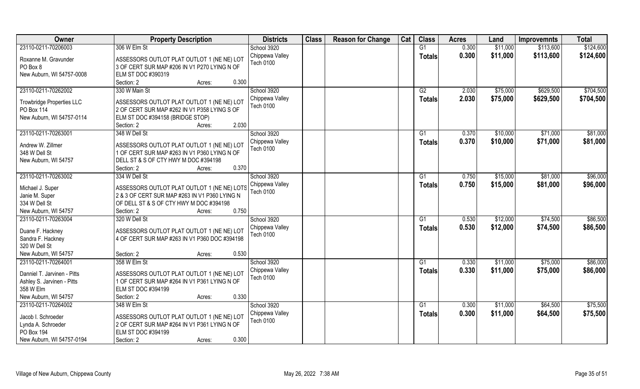| Owner                            | <b>Property Description</b>                   | <b>Districts</b> | <b>Class</b> | <b>Reason for Change</b> | Cat | <b>Class</b>  | <b>Acres</b> | Land     | <b>Improvemnts</b> | <b>Total</b> |
|----------------------------------|-----------------------------------------------|------------------|--------------|--------------------------|-----|---------------|--------------|----------|--------------------|--------------|
| 23110-0211-70206003              | 306 W Elm St                                  | School 3920      |              |                          |     | G1            | 0.300        | \$11,000 | \$113,600          | \$124,600    |
| Roxanne M. Gravunder             | ASSESSORS OUTLOT PLAT OUTLOT 1 (NE NE) LOT    | Chippewa Valley  |              |                          |     | <b>Totals</b> | 0.300        | \$11,000 | \$113,600          | \$124,600    |
| PO Box 8                         | 3 OF CERT SUR MAP #206 IN V1 P270 LYING N OF  | Tech 0100        |              |                          |     |               |              |          |                    |              |
| New Auburn, WI 54757-0008        | ELM ST DOC #390319                            |                  |              |                          |     |               |              |          |                    |              |
|                                  | Section: 2<br>0.300<br>Acres:                 |                  |              |                          |     |               |              |          |                    |              |
| 23110-0211-70262002              | 330 W Main St                                 | School 3920      |              |                          |     | G2            | 2.030        | \$75,000 | \$629,500          | \$704,500    |
|                                  |                                               | Chippewa Valley  |              |                          |     | <b>Totals</b> | 2.030        | \$75,000 | \$629,500          | \$704,500    |
| <b>Trowbridge Properties LLC</b> | ASSESSORS OUTLOT PLAT OUTLOT 1 (NE NE) LOT    | <b>Tech 0100</b> |              |                          |     |               |              |          |                    |              |
| PO Box 114                       | 2 OF CERT SUR MAP #262 IN V1 P358 LYING S OF  |                  |              |                          |     |               |              |          |                    |              |
| New Auburn, WI 54757-0114        | ELM ST DOC #394158 (BRIDGE STOP)              |                  |              |                          |     |               |              |          |                    |              |
|                                  | 2.030<br>Section: 2<br>Acres:                 |                  |              |                          |     |               |              |          |                    |              |
| 23110-0211-70263001              | 348 W Dell St                                 | School 3920      |              |                          |     | G1            | 0.370        | \$10,000 | \$71,000           | \$81,000     |
| Andrew W. Zillmer                | ASSESSORS OUTLOT PLAT OUTLOT 1 (NE NE) LOT    | Chippewa Valley  |              |                          |     | <b>Totals</b> | 0.370        | \$10,000 | \$71,000           | \$81,000     |
| 348 W Dell St                    | 1 OF CERT SUR MAP #263 IN V1 P360 LYING N OF  | Tech 0100        |              |                          |     |               |              |          |                    |              |
| New Auburn, WI 54757             | DELL ST & S OF CTY HWY M DOC #394198          |                  |              |                          |     |               |              |          |                    |              |
|                                  | 0.370<br>Section: 2<br>Acres:                 |                  |              |                          |     |               |              |          |                    |              |
| 23110-0211-70263002              | 334 W Dell St                                 | School 3920      |              |                          |     | G1            | 0.750        | \$15,000 | \$81,000           | \$96,000     |
|                                  |                                               | Chippewa Valley  |              |                          |     | <b>Totals</b> | 0.750        | \$15,000 | \$81,000           | \$96,000     |
| Michael J. Super                 | ASSESSORS OUTLOT PLAT OUTLOT 1 (NE NE) LOTS   | Tech 0100        |              |                          |     |               |              |          |                    |              |
| Janie M. Super                   | 2 & 3 OF CERT SUR MAP #263 IN V1 P360 LYING N |                  |              |                          |     |               |              |          |                    |              |
| 334 W Dell St                    | OF DELL ST & S OF CTY HWY M DOC #394198       |                  |              |                          |     |               |              |          |                    |              |
| New Auburn, WI 54757             | 0.750<br>Section: 2<br>Acres:                 |                  |              |                          |     |               |              |          |                    |              |
| 23110-0211-70263004              | 320 W Dell St                                 | School 3920      |              |                          |     | G1            | 0.530        | \$12,000 | \$74,500           | \$86,500     |
| Duane F. Hackney                 | ASSESSORS OUTLOT PLAT OUTLOT 1 (NE NE) LOT    | Chippewa Valley  |              |                          |     | <b>Totals</b> | 0.530        | \$12,000 | \$74,500           | \$86,500     |
| Sandra F. Hackney                | 4 OF CERT SUR MAP #263 IN V1 P360 DOC #394198 | <b>Tech 0100</b> |              |                          |     |               |              |          |                    |              |
| 320 W Dell St                    |                                               |                  |              |                          |     |               |              |          |                    |              |
| New Auburn, WI 54757             | 0.530<br>Section: 2<br>Acres:                 |                  |              |                          |     |               |              |          |                    |              |
| 23110-0211-70264001              | 358 W Elm St                                  | School 3920      |              |                          |     | G1            | 0.330        | \$11,000 | \$75,000           | \$86,000     |
| Danniel T. Jarvinen - Pitts      | ASSESSORS OUTLOT PLAT OUTLOT 1 (NE NE) LOT    | Chippewa Valley  |              |                          |     | <b>Totals</b> | 0.330        | \$11,000 | \$75,000           | \$86,000     |
| Ashley S. Jarvinen - Pitts       | 1 OF CERT SUR MAP #264 IN V1 P361 LYING N OF  | Tech 0100        |              |                          |     |               |              |          |                    |              |
| 358 W Elm                        | ELM ST DOC #394199                            |                  |              |                          |     |               |              |          |                    |              |
| New Auburn, WI 54757             | 0.330<br>Section: 2<br>Acres:                 |                  |              |                          |     |               |              |          |                    |              |
| 23110-0211-70264002              | 348 W Elm St                                  | School 3920      |              |                          |     | G1            | 0.300        | \$11,000 | \$64,500           | \$75,500     |
|                                  |                                               | Chippewa Valley  |              |                          |     |               | 0.300        | \$11,000 | \$64,500           | \$75,500     |
| Jacob I. Schroeder               | ASSESSORS OUTLOT PLAT OUTLOT 1 (NE NE) LOT    | Tech 0100        |              |                          |     | <b>Totals</b> |              |          |                    |              |
| Lynda A. Schroeder               | 2 OF CERT SUR MAP #264 IN V1 P361 LYING N OF  |                  |              |                          |     |               |              |          |                    |              |
| PO Box 194                       | ELM ST DOC #394199                            |                  |              |                          |     |               |              |          |                    |              |
| New Auburn, WI 54757-0194        | 0.300<br>Section: 2<br>Acres:                 |                  |              |                          |     |               |              |          |                    |              |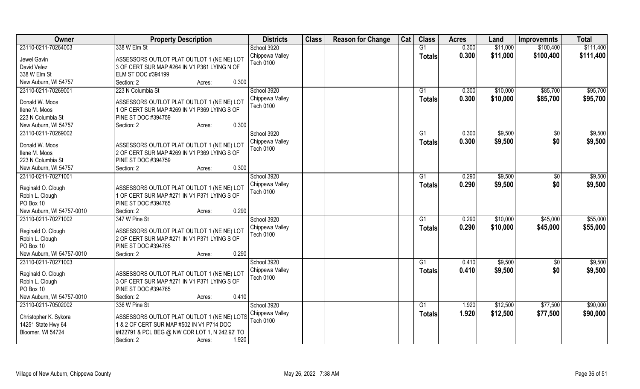| Owner                     | <b>Property Description</b>                                                                | <b>Districts</b> | <b>Class</b> | <b>Reason for Change</b> | Cat | <b>Class</b>    | <b>Acres</b> | Land     | <b>Improvemnts</b> | <b>Total</b> |
|---------------------------|--------------------------------------------------------------------------------------------|------------------|--------------|--------------------------|-----|-----------------|--------------|----------|--------------------|--------------|
| 23110-0211-70264003       | 338 W Elm St                                                                               | School 3920      |              |                          |     | G1              | 0.300        | \$11,000 | \$100,400          | \$111,400    |
| Jewel Gavin               | ASSESSORS OUTLOT PLAT OUTLOT 1 (NE NE) LOT                                                 | Chippewa Valley  |              |                          |     | <b>Totals</b>   | 0.300        | \$11,000 | \$100,400          | \$111,400    |
| David Velez               | 3 OF CERT SUR MAP #264 IN V1 P361 LYING N OF                                               | Tech 0100        |              |                          |     |                 |              |          |                    |              |
| 338 W Elm St              | ELM ST DOC #394199                                                                         |                  |              |                          |     |                 |              |          |                    |              |
| New Auburn, WI 54757      | 0.300<br>Section: 2<br>Acres:                                                              |                  |              |                          |     |                 |              |          |                    |              |
| 23110-0211-70269001       | 223 N Columbia St                                                                          | School 3920      |              |                          |     | $\overline{G1}$ | 0.300        | \$10,000 | \$85,700           | \$95,700     |
| Donald W. Moos            |                                                                                            | Chippewa Valley  |              |                          |     | Totals          | 0.300        | \$10,000 | \$85,700           | \$95,700     |
| Ilene M. Moos             | ASSESSORS OUTLOT PLAT OUTLOT 1 (NE NE) LOT<br>1 OF CERT SUR MAP #269 IN V1 P369 LYING S OF | <b>Tech 0100</b> |              |                          |     |                 |              |          |                    |              |
| 223 N Columbia St         | PINE ST DOC #394759                                                                        |                  |              |                          |     |                 |              |          |                    |              |
| New Auburn, WI 54757      | 0.300<br>Section: 2<br>Acres:                                                              |                  |              |                          |     |                 |              |          |                    |              |
| 23110-0211-70269002       |                                                                                            | School 3920      |              |                          |     | G1              | 0.300        | \$9,500  | \$0                | \$9,500      |
|                           |                                                                                            | Chippewa Valley  |              |                          |     |                 | 0.300        | \$9,500  | \$0                | \$9,500      |
| Donald W. Moos            | ASSESSORS OUTLOT PLAT OUTLOT 1 (NE NE) LOT                                                 | <b>Tech 0100</b> |              |                          |     | <b>Totals</b>   |              |          |                    |              |
| Ilene M. Moos             | 2 OF CERT SUR MAP #269 IN V1 P369 LYING S OF                                               |                  |              |                          |     |                 |              |          |                    |              |
| 223 N Columbia St         | PINE ST DOC #394759                                                                        |                  |              |                          |     |                 |              |          |                    |              |
| New Auburn, WI 54757      | 0.300<br>Section: 2<br>Acres:                                                              |                  |              |                          |     |                 |              |          |                    |              |
| 23110-0211-70271001       |                                                                                            | School 3920      |              |                          |     | G <sub>1</sub>  | 0.290        | \$9,500  | \$0                | \$9,500      |
| Reginald O. Clough        | ASSESSORS OUTLOT PLAT OUTLOT 1 (NE NE) LOT                                                 | Chippewa Valley  |              |                          |     | <b>Totals</b>   | 0.290        | \$9,500  | \$0                | \$9,500      |
| Robin L. Clough           | 1 OF CERT SUR MAP #271 IN V1 P371 LYING S OF                                               | <b>Tech 0100</b> |              |                          |     |                 |              |          |                    |              |
| PO Box 10                 | PINE ST DOC #394765                                                                        |                  |              |                          |     |                 |              |          |                    |              |
| New Auburn, WI 54757-0010 | 0.290<br>Section: 2<br>Acres:                                                              |                  |              |                          |     |                 |              |          |                    |              |
| 23110-0211-70271002       | 347 W Pine St                                                                              | School 3920      |              |                          |     | G1              | 0.290        | \$10,000 | \$45,000           | \$55,000     |
|                           |                                                                                            | Chippewa Valley  |              |                          |     | <b>Totals</b>   | 0.290        | \$10,000 | \$45,000           | \$55,000     |
| Reginald O. Clough        | ASSESSORS OUTLOT PLAT OUTLOT 1 (NE NE) LOT                                                 | <b>Tech 0100</b> |              |                          |     |                 |              |          |                    |              |
| Robin L. Clough           | 2 OF CERT SUR MAP #271 IN V1 P371 LYING S OF                                               |                  |              |                          |     |                 |              |          |                    |              |
| PO Box 10                 | PINE ST DOC #394765                                                                        |                  |              |                          |     |                 |              |          |                    |              |
| New Auburn, WI 54757-0010 | 0.290<br>Section: 2<br>Acres:                                                              |                  |              |                          |     |                 |              |          |                    |              |
| 23110-0211-70271003       |                                                                                            | School 3920      |              |                          |     | $\overline{G1}$ | 0.410        | \$9,500  | \$0                | \$9,500      |
| Reginald O. Clough        | ASSESSORS OUTLOT PLAT OUTLOT 1 (NE NE) LOT                                                 | Chippewa Valley  |              |                          |     | <b>Totals</b>   | 0.410        | \$9,500  | \$0                | \$9,500      |
| Robin L. Clough           | 3 OF CERT SUR MAP #271 IN V1 P371 LYING S OF                                               | Tech 0100        |              |                          |     |                 |              |          |                    |              |
| PO Box 10                 | PINE ST DOC #394765                                                                        |                  |              |                          |     |                 |              |          |                    |              |
| New Auburn, WI 54757-0010 | 0.410<br>Section: 2<br>Acres:                                                              |                  |              |                          |     |                 |              |          |                    |              |
| 23110-0211-70502002       | 336 W Pine St                                                                              | School 3920      |              |                          |     | G1              | 1.920        | \$12,500 | \$77,500           | \$90,000     |
|                           |                                                                                            | Chippewa Valley  |              |                          |     | <b>Totals</b>   | 1.920        | \$12,500 | \$77,500           | \$90,000     |
| Christopher K. Sykora     | ASSESSORS OUTLOT PLAT OUTLOT 1 (NE NE) LOTS                                                | <b>Tech 0100</b> |              |                          |     |                 |              |          |                    |              |
| 14251 State Hwy 64        | 1 & 2 OF CERT SUR MAP #502 IN V1 P714 DOC                                                  |                  |              |                          |     |                 |              |          |                    |              |
| Bloomer, WI 54724         | #422791 & PCL BEG @ NW COR LOT 1, N 242.92' TO                                             |                  |              |                          |     |                 |              |          |                    |              |
|                           | 1.920<br>Section: 2<br>Acres:                                                              |                  |              |                          |     |                 |              |          |                    |              |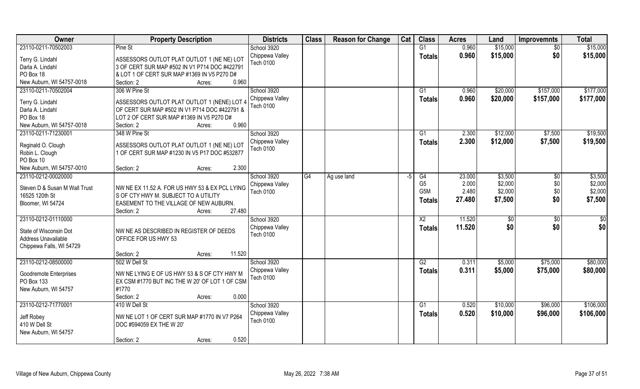| Owner                         | <b>Property Description</b>                      | <b>Districts</b>                    | <b>Class</b>    | <b>Reason for Change</b> | Cat | <b>Class</b>   | <b>Acres</b>   | Land                 | <b>Improvemnts</b>     | <b>Total</b>           |
|-------------------------------|--------------------------------------------------|-------------------------------------|-----------------|--------------------------|-----|----------------|----------------|----------------------|------------------------|------------------------|
| 23110-0211-70502003           | Pine St                                          | School 3920                         |                 |                          |     | G1             | 0.960          | \$15,000             | $\overline{50}$        | \$15,000               |
| Terry G. Lindahl              | ASSESSORS OUTLOT PLAT OUTLOT 1 (NE NE) LOT       | Chippewa Valley<br>Tech 0100        |                 |                          |     | <b>Totals</b>  | 0.960          | \$15,000             | \$0                    | \$15,000               |
| Darla A. Lindahl              | 3 OF CERT SUR MAP #502 IN V1 P714 DOC #422791    |                                     |                 |                          |     |                |                |                      |                        |                        |
| PO Box 18                     | & LOT 1 OF CERT SUR MAP #1369 IN V5 P270 D#      |                                     |                 |                          |     |                |                |                      |                        |                        |
| New Auburn, WI 54757-0018     | 0.960<br>Section: 2<br>Acres:                    |                                     |                 |                          |     |                |                |                      |                        |                        |
| 23110-0211-70502004           | 306 W Pine St                                    | School 3920<br>Chippewa Valley      |                 |                          |     | G1             | 0.960<br>0.960 | \$20,000<br>\$20,000 | \$157,000<br>\$157,000 | \$177,000<br>\$177,000 |
| Terry G. Lindahl              | ASSESSORS OUTLOT PLAT OUTLOT 1 (NENE) LOT 4      | Tech 0100                           |                 |                          |     | Totals         |                |                      |                        |                        |
| Darla A. Lindahl              | OF CERT SUR MAP #502 IN V1 P714 DOC #422791 &    |                                     |                 |                          |     |                |                |                      |                        |                        |
| PO Box 18                     | LOT 2 OF CERT SUR MAP #1369 IN V5 P270 D#        |                                     |                 |                          |     |                |                |                      |                        |                        |
| New Auburn, WI 54757-0018     | 0.960<br>Section: 2<br>Acres:                    |                                     |                 |                          |     |                |                |                      |                        |                        |
| 23110-0211-71230001           | 348 W Pine St                                    | School 3920                         |                 |                          |     | G1             | 2.300          | \$12,000             | \$7,500                | \$19,500               |
| Reginald O. Clough            | ASSESSORS OUTLOT PLAT OUTLOT 1 (NE NE) LOT       | Chippewa Valley                     |                 |                          |     | <b>Totals</b>  | 2.300          | \$12,000             | \$7,500                | \$19,500               |
| Robin L. Clough               | 1 OF CERT SUR MAP #1230 IN V5 P17 DOC #532877    | Tech 0100                           |                 |                          |     |                |                |                      |                        |                        |
| PO Box 10                     |                                                  |                                     |                 |                          |     |                |                |                      |                        |                        |
| New Auburn, WI 54757-0010     | 2.300<br>Section: 2<br>Acres:                    |                                     |                 |                          |     |                |                |                      |                        |                        |
| 23110-0212-00020000           |                                                  | School 3920                         | $\overline{G4}$ | Ag use land              | -5  | G4             | 23.000         | \$3,500              | \$0                    | \$3,500                |
|                               |                                                  | Chippewa Valley                     |                 |                          |     | G <sub>5</sub> | 2.000          | \$2,000              | \$0                    | \$2,000                |
| Steven D & Susan M Wall Trust | NW NE EX 11.52 A. FOR US HWY 53 & EX PCL LYING   | <b>Tech 0100</b>                    |                 |                          |     | G5M            | 2.480          | \$2,000              | \$0                    | \$2,000                |
| 16525 120th St                | S OF CTY HWY M. SUBJECT TO A UTILITY             |                                     |                 |                          |     | <b>Totals</b>  | 27.480         | \$7,500              | \$0                    | \$7,500                |
| Bloomer, WI 54724             | EASEMENT TO THE VILLAGE OF NEW AUBURN.<br>27.480 |                                     |                 |                          |     |                |                |                      |                        |                        |
| 23110-0212-01110000           | Section: 2<br>Acres:                             |                                     |                 |                          |     | X <sub>2</sub> | 11.520         |                      |                        | $\overline{50}$        |
|                               |                                                  | School 3920                         |                 |                          |     |                |                | $\sqrt[6]{}$         | $\overline{50}$        |                        |
| State of Wisconsin Dot        | NW NE AS DESCRIBED IN REGISTER OF DEEDS          | Chippewa Valley<br><b>Tech 0100</b> |                 |                          |     | <b>Totals</b>  | 11.520         | \$0                  | \$0                    | \$0                    |
| Address Unavailable           | OFFICE FOR US HWY 53                             |                                     |                 |                          |     |                |                |                      |                        |                        |
| Chippewa Falls, WI 54729      |                                                  |                                     |                 |                          |     |                |                |                      |                        |                        |
|                               | 11.520<br>Section: 2<br>Acres:                   |                                     |                 |                          |     |                |                |                      |                        |                        |
| 23110-0212-08500000           | 502 W Dell St                                    | School 3920                         |                 |                          |     | G2             | 0.311          | \$5,000              | \$75,000               | \$80,000               |
| Goodremote Enterprises        | NW NE LYING E OF US HWY 53 & S OF CTY HWY M      | Chippewa Valley                     |                 |                          |     | <b>Totals</b>  | 0.311          | \$5,000              | \$75,000               | \$80,000               |
| PO Box 133                    | EX CSM #1770 BUT INC THE W 20' OF LOT 1 OF CSM   | <b>Tech 0100</b>                    |                 |                          |     |                |                |                      |                        |                        |
| New Auburn, WI 54757          | #1770                                            |                                     |                 |                          |     |                |                |                      |                        |                        |
|                               | 0.000<br>Section: 2<br>Acres:                    |                                     |                 |                          |     |                |                |                      |                        |                        |
| 23110-0212-71770001           | 410 W Dell St                                    | School 3920                         |                 |                          |     | G1             | 0.520          | \$10,000             | \$96,000               | \$106,000              |
|                               |                                                  | Chippewa Valley                     |                 |                          |     | Totals         | 0.520          | \$10,000             | \$96,000               | \$106,000              |
| Jeff Robey                    | NW NE LOT 1 OF CERT SUR MAP #1770 IN V7 P264     | <b>Tech 0100</b>                    |                 |                          |     |                |                |                      |                        |                        |
| 410 W Dell St                 | DOC #594059 EX THE W 20'                         |                                     |                 |                          |     |                |                |                      |                        |                        |
| New Auburn, WI 54757          |                                                  |                                     |                 |                          |     |                |                |                      |                        |                        |
|                               | 0.520<br>Section: 2<br>Acres:                    |                                     |                 |                          |     |                |                |                      |                        |                        |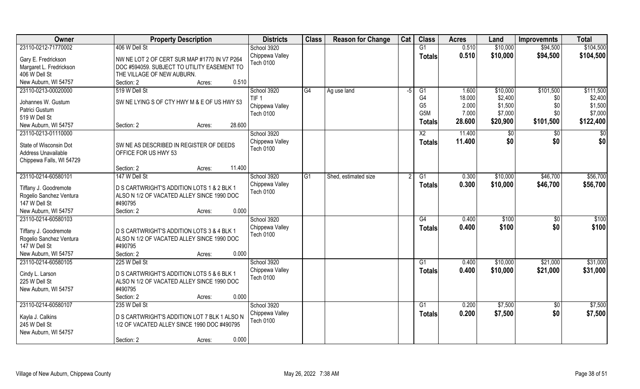| 23110-0212-71770002<br>406 W Dell St<br>\$10,000<br>\$104,500<br>0.510<br>School 3920<br>G1<br>\$94,500<br>0.510<br>Chippewa Valley<br>\$10,000<br>\$94,500<br>\$104,500<br><b>Totals</b><br>Gary E. Fredrickson<br>NW NE LOT 2 OF CERT SUR MAP #1770 IN V7 P264<br>Tech 0100<br>Margaret L. Fredrickson<br>DOC #594059. SUBJECT TO UTILITY EASEMENT TO<br>406 W Dell St<br>THE VILLAGE OF NEW AUBURN.<br>New Auburn, WI 54757<br>0.510<br>Section: 2<br>Acres: |
|-----------------------------------------------------------------------------------------------------------------------------------------------------------------------------------------------------------------------------------------------------------------------------------------------------------------------------------------------------------------------------------------------------------------------------------------------------------------|
|                                                                                                                                                                                                                                                                                                                                                                                                                                                                 |
|                                                                                                                                                                                                                                                                                                                                                                                                                                                                 |
|                                                                                                                                                                                                                                                                                                                                                                                                                                                                 |
|                                                                                                                                                                                                                                                                                                                                                                                                                                                                 |
|                                                                                                                                                                                                                                                                                                                                                                                                                                                                 |
| 23110-0213-00020000<br>519 W Dell St<br>School 3920<br>G4<br>1.600<br>\$10,000<br>\$101,500<br>\$111,500<br>Ag use land<br>G <sub>1</sub><br>-5                                                                                                                                                                                                                                                                                                                 |
| G4<br>18.000<br>\$2,400<br>\$2,400<br>TIF <sub>1</sub><br>\$0<br>SW NE LYING S OF CTY HWY M & E OF US HWY 53<br>Johannes W. Gustum                                                                                                                                                                                                                                                                                                                              |
| G <sub>5</sub><br>\$1,500<br>2.000<br>\$1,500<br>\$0<br>Chippewa Valley<br>Patrici Gustum                                                                                                                                                                                                                                                                                                                                                                       |
| G <sub>5</sub> M<br>7.000<br>\$7,000<br>\$0<br>\$7,000<br><b>Tech 0100</b><br>519 W Dell St                                                                                                                                                                                                                                                                                                                                                                     |
| 28.600<br>\$101,500<br>\$122,400<br>\$20,900<br><b>Totals</b><br>28.600<br>New Auburn, WI 54757<br>Section: 2<br>Acres:                                                                                                                                                                                                                                                                                                                                         |
| 23110-0213-01110000<br>School 3920<br>X <sub>2</sub><br>11.400<br>\$0<br>\$0<br>\$0                                                                                                                                                                                                                                                                                                                                                                             |
| Chippewa Valley<br>\$0<br>\$0<br>\$0<br>11.400<br><b>Totals</b><br>State of Wisconsin Dot<br>SW NE AS DESCRIBED IN REGISTER OF DEEDS                                                                                                                                                                                                                                                                                                                            |
| <b>Tech 0100</b><br>Address Unavailable<br>OFFICE FOR US HWY 53                                                                                                                                                                                                                                                                                                                                                                                                 |
| Chippewa Falls, WI 54729                                                                                                                                                                                                                                                                                                                                                                                                                                        |
| 11.400<br>Section: 2<br>Acres:                                                                                                                                                                                                                                                                                                                                                                                                                                  |
| 23110-0214-60580101<br>School 3920<br>\$10,000<br>\$46,700<br>\$56,700<br>147 W Dell St<br>0.300<br>G1<br>Shed, estimated size<br>G <sub>1</sub>                                                                                                                                                                                                                                                                                                                |
| Chippewa Valley<br>0.300<br>\$10,000<br>\$46,700<br>\$56,700<br><b>Totals</b><br>D S CARTWRIGHT'S ADDITION LOTS 1 & 2 BLK 1<br>Tiffany J. Goodremote                                                                                                                                                                                                                                                                                                            |
| <b>Tech 0100</b><br>Rogelio Sanchez Ventura<br>ALSO N 1/2 OF VACATED ALLEY SINCE 1990 DOC                                                                                                                                                                                                                                                                                                                                                                       |
| #490795<br>147 W Dell St                                                                                                                                                                                                                                                                                                                                                                                                                                        |
| 0.000<br>New Auburn, WI 54757<br>Section: 2<br>Acres:                                                                                                                                                                                                                                                                                                                                                                                                           |
| 23110-0214-60580103<br>0.400<br>\$100<br>\$100<br>School 3920<br>G4<br>\$0                                                                                                                                                                                                                                                                                                                                                                                      |
| \$100<br>\$0<br>\$100<br>Chippewa Valley<br>0.400<br><b>Totals</b>                                                                                                                                                                                                                                                                                                                                                                                              |
| D S CARTWRIGHT'S ADDITION LOTS 3 & 4 BLK 1<br>Tiffany J. Goodremote<br><b>Tech 0100</b>                                                                                                                                                                                                                                                                                                                                                                         |
| Rogelio Sanchez Ventura<br>ALSO N 1/2 OF VACATED ALLEY SINCE 1990 DOC                                                                                                                                                                                                                                                                                                                                                                                           |
| 147 W Dell St<br>#490795                                                                                                                                                                                                                                                                                                                                                                                                                                        |
| New Auburn, WI 54757<br>Section: 2<br>0.000<br>Acres:                                                                                                                                                                                                                                                                                                                                                                                                           |
| School 3920<br>\$10,000<br>\$31,000<br>23110-0214-60580105<br>225 W Dell St<br>\$21,000<br>G1<br>0.400                                                                                                                                                                                                                                                                                                                                                          |
| \$31,000<br>Chippewa Valley<br>0.400<br>\$10,000<br>\$21,000<br><b>Totals</b><br>Cindy L. Larson<br>D S CARTWRIGHT'S ADDITION LOTS 5 & 6 BLK 1                                                                                                                                                                                                                                                                                                                  |
| <b>Tech 0100</b><br>225 W Dell St<br>ALSO N 1/2 OF VACATED ALLEY SINCE 1990 DOC                                                                                                                                                                                                                                                                                                                                                                                 |
| #490795<br>New Auburn, WI 54757                                                                                                                                                                                                                                                                                                                                                                                                                                 |
| 0.000<br>Section: 2<br>Acres:                                                                                                                                                                                                                                                                                                                                                                                                                                   |
| 23110-0214-60580107<br>\$7,500<br>\$7,500<br>235 W Dell St<br>School 3920<br>G1<br>0.200<br>$\overline{50}$                                                                                                                                                                                                                                                                                                                                                     |
| \$0<br>Chippewa Valley<br>\$7,500<br>0.200<br>\$7,500<br>Totals<br>D S CARTWRIGHT'S ADDITION LOT 7 BLK 1 ALSO N<br>Kayla J. Calkins                                                                                                                                                                                                                                                                                                                             |
| <b>Tech 0100</b><br>245 W Dell St<br>1/2 OF VACATED ALLEY SINCE 1990 DOC #490795                                                                                                                                                                                                                                                                                                                                                                                |
| New Auburn, WI 54757                                                                                                                                                                                                                                                                                                                                                                                                                                            |
| 0.000<br>Section: 2<br>Acres:                                                                                                                                                                                                                                                                                                                                                                                                                                   |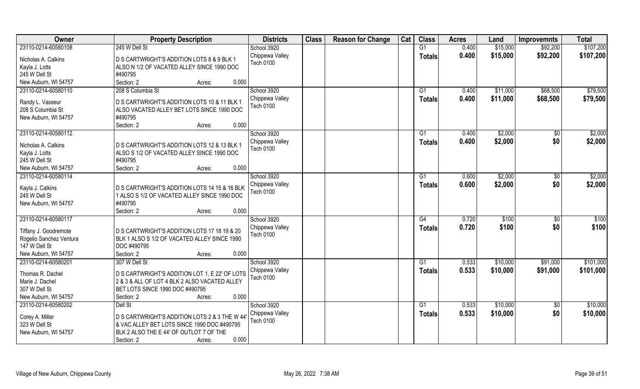| 245 W Dell St<br>\$107,200<br>23110-0214-60580108<br>G1<br>0.400<br>\$15,000<br>\$92,200<br>School 3920<br>0.400<br>\$92,200<br>Chippewa Valley<br>\$15,000<br>\$107,200<br><b>Totals</b><br>D S CARTWRIGHT'S ADDITION LOTS 8 & 9 BLK 1<br>Nicholas A. Calkins<br><b>Tech 0100</b><br>Kayla J. Lotts<br>ALSO N 1/2 OF VACATED ALLEY SINCE 1990 DOC<br>245 W Dell St<br>#490795 |
|--------------------------------------------------------------------------------------------------------------------------------------------------------------------------------------------------------------------------------------------------------------------------------------------------------------------------------------------------------------------------------|
|                                                                                                                                                                                                                                                                                                                                                                                |
|                                                                                                                                                                                                                                                                                                                                                                                |
|                                                                                                                                                                                                                                                                                                                                                                                |
|                                                                                                                                                                                                                                                                                                                                                                                |
| New Auburn, WI 54757<br>Section: 2<br>0.000<br>Acres:                                                                                                                                                                                                                                                                                                                          |
| School 3920<br>\$79,500<br>23110-0214-60580110<br>208 S Columbia St<br>\$11,000<br>\$68,500<br>G1<br>0.400                                                                                                                                                                                                                                                                     |
| 0.400<br>\$11,000<br>\$68,500<br>Chippewa Valley<br>\$79,500<br>Totals                                                                                                                                                                                                                                                                                                         |
| Randy L. Vasseur<br>D S CARTWRIGHT'S ADDITION LOTS 10 & 11 BLK 1<br>Tech 0100                                                                                                                                                                                                                                                                                                  |
| 208 S Columbia St<br>ALSO VACATED ALLEY BET LOTS SINCE 1990 DOC                                                                                                                                                                                                                                                                                                                |
| #490795<br>New Auburn, WI 54757                                                                                                                                                                                                                                                                                                                                                |
| Section: 2<br>0.000<br>Acres:                                                                                                                                                                                                                                                                                                                                                  |
| 23110-0214-60580112<br>School 3920<br>\$2,000<br>\$2,000<br>G1<br>0.400<br>$\sqrt{6}$                                                                                                                                                                                                                                                                                          |
| \$0<br>Chippewa Valley<br>0.400<br>\$2,000<br>\$2,000<br><b>Totals</b><br>Nicholas A. Calkins<br>D S CARTWRIGHT'S ADDITION LOTS 12 & 13 BLK 1                                                                                                                                                                                                                                  |
| <b>Tech 0100</b><br>Kayla J. Lotts<br>ALSO S 1/2 OF VACATED ALLEY SINCE 1990 DOC                                                                                                                                                                                                                                                                                               |
| 245 W Dell St<br>#490795                                                                                                                                                                                                                                                                                                                                                       |
| 0.000<br>Section: 2<br>New Auburn, WI 54757<br>Acres:                                                                                                                                                                                                                                                                                                                          |
| \$2,000<br>School 3920<br>\$2,000<br>23110-0214-60580114<br>0.600<br>$\sqrt[6]{3}$<br>G1                                                                                                                                                                                                                                                                                       |
| 0.600<br>\$2,000<br>\$0<br>\$2,000<br>Chippewa Valley<br><b>Totals</b>                                                                                                                                                                                                                                                                                                         |
| Kayla J. Calkins<br>D S CARTWRIGHT'S ADDITION LOTS 14 15 & 16 BLK<br><b>Tech 0100</b>                                                                                                                                                                                                                                                                                          |
| 245 W Dell St<br>1 ALSO S 1/2 OF VACATED ALLEY SINCE 1990 DOC                                                                                                                                                                                                                                                                                                                  |
| #490795<br>New Auburn, WI 54757                                                                                                                                                                                                                                                                                                                                                |
| 0.000<br>Section: 2<br>Acres:                                                                                                                                                                                                                                                                                                                                                  |
| 23110-0214-60580117<br>School 3920<br>G4<br>0.720<br>\$100<br>\$0<br>\$100                                                                                                                                                                                                                                                                                                     |
| 0.720<br>\$100<br>\$100<br>Chippewa Valley<br>\$0<br><b>Totals</b><br>D S CARTWRIGHT'S ADDITION LOTS 17 18 19 & 20<br>Tiffany J. Goodremote                                                                                                                                                                                                                                    |
| <b>Tech 0100</b><br>Rogelio Sanchez Ventura<br>BLK 1 ALSO S 1/2 OF VACATED ALLEY SINCE 1990                                                                                                                                                                                                                                                                                    |
| 147 W Dell St<br>DOC #490795                                                                                                                                                                                                                                                                                                                                                   |
| New Auburn, WI 54757<br>0.000<br>Section: 2<br>Acres:                                                                                                                                                                                                                                                                                                                          |
| \$101,000<br>\$10,000<br>23110-0214-60580201<br>307 W Dell St<br>School 3920<br>G1<br>0.533<br>\$91,000                                                                                                                                                                                                                                                                        |
| 0.533<br>\$101,000<br>\$10,000<br>\$91,000<br>Chippewa Valley<br><b>Totals</b>                                                                                                                                                                                                                                                                                                 |
| D S CARTWRIGHT'S ADDITION LOT 1, E 22' OF LOTS<br>Thomas R. Dachel<br>Tech 0100                                                                                                                                                                                                                                                                                                |
| Marie J. Dachel<br>2 & 3 & ALL OF LOT 4 BLK 2 ALSO VACATED ALLEY                                                                                                                                                                                                                                                                                                               |
| 307 W Dell St<br>BET LOTS SINCE 1990 DOC #490795                                                                                                                                                                                                                                                                                                                               |
| New Auburn, WI 54757<br>0.000<br>Section: 2<br>Acres:                                                                                                                                                                                                                                                                                                                          |
| 23110-0214-60580202<br>\$10,000<br>\$10,000<br>Dell St<br>School 3920<br>G1<br>0.533<br>$\overline{50}$                                                                                                                                                                                                                                                                        |
| 0.533<br>\$10,000<br>\$0<br>\$10,000<br>Chippewa Valley<br>Totals<br>D S CARTWRIGHT'S ADDITION LOTS 2 & 3 THE W 44<br>Corey A. Miller                                                                                                                                                                                                                                          |
| <b>Tech 0100</b><br>323 W Dell St<br>& VAC ALLEY BET LOTS SINCE 1990 DOC #490795                                                                                                                                                                                                                                                                                               |
| New Auburn, WI 54757<br>BLK 2 ALSO THE E 44' OF OUTLOT 7 OF THE                                                                                                                                                                                                                                                                                                                |
| 0.000<br>Section: 2<br>Acres:                                                                                                                                                                                                                                                                                                                                                  |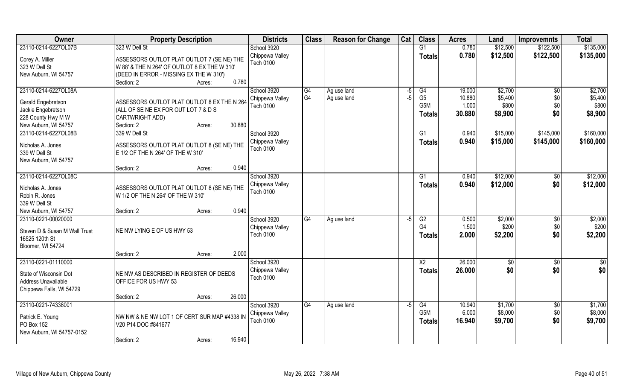| Owner                                                                                       | <b>Property Description</b>                                                                | <b>Districts</b>                                   | <b>Class</b>   | <b>Reason for Change</b> | Cat  | <b>Class</b>                                       | <b>Acres</b>              | Land                          | <b>Improvemnts</b>            | <b>Total</b>                  |
|---------------------------------------------------------------------------------------------|--------------------------------------------------------------------------------------------|----------------------------------------------------|----------------|--------------------------|------|----------------------------------------------------|---------------------------|-------------------------------|-------------------------------|-------------------------------|
| 23110-0214-6227OL07B                                                                        | 323 W Dell St                                                                              | School 3920                                        |                |                          |      | G1                                                 | 0.780                     | \$12,500                      | \$122,500                     | \$135,000                     |
| Corey A. Miller<br>323 W Dell St                                                            | ASSESSORS OUTLOT PLAT OUTLOT 7 (SE NE) THE<br>W 88' & THE N 264' OF OUTLOT 8 EX THE W 310' | Chippewa Valley<br><b>Tech 0100</b>                |                |                          |      | <b>Totals</b>                                      | 0.780                     | \$12,500                      | \$122,500                     | \$135,000                     |
| New Auburn, WI 54757                                                                        | (DEED IN ERROR - MISSING EX THE W 310')                                                    |                                                    |                |                          |      |                                                    |                           |                               |                               |                               |
|                                                                                             | 0.780<br>Section: 2<br>Acres:                                                              |                                                    |                |                          |      |                                                    |                           |                               |                               |                               |
| 23110-0214-6227OL08A                                                                        |                                                                                            | School 3920                                        | G4             | Ag use land              | -5   | G4                                                 | 19.000                    | \$2,700                       | \$0                           | \$2,700                       |
| Gerald Engebretson                                                                          | ASSESSORS OUTLOT PLAT OUTLOT 8 EX THE N 264                                                | Chippewa Valley                                    | G <sub>4</sub> | Ag use land              | -5   | G <sub>5</sub>                                     | 10.880                    | \$5,400                       | \$0                           | \$5,400                       |
| Jackie Engebretson                                                                          | (ALL OF SE NE EX FOR OUT LOT 7 & D S                                                       | <b>Tech 0100</b>                                   |                |                          |      | G5M                                                | 1.000                     | \$800                         | \$0                           | \$800                         |
| 228 County Hwy M W                                                                          | CARTWRIGHT ADD)                                                                            |                                                    |                |                          |      | Totals                                             | 30.880                    | \$8,900                       | \$0                           | \$8,900                       |
| New Auburn, WI 54757                                                                        | 30.880<br>Section: 2<br>Acres:                                                             |                                                    |                |                          |      |                                                    |                           |                               |                               |                               |
| 23110-0214-6227OL08B                                                                        | 339 W Dell St                                                                              | School 3920                                        |                |                          |      | G1                                                 | 0.940                     | \$15,000                      | \$145,000                     | \$160,000                     |
| Nicholas A. Jones                                                                           | ASSESSORS OUTLOT PLAT OUTLOT 8 (SE NE) THE                                                 | Chippewa Valley<br><b>Tech 0100</b>                |                |                          |      | <b>Totals</b>                                      | 0.940                     | \$15,000                      | \$145,000                     | \$160,000                     |
| 339 W Dell St                                                                               | E 1/2 OF THE N 264' OF THE W 310'                                                          |                                                    |                |                          |      |                                                    |                           |                               |                               |                               |
| New Auburn, WI 54757                                                                        |                                                                                            |                                                    |                |                          |      |                                                    |                           |                               |                               |                               |
|                                                                                             | 0.940<br>Section: 2<br>Acres:                                                              |                                                    |                |                          |      |                                                    |                           |                               |                               |                               |
| 23110-0214-6227OL08C                                                                        |                                                                                            | School 3920                                        |                |                          |      | G1                                                 | 0.940                     | \$12,000                      | \$0                           | \$12,000                      |
| Nicholas A. Jones<br>Robin R. Jones<br>339 W Dell St                                        | ASSESSORS OUTLOT PLAT OUTLOT 8 (SE NE) THE<br>W 1/2 OF THE N 264' OF THE W 310'            | Chippewa Valley<br><b>Tech 0100</b>                |                |                          |      | <b>Totals</b>                                      | 0.940                     | \$12,000                      | \$0                           | \$12,000                      |
| New Auburn, WI 54757                                                                        | 0.940<br>Section: 2<br>Acres:                                                              |                                                    |                |                          |      |                                                    |                           |                               |                               |                               |
| 23110-0221-00020000<br>Steven D & Susan M Wall Trust<br>16525 120th St<br>Bloomer, WI 54724 | NE NW LYING E OF US HWY 53                                                                 | School 3920<br>Chippewa Valley<br>Tech 0100        | G4             | Ag use land              | -5   | $\overline{G2}$<br>G <sub>4</sub><br><b>Totals</b> | 0.500<br>1.500<br>2.000   | \$2,000<br>\$200<br>\$2,200   | \$0<br>\$0<br>\$0             | \$2,000<br>\$200<br>\$2,200   |
|                                                                                             | 2.000<br>Section: 2<br>Acres:                                                              |                                                    |                |                          |      |                                                    |                           |                               |                               |                               |
| 23110-0221-01110000                                                                         |                                                                                            | School 3920                                        |                |                          |      | $\overline{X2}$                                    | 26.000                    | \$0                           | \$0                           | $\overline{50}$               |
| State of Wisconsin Dot<br>Address Unavailable<br>Chippewa Falls, WI 54729                   | NE NW AS DESCRIBED IN REGISTER OF DEEDS<br>OFFICE FOR US HWY 53                            | Chippewa Valley<br><b>Tech 0100</b>                |                |                          |      | <b>Totals</b>                                      | 26.000                    | \$0                           | \$0                           | \$0                           |
|                                                                                             | 26.000<br>Section: 2<br>Acres:                                                             |                                                    |                |                          |      |                                                    |                           |                               |                               |                               |
| 23110-0221-74338001<br>Patrick E. Young<br>PO Box 152<br>New Auburn, WI 54757-0152          | NW NW & NE NW LOT 1 OF CERT SUR MAP #4338 IN<br>V20 P14 DOC #841677                        | School 3920<br>Chippewa Valley<br><b>Tech 0100</b> | G4             | Ag use land              | $-5$ | G4<br>G5M<br><b>Totals</b>                         | 10.940<br>6.000<br>16.940 | \$1,700<br>\$8,000<br>\$9,700 | $\overline{30}$<br>\$0<br>\$0 | \$1,700<br>\$8,000<br>\$9,700 |
|                                                                                             | 16.940<br>Section: 2<br>Acres:                                                             |                                                    |                |                          |      |                                                    |                           |                               |                               |                               |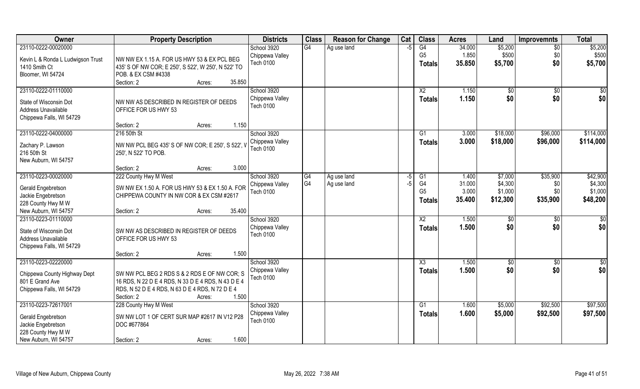| Owner                             | <b>Property Description</b>                         | <b>Districts</b> | <b>Class</b>   | <b>Reason for Change</b> | Cat  | <b>Class</b>    | <b>Acres</b> | Land         | <b>Improvemnts</b> | <b>Total</b>  |
|-----------------------------------|-----------------------------------------------------|------------------|----------------|--------------------------|------|-----------------|--------------|--------------|--------------------|---------------|
| 23110-0222-00020000               |                                                     | School 3920      | G4             | Ag use land              | $-5$ | G4              | 34.000       | \$5,200      | $\overline{50}$    | \$5,200       |
| Kevin L & Ronda L Ludwigson Trust | NW NW EX 1.15 A. FOR US HWY 53 & EX PCL BEG         | Chippewa Valley  |                |                          |      | G <sub>5</sub>  | 1.850        | \$500        | \$0                | \$500         |
| 1410 Smith Ct                     | 435' S OF NW COR; E 250', S 522', W 250', N 522' TO | Tech 0100        |                |                          |      | Totals          | 35.850       | \$5,700      | \$0                | \$5,700       |
| Bloomer, WI 54724                 | POB. & EX CSM #4338                                 |                  |                |                          |      |                 |              |              |                    |               |
|                                   | Section: 2<br>35.850<br>Acres:                      |                  |                |                          |      |                 |              |              |                    |               |
| 23110-0222-01110000               |                                                     | School 3920      |                |                          |      | $\overline{X2}$ | 1.150        | $\sqrt{6}$   | $\overline{50}$    | \$0           |
|                                   |                                                     | Chippewa Valley  |                |                          |      | <b>Totals</b>   | 1.150        | \$0          | \$0                | \$0           |
| State of Wisconsin Dot            | NW NW AS DESCRIBED IN REGISTER OF DEEDS             | <b>Tech 0100</b> |                |                          |      |                 |              |              |                    |               |
| Address Unavailable               | OFFICE FOR US HWY 53                                |                  |                |                          |      |                 |              |              |                    |               |
| Chippewa Falls, WI 54729          |                                                     |                  |                |                          |      |                 |              |              |                    |               |
|                                   | 1.150<br>Section: 2<br>Acres:                       |                  |                |                          |      |                 |              |              |                    |               |
| 23110-0222-04000000               | 216 50th St                                         | School 3920      |                |                          |      | G1              | 3.000        | \$18,000     | \$96,000           | \$114,000     |
| Zachary P. Lawson                 | NW NW PCL BEG 435' S OF NW COR; E 250', S 522', \   | Chippewa Valley  |                |                          |      | <b>Totals</b>   | 3.000        | \$18,000     | \$96,000           | \$114,000     |
| 216 50th St                       | 250', N 522' TO POB.                                | <b>Tech 0100</b> |                |                          |      |                 |              |              |                    |               |
| New Auburn, WI 54757              |                                                     |                  |                |                          |      |                 |              |              |                    |               |
|                                   | 3.000<br>Section: 2<br>Acres:                       |                  |                |                          |      |                 |              |              |                    |               |
| 23110-0223-00020000               | 222 County Hwy M West                               | School 3920      | G4             | Ag use land              | -5   | G1              | 1.400        | \$7,000      | \$35,900           | \$42,900      |
|                                   |                                                     | Chippewa Valley  | G <sub>4</sub> | Ag use land              | $-5$ | G4              | 31.000       | \$4,300      | \$0                | \$4,300       |
| Gerald Engebretson                | SW NW EX 1.50 A. FOR US HWY 53 & EX 1.50 A. FOR     | <b>Tech 0100</b> |                |                          |      | G <sub>5</sub>  | 3.000        | \$1,000      | \$0                | \$1,000       |
| Jackie Engebretson                | CHIPPEWA COUNTY IN NW COR & EX CSM #2617            |                  |                |                          |      | <b>Totals</b>   | 35.400       | \$12,300     | \$35,900           | \$48,200      |
| 228 County Hwy M W                |                                                     |                  |                |                          |      |                 |              |              |                    |               |
| New Auburn, WI 54757              | 35.400<br>Section: 2<br>Acres:                      |                  |                |                          |      |                 |              |              |                    |               |
| 23110-0223-01110000               |                                                     | School 3920      |                |                          |      | X <sub>2</sub>  | 1.500        | $\sqrt[6]{}$ | \$0                | \$0           |
| State of Wisconsin Dot            | SW NW AS DESCRIBED IN REGISTER OF DEEDS             | Chippewa Valley  |                |                          |      | <b>Totals</b>   | 1.500        | \$0          | \$0                | \$0           |
| Address Unavailable               | OFFICE FOR US HWY 53                                | Tech 0100        |                |                          |      |                 |              |              |                    |               |
| Chippewa Falls, WI 54729          |                                                     |                  |                |                          |      |                 |              |              |                    |               |
|                                   | 1.500<br>Section: 2<br>Acres:                       |                  |                |                          |      |                 |              |              |                    |               |
| 23110-0223-02220000               |                                                     | School 3920      |                |                          |      | X3              | 1.500        | \$0          | \$0                | $\frac{6}{3}$ |
|                                   |                                                     | Chippewa Valley  |                |                          |      | <b>Totals</b>   | 1.500        | \$0          | \$0                | \$0           |
| Chippewa County Highway Dept      | SW NW PCL BEG 2 RDS S & 2 RDS E OF NW COR; S        | Tech 0100        |                |                          |      |                 |              |              |                    |               |
| 801 E Grand Ave                   | 16 RDS, N 22 D E 4 RDS, N 33 D E 4 RDS, N 43 D E 4  |                  |                |                          |      |                 |              |              |                    |               |
| Chippewa Falls, WI 54729          | RDS, N 52 D E 4 RDS, N 63 D E 4 RDS, N 72 D E 4     |                  |                |                          |      |                 |              |              |                    |               |
|                                   | 1.500<br>Section: 2<br>Acres:                       |                  |                |                          |      |                 |              |              |                    |               |
| 23110-0223-72617001               | 228 County Hwy M West                               | School 3920      |                |                          |      | G1              | 1.600        | \$5,000      | \$92,500           | \$97,500      |
| Gerald Engebretson                | SW NW LOT 1 OF CERT SUR MAP #2617 IN V12 P28        | Chippewa Valley  |                |                          |      | Totals          | 1.600        | \$5,000      | \$92,500           | \$97,500      |
| Jackie Engebretson                | DOC #677864                                         | <b>Tech 0100</b> |                |                          |      |                 |              |              |                    |               |
| 228 County Hwy M W                |                                                     |                  |                |                          |      |                 |              |              |                    |               |
| New Auburn, WI 54757              | 1.600<br>Section: 2<br>Acres:                       |                  |                |                          |      |                 |              |              |                    |               |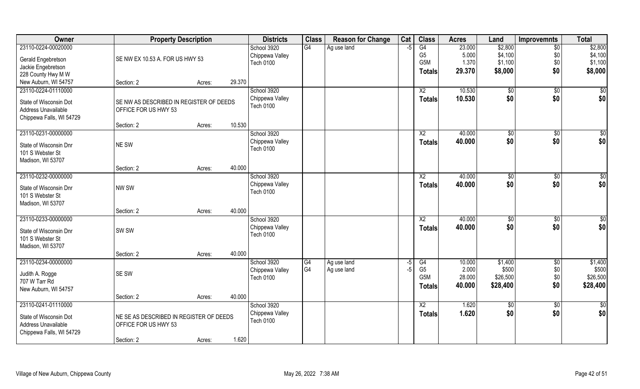| 23110-0224-00020000<br>G4<br>G4<br>23.000<br>\$2,800<br>School 3920<br>Ag use land<br>$\overline{50}$<br>$-5$<br>G <sub>5</sub>                           | \$2,800            |
|-----------------------------------------------------------------------------------------------------------------------------------------------------------|--------------------|
| \$4,100<br>5.000<br>\$0<br>Chippewa Valley<br>SE NW EX 10.53 A. FOR US HWY 53<br>Gerald Engebretson<br>1.370<br>\$1,100<br>\$0<br>G5M<br><b>Tech 0100</b> | \$4,100<br>\$1,100 |
| Jackie Engebretson<br>\$0<br>\$8,000<br>29.370                                                                                                            | \$8,000            |
| <b>Totals</b><br>228 County Hwy M W                                                                                                                       |                    |
| New Auburn, WI 54757<br>29.370<br>Section: 2<br>Acres:                                                                                                    |                    |
| 23110-0224-01110000<br>School 3920<br>10.530<br>$\overline{X2}$<br>$\sqrt[6]{}$<br>$\sqrt{$0}$                                                            | $\sqrt{50}$        |
| \$0<br>\$0<br>10.530<br>Chippewa Valley<br><b>Totals</b><br>State of Wisconsin Dot<br>SE NW AS DESCRIBED IN REGISTER OF DEEDS                             | \$0                |
| <b>Tech 0100</b><br>Address Unavailable<br>OFFICE FOR US HWY 53                                                                                           |                    |
| Chippewa Falls, WI 54729                                                                                                                                  |                    |
| 10.530<br>Section: 2<br>Acres:                                                                                                                            |                    |
| 23110-0231-00000000<br>School 3920<br>$\overline{X2}$<br>40.000<br>\$0<br>\$0                                                                             | \$0                |
| \$0<br>\$0<br>Chippewa Valley<br>40.000<br><b>Totals</b><br>NE SW<br>State of Wisconsin Dnr                                                               | \$0                |
| <b>Tech 0100</b><br>101 S Webster St                                                                                                                      |                    |
| Madison, WI 53707                                                                                                                                         |                    |
| 40.000<br>Section: 2<br>Acres:                                                                                                                            |                    |
| 23110-0232-00000000<br>School 3920<br>40.000<br>X <sub>2</sub><br>\$0<br>\$0                                                                              | $\overline{50}$    |
| \$0<br>40.000<br>\$0<br>Chippewa Valley<br><b>Totals</b>                                                                                                  | \$0                |
| NW SW<br>State of Wisconsin Dnr<br><b>Tech 0100</b>                                                                                                       |                    |
| 101 S Webster St                                                                                                                                          |                    |
| Madison, WI 53707                                                                                                                                         |                    |
| 40.000<br>Section: 2<br>Acres:<br>23110-0233-00000000<br>40.000                                                                                           |                    |
| School 3920<br>X <sub>2</sub><br>$\sqrt[6]{3}$<br>\$0                                                                                                     | \$0                |
| \$0<br>\$0<br>40.000<br>Chippewa Valley<br><b>Totals</b><br>SW <sub>SW</sub><br>State of Wisconsin Dnr<br><b>Tech 0100</b>                                | \$0                |
| 101 S Webster St                                                                                                                                          |                    |
| Madison, WI 53707                                                                                                                                         |                    |
| 40.000<br>Section: 2<br>Acres:                                                                                                                            |                    |
| School 3920<br>23110-0234-00000000<br>$\overline{\text{G4}}$<br>Ag use land<br>G4<br>10.000<br>\$1,400<br>\$0<br>-5                                       | \$1,400            |
| G <sub>4</sub><br>G <sub>5</sub><br>\$0<br>2.000<br>\$500<br>Ag use land<br>$-5$<br>Chippewa Valley<br>SE SW<br>Judith A. Rogge                           | \$500              |
| G <sub>5</sub> M<br>28.000<br>\$26,500<br>\$0<br><b>Tech 0100</b><br>707 W Tarr Rd                                                                        | \$26,500           |
| \$0<br>\$28,400<br>40.000<br><b>Totals</b><br>New Auburn, WI 54757                                                                                        | \$28,400           |
| 40.000<br>Section: 2<br>Acres:                                                                                                                            |                    |
| 23110-0241-01110000<br>School 3920<br>$\overline{X2}$<br>1.620<br>\$0<br>\$0                                                                              | \$0                |
| 1.620<br>\$0<br>\$0<br>Chippewa Valley<br>Totals<br>State of Wisconsin Dot<br>NE SE AS DESCRIBED IN REGISTER OF DEEDS                                     | \$0                |
| <b>Tech 0100</b><br>Address Unavailable<br>OFFICE FOR US HWY 53                                                                                           |                    |
| Chippewa Falls, WI 54729                                                                                                                                  |                    |
| 1.620<br>Section: 2<br>Acres:                                                                                                                             |                    |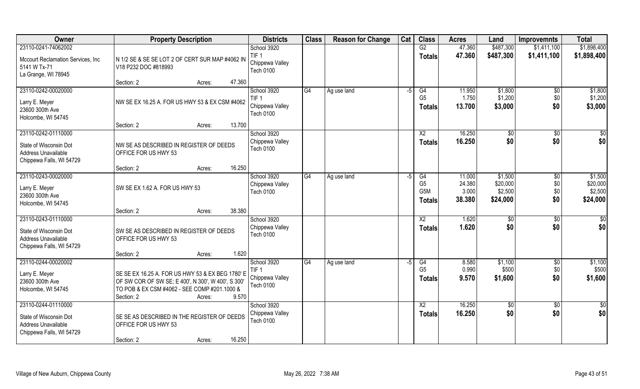| Owner                                                                                            | <b>Property Description</b>                                                                                                                                                             | <b>Districts</b>                                                | <b>Class</b> | <b>Reason for Change</b> | Cat  | <b>Class</b>                                              | <b>Acres</b>                        | Land                                       | <b>Improvemnts</b>                 | <b>Total</b>                               |
|--------------------------------------------------------------------------------------------------|-----------------------------------------------------------------------------------------------------------------------------------------------------------------------------------------|-----------------------------------------------------------------|--------------|--------------------------|------|-----------------------------------------------------------|-------------------------------------|--------------------------------------------|------------------------------------|--------------------------------------------|
| 23110-0241-74062002                                                                              |                                                                                                                                                                                         | School 3920                                                     |              |                          |      | G2                                                        | 47.360                              | \$487,300                                  | \$1,411,100                        | \$1,898,400                                |
| Mccourt Reclamation Services, Inc<br>5141 W Tx-71<br>La Grange, WI 78945                         | N 1/2 SE & SE SE LOT 2 OF CERT SUR MAP #4062 IN<br>V18 P232 DOC #818993                                                                                                                 | TIF <sub>1</sub><br>Chippewa Valley<br>Tech 0100                |              |                          |      | <b>Totals</b>                                             | 47.360                              | \$487,300                                  | \$1,411,100                        | \$1,898,400                                |
|                                                                                                  | 47.360<br>Section: 2<br>Acres:                                                                                                                                                          |                                                                 |              |                          |      |                                                           |                                     |                                            |                                    |                                            |
| 23110-0242-00020000<br>Larry E. Meyer<br>23600 300th Ave<br>Holcombe, WI 54745                   | NW SE EX 16.25 A. FOR US HWY 53 & EX CSM #4062                                                                                                                                          | School 3920<br>TIF <sub>1</sub><br>Chippewa Valley<br>Tech 0100 | G4           | Ag use land              | -5   | G4<br>G <sub>5</sub><br><b>Totals</b>                     | 11.950<br>1.750<br>13.700           | \$1,800<br>\$1,200<br>\$3,000              | \$0<br>\$0<br>\$0                  | \$1,800<br>\$1,200<br>\$3,000              |
|                                                                                                  | 13.700<br>Section: 2<br>Acres:                                                                                                                                                          |                                                                 |              |                          |      |                                                           |                                     |                                            |                                    |                                            |
| 23110-0242-01110000<br>State of Wisconsin Dot<br>Address Unavailable<br>Chippewa Falls, WI 54729 | NW SE AS DESCRIBED IN REGISTER OF DEEDS<br>OFFICE FOR US HWY 53                                                                                                                         | School 3920<br>Chippewa Valley<br><b>Tech 0100</b>              |              |                          |      | X <sub>2</sub><br><b>Totals</b>                           | 16.250<br>16.250                    | \$0<br>\$0                                 | $\sqrt{6}$<br>\$0                  | \$0<br>\$0                                 |
|                                                                                                  | 16.250<br>Section: 2<br>Acres:                                                                                                                                                          |                                                                 |              |                          |      |                                                           |                                     |                                            |                                    |                                            |
| 23110-0243-00020000<br>Larry E. Meyer<br>23600 300th Ave<br>Holcombe, WI 54745                   | SW SE EX 1.62 A. FOR US HWY 53                                                                                                                                                          | School 3920<br>Chippewa Valley<br><b>Tech 0100</b>              | G4           | Ag use land              | -5   | G4<br>G <sub>5</sub><br>G <sub>5</sub> M<br><b>Totals</b> | 11.000<br>24.380<br>3.000<br>38.380 | \$1,500<br>\$20,000<br>\$2,500<br>\$24,000 | $\sqrt[6]{3}$<br>\$0<br>\$0<br>\$0 | \$1,500<br>\$20,000<br>\$2,500<br>\$24,000 |
|                                                                                                  | 38.380<br>Section: 2<br>Acres:                                                                                                                                                          |                                                                 |              |                          |      |                                                           |                                     |                                            |                                    |                                            |
| 23110-0243-01110000<br>State of Wisconsin Dot<br>Address Unavailable<br>Chippewa Falls, WI 54729 | SW SE AS DESCRIBED IN REGISTER OF DEEDS<br>OFFICE FOR US HWY 53                                                                                                                         | School 3920<br>Chippewa Valley<br><b>Tech 0100</b>              |              |                          |      | $\overline{X2}$<br><b>Totals</b>                          | 1.620<br>1.620                      | \$0<br>\$0                                 | \$0<br>\$0                         | \$0<br>\$0                                 |
|                                                                                                  | 1.620<br>Section: 2<br>Acres:                                                                                                                                                           |                                                                 |              |                          |      |                                                           |                                     |                                            |                                    |                                            |
| 23110-0244-00020002<br>Larry E. Meyer<br>23600 300th Ave<br>Holcombe, WI 54745                   | SE SE EX 16.25 A. FOR US HWY 53 & EX BEG 1780' E<br>OF SW COR OF SW SE; E 400', N 300', W 400', S 300'<br>TO POB & EX CSM #4062 - SEE COMP #201.1000 &<br>9.570<br>Section: 2<br>Acres: | School 3920<br>TIF <sub>1</sub><br>Chippewa Valley<br>Tech 0100 | G4           | Ag use land              | $-5$ | G4<br>G <sub>5</sub><br><b>Totals</b>                     | 8.580<br>0.990<br>9.570             | \$1,100<br>\$500<br>\$1,600                | $\sqrt{$0}$<br>\$0<br>\$0          | \$1,100<br>\$500<br>\$1,600                |
| 23110-0244-01110000<br>State of Wisconsin Dot<br>Address Unavailable<br>Chippewa Falls, WI 54729 | SE SE AS DESCRIBED IN THE REGISTER OF DEEDS<br>OFFICE FOR US HWY 53<br>16.250<br>Section: 2<br>Acres:                                                                                   | School 3920<br>Chippewa Valley<br><b>Tech 0100</b>              |              |                          |      | $\overline{X2}$<br><b>Totals</b>                          | 16.250<br>16.250                    | \$0<br>\$0                                 | $\overline{50}$<br>\$0             | \$0<br>\$0                                 |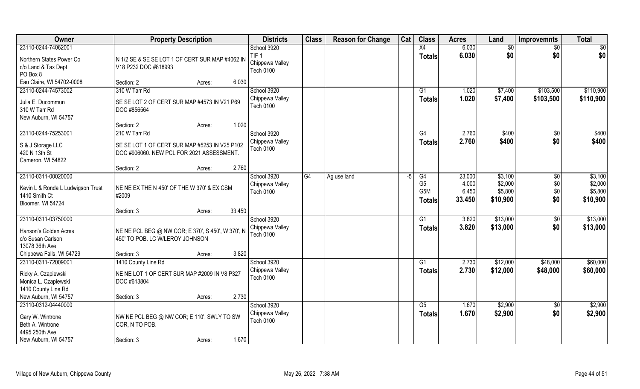| Owner                                                                                                           | <b>Property Description</b>                                                                                           | <b>Districts</b>                                        | <b>Class</b> | <b>Reason for Change</b> | Cat | <b>Class</b>                                 | <b>Acres</b>                       | Land                                      | <b>Improvemnts</b>       | <b>Total</b>                              |
|-----------------------------------------------------------------------------------------------------------------|-----------------------------------------------------------------------------------------------------------------------|---------------------------------------------------------|--------------|--------------------------|-----|----------------------------------------------|------------------------------------|-------------------------------------------|--------------------------|-------------------------------------------|
| 23110-0244-74062001                                                                                             |                                                                                                                       | School 3920                                             |              |                          |     | $\overline{X4}$                              | 6.030                              | \$0                                       | \$0                      | \$0                                       |
| Northern States Power Co<br>c/o Land & Tax Dept<br>PO Box 8                                                     | N 1/2 SE & SE SE LOT 1 OF CERT SUR MAP #4062 IN<br>V18 P232 DOC #818993                                               | TIF <sub>1</sub><br>Chippewa Valley<br><b>Tech 0100</b> |              |                          |     | <b>Totals</b>                                | 6.030                              | \$0                                       | \$0                      | \$0                                       |
| Eau Claire, WI 54702-0008                                                                                       | 6.030<br>Section: 2<br>Acres:                                                                                         |                                                         |              |                          |     |                                              |                                    |                                           |                          |                                           |
| 23110-0244-74573002<br>Julia E. Ducommun<br>310 W Tarr Rd<br>New Auburn, WI 54757                               | 310 W Tarr Rd<br>SE SE LOT 2 OF CERT SUR MAP #4573 IN V21 P69<br>DOC #856564                                          | School 3920<br>Chippewa Valley<br><b>Tech 0100</b>      |              |                          |     | G1<br><b>Totals</b>                          | 1.020<br>1.020                     | \$7,400<br>\$7,400                        | \$103,500<br>\$103,500   | \$110,900<br>\$110,900                    |
|                                                                                                                 | 1.020<br>Section: 2<br>Acres:                                                                                         |                                                         |              |                          |     |                                              |                                    |                                           |                          |                                           |
| 23110-0244-75253001<br>S & J Storage LLC<br>420 N 13th St<br>Cameron, WI 54822                                  | 210 W Tarr Rd<br>SE SE LOT 1 OF CERT SUR MAP #5253 IN V25 P102<br>DOC #906060. NEW PCL FOR 2021 ASSESSMENT.           | School 3920<br>Chippewa Valley<br>Tech 0100             |              |                          |     | G4<br><b>Totals</b>                          | 2.760<br>2.760                     | \$400<br>\$400                            | \$0<br>\$0               | \$400<br>\$400                            |
|                                                                                                                 | 2.760<br>Section: 2<br>Acres:                                                                                         |                                                         |              |                          |     |                                              |                                    |                                           |                          |                                           |
| 23110-0311-00020000<br>Kevin L & Ronda L Ludwigson Trust<br>1410 Smith Ct<br>Bloomer, WI 54724                  | NE NE EX THE N 450' OF THE W 370' & EX CSM<br>#2009                                                                   | School 3920<br>Chippewa Valley<br><b>Tech 0100</b>      | G4           | Ag use land              | -5  | G4<br>G <sub>5</sub><br>G5M<br><b>Totals</b> | 23.000<br>4.000<br>6.450<br>33.450 | \$3,100<br>\$2,000<br>\$5,800<br>\$10,900 | \$0<br>\$0<br>\$0<br>\$0 | \$3,100<br>\$2,000<br>\$5,800<br>\$10,900 |
|                                                                                                                 | 33.450<br>Section: 3<br>Acres:                                                                                        |                                                         |              |                          |     |                                              |                                    |                                           |                          |                                           |
| 23110-0311-03750000<br>Hanson's Golden Acres<br>c/o Susan Carlson<br>13078 36th Ave<br>Chippewa Falls, WI 54729 | NE NE PCL BEG @ NW COR; E 370', S 450', W 370', N<br>450' TO POB. LC W/LEROY JOHNSON<br>3.820<br>Section: 3<br>Acres: | School 3920<br>Chippewa Valley<br><b>Tech 0100</b>      |              |                          |     | G1<br><b>Totals</b>                          | 3.820<br>3.820                     | \$13,000<br>\$13,000                      | $\sqrt[6]{}$<br>\$0      | \$13,000<br>\$13,000                      |
| 23110-0311-72009001                                                                                             | 1410 County Line Rd                                                                                                   | School 3920                                             |              |                          |     | G1                                           | 2.730                              | \$12,000                                  | \$48,000                 | \$60,000                                  |
| Ricky A. Czapiewski<br>Monica L. Czapiewski<br>1410 County Line Rd                                              | NE NE LOT 1 OF CERT SUR MAP #2009 IN V8 P327<br>DOC #613804                                                           | Chippewa Valley<br><b>Tech 0100</b>                     |              |                          |     | <b>Totals</b>                                | 2.730                              | \$12,000                                  | \$48,000                 | \$60,000                                  |
| New Auburn, WI 54757                                                                                            | 2.730<br>Section: 3<br>Acres:                                                                                         |                                                         |              |                          |     |                                              |                                    |                                           |                          |                                           |
| 23110-0312-04440000<br>Gary W. Wintrone<br>Beth A. Wintrone<br>4495 250th Ave                                   | NW NE PCL BEG @ NW COR; E 110', SWLY TO SW<br>COR, N TO POB.                                                          | School 3920<br>Chippewa Valley<br><b>Tech 0100</b>      |              |                          |     | G5<br><b>Totals</b>                          | 1.670<br>1.670                     | \$2,900<br>\$2,900                        | $\overline{60}$<br>\$0   | \$2,900<br>\$2,900                        |
| New Auburn, WI 54757                                                                                            | 1.670<br>Section: 3<br>Acres:                                                                                         |                                                         |              |                          |     |                                              |                                    |                                           |                          |                                           |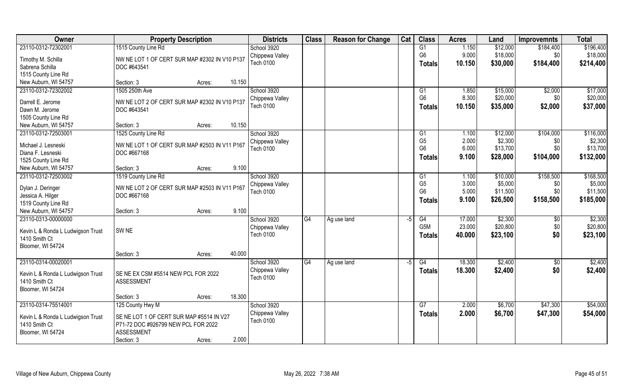| <b>Owner</b>                           | <b>Property Description</b>                              |                  | <b>Districts</b> | <b>Class</b>    | <b>Reason for Change</b> | Cat  | <b>Class</b>                     | <b>Acres</b> | Land                | <b>Improvemnts</b> | <b>Total</b> |
|----------------------------------------|----------------------------------------------------------|------------------|------------------|-----------------|--------------------------|------|----------------------------------|--------------|---------------------|--------------------|--------------|
| 23110-0312-72302001                    | 1515 County Line Rd                                      |                  | School 3920      |                 |                          |      | G1                               | 1.150        | \$12,000            | \$184,400          | \$196,400    |
| Timothy M. Schilla                     | NW NE LOT 1 OF CERT SUR MAP #2302 IN V10 P137            |                  | Chippewa Valley  |                 |                          |      | G <sub>6</sub>                   | 9.000        | \$18,000            | \$0                | \$18,000     |
| Sabrena Schilla                        | DOC #643541                                              |                  | Tech 0100        |                 |                          |      | <b>Totals</b>                    | 10.150       | \$30,000            | \$184,400          | \$214,400    |
| 1515 County Line Rd                    |                                                          |                  |                  |                 |                          |      |                                  |              |                     |                    |              |
| New Auburn, WI 54757                   | Section: 3                                               | 10.150<br>Acres: |                  |                 |                          |      |                                  |              |                     |                    |              |
| 23110-0312-72302002                    | 1505 250th Ave                                           |                  | School 3920      |                 |                          |      | G1                               | 1.850        | \$15,000            | \$2,000            | \$17,000     |
|                                        |                                                          |                  | Chippewa Valley  |                 |                          |      | G <sub>6</sub>                   | 8.300        | \$20,000            | \$0                | \$20,000     |
| Darrell E. Jerome                      | NW NE LOT 2 OF CERT SUR MAP #2302 IN V10 P137            |                  | <b>Tech 0100</b> |                 |                          |      | <b>Totals</b>                    | 10.150       | \$35,000            | \$2,000            | \$37,000     |
| Dawn M. Jerome                         | DOC #643541                                              |                  |                  |                 |                          |      |                                  |              |                     |                    |              |
| 1505 County Line Rd                    |                                                          |                  |                  |                 |                          |      |                                  |              |                     |                    |              |
| New Auburn, WI 54757                   | Section: 3                                               | 10.150<br>Acres: |                  |                 |                          |      |                                  |              |                     |                    |              |
| 23110-0312-72503001                    | 1525 County Line Rd                                      |                  | School 3920      |                 |                          |      | G1                               | 1.100        | \$12,000            | \$104,000          | \$116,000    |
| Michael J. Lesneski                    | NW NE LOT 1 OF CERT SUR MAP #2503 IN V11 P167            |                  | Chippewa Valley  |                 |                          |      | G <sub>5</sub><br>G <sub>6</sub> | 2.000        | \$2,300<br>\$13,700 | \$0<br>\$0         | \$2,300      |
| Diana F. Lesneski                      | DOC #667168                                              |                  | <b>Tech 0100</b> |                 |                          |      |                                  | 6.000        |                     |                    | \$13,700     |
| 1525 County Line Rd                    |                                                          |                  |                  |                 |                          |      | <b>Totals</b>                    | 9.100        | \$28,000            | \$104,000          | \$132,000    |
| New Auburn, WI 54757                   | Section: 3                                               | 9.100<br>Acres:  |                  |                 |                          |      |                                  |              |                     |                    |              |
| 23110-0312-72503002                    | 1519 County Line Rd                                      |                  | School 3920      |                 |                          |      | G <sub>1</sub>                   | 1.100        | \$10,000            | \$158,500          | \$168,500    |
|                                        | NW NE LOT 2 OF CERT SUR MAP #2503 IN V11 P167            |                  | Chippewa Valley  |                 |                          |      | G <sub>5</sub>                   | 3.000        | \$5,000             | \$0                | \$5,000      |
| Dylan J. Deringer<br>Jessica A. Hilger | DOC #667168                                              |                  | <b>Tech 0100</b> |                 |                          |      | G <sub>6</sub>                   | 5.000        | \$11,500            | \$0                | \$11,500     |
| 1519 County Line Rd                    |                                                          |                  |                  |                 |                          |      | <b>Totals</b>                    | 9.100        | \$26,500            | \$158,500          | \$185,000    |
| New Auburn, WI 54757                   | Section: 3                                               | 9.100<br>Acres:  |                  |                 |                          |      |                                  |              |                     |                    |              |
| 23110-0313-00000000                    |                                                          |                  | School 3920      | G4              | Ag use land              | $-5$ | $\overline{G4}$                  | 17.000       | \$2,300             | \$0                | \$2,300      |
|                                        |                                                          |                  | Chippewa Valley  |                 |                          |      | G <sub>5</sub> M                 | 23.000       | \$20,800            | \$0                | \$20,800     |
| Kevin L & Ronda L Ludwigson Trust      | SW <sub>NE</sub>                                         |                  | <b>Tech 0100</b> |                 |                          |      | <b>Totals</b>                    | 40.000       | \$23,100            | \$0                | \$23,100     |
| 1410 Smith Ct                          |                                                          |                  |                  |                 |                          |      |                                  |              |                     |                    |              |
| Bloomer, WI 54724                      |                                                          |                  |                  |                 |                          |      |                                  |              |                     |                    |              |
|                                        | Section: 3                                               | 40.000<br>Acres: |                  |                 |                          |      |                                  |              |                     |                    |              |
| 23110-0314-00020001                    |                                                          |                  | School 3920      | $\overline{G4}$ | Ag use land              | $-5$ | G4                               | 18.300       | \$2,400             | \$0                | \$2,400      |
| Kevin L & Ronda L Ludwigson Trust      | SE NE EX CSM #5514 NEW PCL FOR 2022                      |                  | Chippewa Valley  |                 |                          |      | <b>Totals</b>                    | 18.300       | \$2,400             | \$0                | \$2,400      |
| 1410 Smith Ct                          | <b>ASSESSMENT</b>                                        |                  | <b>Tech 0100</b> |                 |                          |      |                                  |              |                     |                    |              |
| Bloomer, WI 54724                      |                                                          |                  |                  |                 |                          |      |                                  |              |                     |                    |              |
|                                        | Section: 3                                               | 18.300<br>Acres: |                  |                 |                          |      |                                  |              |                     |                    |              |
| 23110-0314-75514001                    | 125 County Hwy M                                         |                  | School 3920      |                 |                          |      | G7                               | 2.000        | \$6,700             | \$47,300           | \$54,000     |
|                                        |                                                          |                  | Chippewa Valley  |                 |                          |      | Totals                           | 2.000        | \$6,700             | \$47,300           | \$54,000     |
| Kevin L & Ronda L Ludwigson Trust      | SE NE LOT 1 OF CERT SUR MAP #5514 IN V27                 |                  | <b>Tech 0100</b> |                 |                          |      |                                  |              |                     |                    |              |
| 1410 Smith Ct                          | P71-72 DOC #926799 NEW PCL FOR 2022<br><b>ASSESSMENT</b> |                  |                  |                 |                          |      |                                  |              |                     |                    |              |
| Bloomer, WI 54724                      | Section: 3                                               | 2.000            |                  |                 |                          |      |                                  |              |                     |                    |              |
|                                        |                                                          | Acres:           |                  |                 |                          |      |                                  |              |                     |                    |              |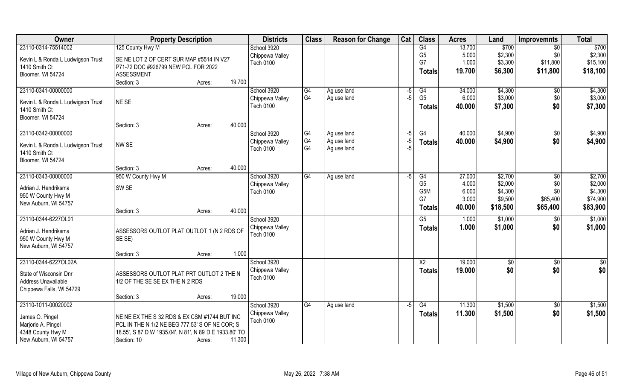| Owner                                      | <b>Property Description</b>                            | <b>Districts</b> | <b>Class</b>   | <b>Reason for Change</b>   | Cat          | <b>Class</b>    | <b>Acres</b> | Land     | <b>Improvemnts</b>   | <b>Total</b>    |
|--------------------------------------------|--------------------------------------------------------|------------------|----------------|----------------------------|--------------|-----------------|--------------|----------|----------------------|-----------------|
| 23110-0314-75514002                        | 125 County Hwy M                                       | School 3920      |                |                            |              | $\overline{G4}$ | 13.700       | \$700    | $\sqrt{6}$           | \$700           |
| Kevin L & Ronda L Ludwigson Trust          | SE NE LOT 2 OF CERT SUR MAP #5514 IN V27               | Chippewa Valley  |                |                            |              | G <sub>5</sub>  | 5.000        | \$2,300  | \$0                  | \$2,300         |
| 1410 Smith Ct                              | P71-72 DOC #926799 NEW PCL FOR 2022                    | <b>Tech 0100</b> |                |                            |              | G7              | 1.000        | \$3,300  | \$11,800             | \$15,100        |
| Bloomer, WI 54724                          | <b>ASSESSMENT</b>                                      |                  |                |                            |              | <b>Totals</b>   | 19.700       | \$6,300  | \$11,800             | \$18,100        |
|                                            | Section: 3<br>19.700<br>Acres:                         |                  |                |                            |              |                 |              |          |                      |                 |
| 23110-0341-00000000                        |                                                        | School 3920      | G4             | Ag use land                | -5           | G <sub>4</sub>  | 34.000       | \$4,300  | $\overline{50}$      | \$4,300         |
|                                            |                                                        | Chippewa Valley  | G <sub>4</sub> | Ag use land                | -5           | G <sub>5</sub>  | 6.000        | \$3,000  | \$0                  | \$3,000         |
| Kevin L & Ronda L Ludwigson Trust          | NE SE                                                  | <b>Tech 0100</b> |                |                            |              | <b>Totals</b>   | 40.000       | \$7,300  | \$0                  | \$7,300         |
| 1410 Smith Ct                              |                                                        |                  |                |                            |              |                 |              |          |                      |                 |
| Bloomer, WI 54724                          | 40.000                                                 |                  |                |                            |              |                 |              |          |                      |                 |
| 23110-0342-00000000                        | Section: 3<br>Acres:                                   | School 3920      |                |                            |              |                 | 40.000       | \$4,900  |                      | \$4,900         |
|                                            |                                                        | Chippewa Valley  | IG4<br>G4      | Ag use land<br>Ag use land | $-5$<br>$-5$ | G4              |              |          | $\sqrt[6]{3}$<br>\$0 |                 |
| Kevin L & Ronda L Ludwigson Trust          | NW <sub>SE</sub>                                       | <b>Tech 0100</b> | G <sub>4</sub> | Ag use land                | -5           | <b>Totals</b>   | 40.000       | \$4,900  |                      | \$4,900         |
| 1410 Smith Ct                              |                                                        |                  |                |                            |              |                 |              |          |                      |                 |
| Bloomer, WI 54724                          |                                                        |                  |                |                            |              |                 |              |          |                      |                 |
|                                            | 40.000<br>Section: 3<br>Acres:                         |                  |                |                            |              |                 |              |          |                      |                 |
| 23110-0343-00000000                        | 950 W County Hwy M                                     | School 3920      | G4             | Ag use land                | -5           | G4              | 27.000       | \$2,700  | $\sqrt[6]{3}$        | \$2,700         |
| Adrian J. Hendriksma                       | SW <sub>SE</sub>                                       | Chippewa Valley  |                |                            |              | G <sub>5</sub>  | 4.000        | \$2,000  | \$0                  | \$2,000         |
| 950 W County Hwy M                         |                                                        | <b>Tech 0100</b> |                |                            |              | G5M             | 6.000        | \$4,300  | \$0                  | \$4,300         |
| New Auburn, WI 54757                       |                                                        |                  |                |                            |              | G7              | 3.000        | \$9,500  | \$65,400             | \$74,900        |
|                                            | 40.000<br>Section: 3<br>Acres:                         |                  |                |                            |              | <b>Totals</b>   | 40.000       | \$18,500 | \$65,400             | \$83,900        |
| 23110-0344-6227OL01                        |                                                        | School 3920      |                |                            |              | $\overline{G5}$ | 1.000        | \$1,000  | \$0                  | \$1,000         |
|                                            |                                                        | Chippewa Valley  |                |                            |              | <b>Totals</b>   | 1.000        | \$1,000  | \$0                  | \$1,000         |
| Adrian J. Hendriksma<br>950 W County Hwy M | ASSESSORS OUTLOT PLAT OUTLOT 1 (N 2 RDS OF<br>SE SE)   | <b>Tech 0100</b> |                |                            |              |                 |              |          |                      |                 |
| New Auburn, WI 54757                       |                                                        |                  |                |                            |              |                 |              |          |                      |                 |
|                                            | 1.000<br>Section: 3<br>Acres:                          |                  |                |                            |              |                 |              |          |                      |                 |
| 23110-0344-6227OL02A                       |                                                        | School 3920      |                |                            |              | $\overline{X2}$ | 19.000       | \$0      | $\sqrt{$0}$          | $\overline{50}$ |
|                                            |                                                        | Chippewa Valley  |                |                            |              | <b>Totals</b>   | 19.000       | \$0      | \$0                  | \$0             |
| State of Wisconsin Dnr                     | ASSESSORS OUTLOT PLAT PRT OUTLOT 2 THE N               | <b>Tech 0100</b> |                |                            |              |                 |              |          |                      |                 |
| Address Unavailable                        | 1/2 OF THE SE SE EX THE N 2 RDS                        |                  |                |                            |              |                 |              |          |                      |                 |
| Chippewa Falls, WI 54729                   |                                                        |                  |                |                            |              |                 |              |          |                      |                 |
|                                            | 19.000<br>Section: 3<br>Acres:                         |                  |                |                            |              |                 |              |          |                      |                 |
| 23110-1011-00020002                        |                                                        | School 3920      | G4             | Ag use land                | $-5$         | G4              | 11.300       | \$1,500  | $\overline{50}$      | \$1,500         |
| James O. Pingel                            | NE NE EX THE S 32 RDS & EX CSM #1744 BUT INC           | Chippewa Valley  |                |                            |              | <b>Totals</b>   | 11.300       | \$1,500  | \$0                  | \$1,500         |
| Marjorie A. Pingel                         | PCL IN THE N 1/2 NE BEG 777.53' S OF NE COR; S         | <b>Tech 0100</b> |                |                            |              |                 |              |          |                      |                 |
| 4348 County Hwy M                          | 18.55', S 87 D W 1935.04', N 81', N 89 D E 1933.80' TO |                  |                |                            |              |                 |              |          |                      |                 |
| New Auburn, WI 54757                       | 11.300<br>Section: 10<br>Acres:                        |                  |                |                            |              |                 |              |          |                      |                 |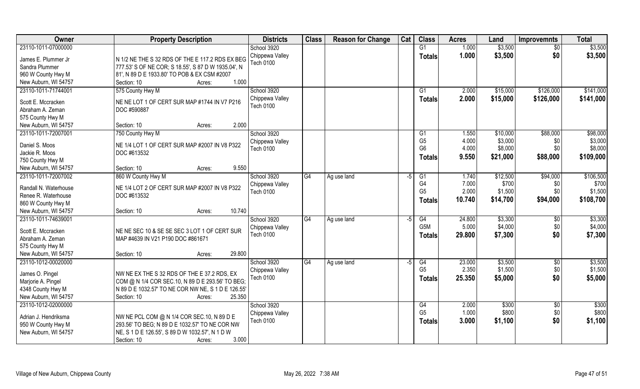| <b>Owner</b>          | <b>Property Description</b>                         | <b>Districts</b>                    | <b>Class</b> | <b>Reason for Change</b> | Cat  | <b>Class</b>     | <b>Acres</b> | Land     | <b>Improvemnts</b> | <b>Total</b> |
|-----------------------|-----------------------------------------------------|-------------------------------------|--------------|--------------------------|------|------------------|--------------|----------|--------------------|--------------|
| 23110-1011-07000000   |                                                     | School 3920                         |              |                          |      | G1               | 1.000        | \$3,500  | $\overline{50}$    | \$3,500      |
| James E. Plummer Jr   | N 1/2 NE THE S 32 RDS OF THE E 117.2 RDS EX BEG     | Chippewa Valley                     |              |                          |      | Totals           | 1.000        | \$3,500  | \$0                | \$3,500      |
| Sandra Plummer        | 777.53' S OF NE COR; S 18.55', S 87 D W 1935.04', N | Tech 0100                           |              |                          |      |                  |              |          |                    |              |
| 960 W County Hwy M    | 81', N 89 D E 1933.80' TO POB & EX CSM #2007        |                                     |              |                          |      |                  |              |          |                    |              |
| New Auburn, WI 54757  | 1.000<br>Section: 10<br>Acres:                      |                                     |              |                          |      |                  |              |          |                    |              |
| 23110-1011-71744001   | 575 County Hwy M                                    | School 3920                         |              |                          |      | G1               | 2.000        | \$15,000 | \$126,000          | \$141,000    |
|                       |                                                     | Chippewa Valley                     |              |                          |      | Totals           | 2.000        | \$15,000 | \$126,000          | \$141,000    |
| Scott E. Mccracken    | NE NE LOT 1 OF CERT SUR MAP #1744 IN V7 P216        | <b>Tech 0100</b>                    |              |                          |      |                  |              |          |                    |              |
| Abraham A. Zeman      | DOC #590887                                         |                                     |              |                          |      |                  |              |          |                    |              |
| 575 County Hwy M      |                                                     |                                     |              |                          |      |                  |              |          |                    |              |
| New Auburn, WI 54757  | Section: 10<br>2.000<br>Acres:                      |                                     |              |                          |      |                  |              |          |                    |              |
| 23110-1011-72007001   | 750 County Hwy M                                    | School 3920                         |              |                          |      | G1               | 1.550        | \$10,000 | \$88,000           | \$98,000     |
| Daniel S. Moos        | NE 1/4 LOT 1 OF CERT SUR MAP #2007 IN V8 P322       | Chippewa Valley                     |              |                          |      | G <sub>5</sub>   | 4.000        | \$3,000  | \$0                | \$3,000      |
| Jackie R. Moos        | DOC #613532                                         | <b>Tech 0100</b>                    |              |                          |      | G <sub>6</sub>   | 4.000        | \$8,000  | \$0                | \$8,000      |
| 750 County Hwy M      |                                                     |                                     |              |                          |      | <b>Totals</b>    | 9.550        | \$21,000 | \$88,000           | \$109,000    |
| New Auburn, WI 54757  | 9.550<br>Section: 10<br>Acres:                      |                                     |              |                          |      |                  |              |          |                    |              |
| 23110-1011-72007002   | 860 W County Hwy M                                  | School 3920                         | G4           | Ag use land              | -5   | G1               | 1.740        | \$12,500 | \$94,000           | \$106,500    |
|                       |                                                     | Chippewa Valley                     |              |                          |      | G4               | 7.000        | \$700    | \$0                | \$700        |
| Randall N. Waterhouse | NE 1/4 LOT 2 OF CERT SUR MAP #2007 IN V8 P322       | <b>Tech 0100</b>                    |              |                          |      | G <sub>5</sub>   | 2.000        | \$1,500  | \$0                | \$1,500      |
| Renee R. Waterhouse   | DOC #613532                                         |                                     |              |                          |      | <b>Totals</b>    | 10.740       | \$14,700 | \$94,000           | \$108,700    |
| 860 W County Hwy M    |                                                     |                                     |              |                          |      |                  |              |          |                    |              |
| New Auburn, WI 54757  | 10.740<br>Section: 10<br>Acres:                     |                                     |              |                          |      |                  |              |          |                    |              |
| 23110-1011-74639001   |                                                     | School 3920                         | G4           | Ag use land              | $-5$ | $\overline{G4}$  | 24.800       | \$3,300  | \$0                | \$3,300      |
| Scott E. Mccracken    | NE NE SEC 10 & SE SE SEC 3 LOT 1 OF CERT SUR        | Chippewa Valley                     |              |                          |      | G <sub>5</sub> M | 5.000        | \$4,000  | \$0                | \$4,000      |
| Abraham A. Zeman      | MAP #4639 IN V21 P190 DOC #861671                   | <b>Tech 0100</b>                    |              |                          |      | <b>Totals</b>    | 29.800       | \$7,300  | \$0                | \$7,300      |
| 575 County Hwy M      |                                                     |                                     |              |                          |      |                  |              |          |                    |              |
| New Auburn, WI 54757  | 29.800<br>Section: 10<br>Acres:                     |                                     |              |                          |      |                  |              |          |                    |              |
| 23110-1012-00020000   |                                                     | School 3920                         | G4           | Ag use land              | $-5$ | G4               | 23.000       | \$3,500  | \$0                | \$3,500      |
| James O. Pingel       | NW NE EX THE S 32 RDS OF THE E 37.2 RDS, EX         | Chippewa Valley                     |              |                          |      | G <sub>5</sub>   | 2.350        | \$1,500  | \$0                | \$1,500      |
| Marjorie A. Pingel    | COM @ N 1/4 COR SEC.10, N 89 D E 293.56' TO BEG;    | Tech 0100                           |              |                          |      | <b>Totals</b>    | 25.350       | \$5,000  | \$0                | \$5,000      |
| 4348 County Hwy M     | N 89 D E 1032.57' TO NE COR NW NE, S 1 D E 126.55'  |                                     |              |                          |      |                  |              |          |                    |              |
| New Auburn, WI 54757  | 25.350<br>Section: 10<br>Acres:                     |                                     |              |                          |      |                  |              |          |                    |              |
| 23110-1012-02000000   |                                                     | School 3920                         |              |                          |      | G4               | 2.000        | \$300    |                    | \$300        |
|                       |                                                     |                                     |              |                          |      | G <sub>5</sub>   | 1.000        | \$800    | \$0<br>\$0         | \$800        |
| Adrian J. Hendriksma  | NW NE PCL COM @ N 1/4 COR SEC.10, N 89 D E          | Chippewa Valley<br><b>Tech 0100</b> |              |                          |      |                  | 3.000        |          |                    |              |
| 950 W County Hwy M    | 293.56' TO BEG; N 89 D E 1032.57' TO NE COR NW      |                                     |              |                          |      | <b>Totals</b>    |              | \$1,100  | \$0                | \$1,100      |
| New Auburn, WI 54757  | NE, S 1 D E 126.55', S 89 D W 1032.57', N 1 D W     |                                     |              |                          |      |                  |              |          |                    |              |
|                       | 3.000<br>Section: 10<br>Acres:                      |                                     |              |                          |      |                  |              |          |                    |              |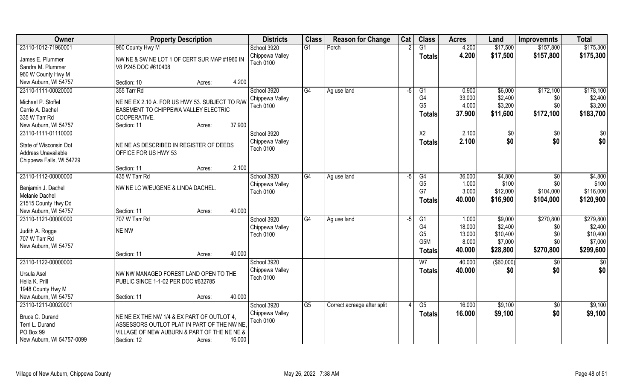| Owner                     | <b>Property Description</b>                    | <b>Districts</b> | <b>Class</b>   | <b>Reason for Change</b>    | Cat  | <b>Class</b>     | <b>Acres</b> | Land        | <b>Improvemnts</b> | <b>Total</b> |
|---------------------------|------------------------------------------------|------------------|----------------|-----------------------------|------|------------------|--------------|-------------|--------------------|--------------|
| 23110-1012-71960001       | 960 County Hwy M                               | School 3920      | G1             | Porch                       |      | $\overline{G1}$  | 4.200        | \$17,500    | \$157,800          | \$175,300    |
| James E. Plummer          | NW NE & SW NE LOT 1 OF CERT SUR MAP #1960 IN   | Chippewa Valley  |                |                             |      | <b>Totals</b>    | 4.200        | \$17,500    | \$157,800          | \$175,300    |
| Sandra M. Plummer         | V8 P245 DOC #610408                            | Tech 0100        |                |                             |      |                  |              |             |                    |              |
| 960 W County Hwy M        |                                                |                  |                |                             |      |                  |              |             |                    |              |
| New Auburn, WI 54757      | Section: 10<br>Acres:                          | 4.200            |                |                             |      |                  |              |             |                    |              |
| 23110-1111-00020000       | 355 Tarr Rd                                    | School 3920      | G4             | Ag use land                 | $-5$ | G1               | 0.900        | \$6,000     | \$172,100          | \$178,100    |
|                           |                                                | Chippewa Valley  |                |                             |      | G4               | 33.000       | \$2,400     | \$0                | \$2,400      |
| Michael P. Stoffel        | NE NE EX 2.10 A. FOR US HWY 53. SUBJECT TO R/W | <b>Tech 0100</b> |                |                             |      | G <sub>5</sub>   | 4.000        | \$3,200     | \$0                | \$3,200      |
| Carrie A. Dachel          | EASEMENT TO CHIPPEWA VALLEY ELECTRIC           |                  |                |                             |      | <b>Totals</b>    | 37.900       | \$11,600    | \$172,100          | \$183,700    |
| 335 W Tarr Rd             | COOPERATIVE.                                   |                  |                |                             |      |                  |              |             |                    |              |
| New Auburn, WI 54757      | Section: 11<br>Acres:                          | 37.900           |                |                             |      |                  |              |             |                    |              |
| 23110-1111-01110000       |                                                | School 3920      |                |                             |      | X <sub>2</sub>   | 2.100        | \$0         | $\sqrt[6]{30}$     | \$0          |
| State of Wisconsin Dot    | NE NE AS DESCRIBED IN REGISTER OF DEEDS        | Chippewa Valley  |                |                             |      | <b>Totals</b>    | 2.100        | \$0         | \$0                | \$0          |
| Address Unavailable       | OFFICE FOR US HWY 53                           | <b>Tech 0100</b> |                |                             |      |                  |              |             |                    |              |
| Chippewa Falls, WI 54729  |                                                |                  |                |                             |      |                  |              |             |                    |              |
|                           | Section: 11<br>Acres:                          | 2.100            |                |                             |      |                  |              |             |                    |              |
| 23110-1112-00000000       | 435 W Tarr Rd                                  | School 3920      | G4             | Ag use land                 | -5   | G4               | 36.000       | \$4,800     | $\sqrt[6]{3}$      | \$4,800      |
|                           |                                                | Chippewa Valley  |                |                             |      | G <sub>5</sub>   | 1.000        | \$100       | \$0                | \$100        |
| Benjamin J. Dachel        | NW NE LC W/EUGENE & LINDA DACHEL.              | <b>Tech 0100</b> |                |                             |      | G7               | 3.000        | \$12,000    | \$104,000          | \$116,000    |
| Melanie Dachel            |                                                |                  |                |                             |      | <b>Totals</b>    | 40.000       | \$16,900    | \$104,000          | \$120,900    |
| 21515 County Hwy Dd       |                                                |                  |                |                             |      |                  |              |             |                    |              |
| New Auburn, WI 54757      | Section: 11<br>Acres:                          | 40.000           |                |                             |      |                  |              |             |                    |              |
| 23110-1121-00000000       | 707 W Tarr Rd                                  | School 3920      | G4             | Ag use land                 | $-5$ | G1               | 1.000        | \$9,000     | \$270,800          | \$279,800    |
| Judith A. Rogge           | NE NW                                          | Chippewa Valley  |                |                             |      | G <sub>4</sub>   | 18.000       | \$2,400     | \$0                | \$2,400      |
| 707 W Tarr Rd             |                                                | <b>Tech 0100</b> |                |                             |      | G <sub>5</sub>   | 13.000       | \$10,400    | \$0                | \$10,400     |
| New Auburn, WI 54757      |                                                |                  |                |                             |      | G <sub>5</sub> M | 8.000        | \$7,000     | \$0\$              | \$7,000      |
|                           | Section: 11<br>Acres:                          | 40.000           |                |                             |      | <b>Totals</b>    | 40.000       | \$28,800    | \$270,800          | \$299,600    |
| 23110-1122-00000000       |                                                | School 3920      |                |                             |      | W <sub>7</sub>   | 40.000       | ( \$60,000) | \$0                | \$0          |
|                           |                                                | Chippewa Valley  |                |                             |      | <b>Totals</b>    | 40.000       | \$0         | \$0                | \$0          |
| Ursula Asel               | NW NW MANAGED FOREST LAND OPEN TO THE          | <b>Tech 0100</b> |                |                             |      |                  |              |             |                    |              |
| Hella K. Prill            | PUBLIC SINCE 1-1-02 PER DOC #632785            |                  |                |                             |      |                  |              |             |                    |              |
| 1948 County Hwy M         |                                                |                  |                |                             |      |                  |              |             |                    |              |
| New Auburn, WI 54757      | Section: 11<br>Acres:                          | 40.000           |                |                             |      |                  |              |             |                    |              |
| 23110-1211-00020001       |                                                | School 3920      | G <sub>5</sub> | Correct acreage after split |      | G5               | 16.000       | \$9,100     | $\sqrt{$0}$        | \$9,100      |
| Bruce C. Durand           | NE NE EX THE NW 1/4 & EX PART OF OUTLOT 4,     | Chippewa Valley  |                |                             |      | <b>Totals</b>    | 16.000       | \$9,100     | \$0                | \$9,100      |
| Terri L. Durand           | ASSESSORS OUTLOT PLAT IN PART OF THE NW NE     | Tech 0100        |                |                             |      |                  |              |             |                    |              |
| PO Box 99                 | VILLAGE OF NEW AUBURN & PART OF THE NE NE &    |                  |                |                             |      |                  |              |             |                    |              |
| New Auburn, WI 54757-0099 | Section: 12<br>Acres:                          | 16.000           |                |                             |      |                  |              |             |                    |              |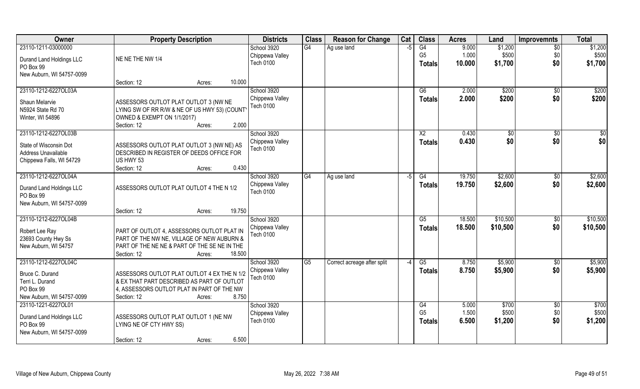| Owner                                 | <b>Property Description</b>                                                               | <b>Districts</b> | <b>Class</b>           | <b>Reason for Change</b>    | Cat  | <b>Class</b>    | <b>Acres</b> | Land     | <b>Improvemnts</b> | <b>Total</b>    |
|---------------------------------------|-------------------------------------------------------------------------------------------|------------------|------------------------|-----------------------------|------|-----------------|--------------|----------|--------------------|-----------------|
| 23110-1211-03000000                   |                                                                                           | School 3920      | G4                     | Ag use land                 | $-5$ | G4              | 9.000        | \$1,200  | $\sqrt{6}$         | \$1,200         |
| Durand Land Holdings LLC              | NE NE THE NW 1/4                                                                          | Chippewa Valley  |                        |                             |      | G <sub>5</sub>  | 1.000        | \$500    | \$0                | \$500           |
| PO Box 99                             |                                                                                           | <b>Tech 0100</b> |                        |                             |      | <b>Totals</b>   | 10.000       | \$1,700  | \$0                | \$1,700         |
| New Auburn, WI 54757-0099             |                                                                                           |                  |                        |                             |      |                 |              |          |                    |                 |
|                                       | Section: 12<br>10.000<br>Acres:                                                           |                  |                        |                             |      |                 |              |          |                    |                 |
| 23110-1212-6227OL03A                  |                                                                                           | School 3920      |                        |                             |      | $\overline{G6}$ | 2.000        | \$200    | \$0                | \$200           |
| Shaun Melarvie                        | ASSESSORS OUTLOT PLAT OUTLOT 3 (NW NE                                                     | Chippewa Valley  |                        |                             |      | <b>Totals</b>   | 2.000        | \$200    | \$0                | \$200           |
| N5924 State Rd 70                     | LYING SW OF RR R/W & NE OF US HWY 53) (COUNT                                              | <b>Tech 0100</b> |                        |                             |      |                 |              |          |                    |                 |
| Winter, WI 54896                      | OWNED & EXEMPT ON 1/1/2017)                                                               |                  |                        |                             |      |                 |              |          |                    |                 |
|                                       | 2.000<br>Section: 12<br>Acres:                                                            |                  |                        |                             |      |                 |              |          |                    |                 |
| 23110-1212-6227OL03B                  |                                                                                           | School 3920      |                        |                             |      | X <sub>2</sub>  | 0.430        | \$0      | $\sqrt{6}$         | $\overline{50}$ |
| State of Wisconsin Dot                | ASSESSORS OUTLOT PLAT OUTLOT 3 (NW NE) AS                                                 | Chippewa Valley  |                        |                             |      | <b>Totals</b>   | 0.430        | \$0      | \$0                | \$0             |
| Address Unavailable                   | DESCRIBED IN REGISTER OF DEEDS OFFICE FOR                                                 | Tech 0100        |                        |                             |      |                 |              |          |                    |                 |
| Chippewa Falls, WI 54729              | US HWY 53                                                                                 |                  |                        |                             |      |                 |              |          |                    |                 |
|                                       | 0.430<br>Section: 12<br>Acres:                                                            |                  |                        |                             |      |                 |              |          |                    |                 |
| 23110-1212-6227OL04A                  |                                                                                           | School 3920      | G4                     | Ag use land                 | -5   | G4              | 19.750       | \$2,600  | $\sqrt[6]{3}$      | \$2,600         |
|                                       | ASSESSORS OUTLOT PLAT OUTLOT 4 THE N 1/2                                                  | Chippewa Valley  |                        |                             |      | <b>Totals</b>   | 19.750       | \$2,600  | \$0                | \$2,600         |
| Durand Land Holdings LLC<br>PO Box 99 |                                                                                           | <b>Tech 0100</b> |                        |                             |      |                 |              |          |                    |                 |
| New Auburn, WI 54757-0099             |                                                                                           |                  |                        |                             |      |                 |              |          |                    |                 |
|                                       | 19.750<br>Section: 12<br>Acres:                                                           |                  |                        |                             |      |                 |              |          |                    |                 |
| 23110-1212-6227OL04B                  |                                                                                           | School 3920      |                        |                             |      | $\overline{G5}$ | 18.500       | \$10,500 | \$0                | \$10,500        |
|                                       |                                                                                           | Chippewa Valley  |                        |                             |      | <b>Totals</b>   | 18.500       | \$10,500 | \$0                | \$10,500        |
| Robert Lee Ray<br>23693 County Hwy Ss | PART OF OUTLOT 4, ASSESSORS OUTLOT PLAT IN<br>PART OF THE NW NE, VILLAGE OF NEW AUBURN &  | Tech 0100        |                        |                             |      |                 |              |          |                    |                 |
| New Auburn, WI 54757                  | PART OF THE NE NE & PART OF THE SE NE IN THE                                              |                  |                        |                             |      |                 |              |          |                    |                 |
|                                       | Section: 12<br>18.500<br>Acres:                                                           |                  |                        |                             |      |                 |              |          |                    |                 |
| 23110-1212-6227OL04C                  |                                                                                           | School 3920      | $\overline{\text{G5}}$ | Correct acreage after split | $-4$ | G5              | 8.750        | \$5,900  | $\overline{60}$    | \$5,900         |
|                                       |                                                                                           | Chippewa Valley  |                        |                             |      | <b>Totals</b>   | 8.750        | \$5,900  | \$0                | \$5,900         |
| Bruce C. Durand<br>Terri L. Durand    | ASSESSORS OUTLOT PLAT OUTLOT 4 EX THE N 1/2<br>& EX THAT PART DESCRIBED AS PART OF OUTLOT | Tech 0100        |                        |                             |      |                 |              |          |                    |                 |
| PO Box 99                             | 4, ASSESSORS OUTLOT PLAT IN PART OF THE NW                                                |                  |                        |                             |      |                 |              |          |                    |                 |
| New Auburn, WI 54757-0099             | 8.750<br>Section: 12<br>Acres:                                                            |                  |                        |                             |      |                 |              |          |                    |                 |
| 23110-1221-6227OL01                   |                                                                                           | School 3920      |                        |                             |      | G4              | 5.000        | \$700    | $\overline{50}$    | \$700           |
|                                       |                                                                                           | Chippewa Valley  |                        |                             |      | G <sub>5</sub>  | 1.500        | \$500    | \$0                | \$500           |
| Durand Land Holdings LLC              | ASSESSORS OUTLOT PLAT OUTLOT 1 (NE NW                                                     | <b>Tech 0100</b> |                        |                             |      | <b>Totals</b>   | 6.500        | \$1,200  | \$0                | \$1,200         |
| PO Box 99                             | LYING NE OF CTY HWY SS)                                                                   |                  |                        |                             |      |                 |              |          |                    |                 |
| New Auburn, WI 54757-0099             | 6.500<br>Section: 12                                                                      |                  |                        |                             |      |                 |              |          |                    |                 |
|                                       | Acres:                                                                                    |                  |                        |                             |      |                 |              |          |                    |                 |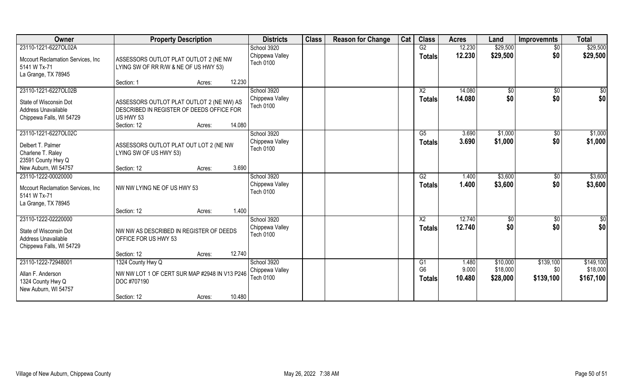| <b>Owner</b>                                                                                     | <b>Property Description</b>                                                                                                  |        | <b>Districts</b>                                   | <b>Class</b> | <b>Reason for Change</b> | Cat | <b>Class</b>                    | <b>Acres</b>     | Land                 | <b>Improvemnts</b>   | <b>Total</b>          |
|--------------------------------------------------------------------------------------------------|------------------------------------------------------------------------------------------------------------------------------|--------|----------------------------------------------------|--------------|--------------------------|-----|---------------------------------|------------------|----------------------|----------------------|-----------------------|
| 23110-1221-6227OL02A                                                                             |                                                                                                                              |        | School 3920                                        |              |                          |     | G2                              | 12.230           | \$29,500             | \$0                  | \$29,500              |
| Mccourt Reclamation Services, Inc.<br>5141 W Tx-71<br>La Grange, TX 78945                        | ASSESSORS OUTLOT PLAT OUTLOT 2 (NE NW<br>LYING SW OF RR R/W & NE OF US HWY 53)                                               |        | Chippewa Valley<br>Tech 0100                       |              |                          |     | <b>Totals</b>                   | 12.230           | \$29,500             | \$0                  | \$29,500              |
|                                                                                                  | Section: 1<br>Acres:                                                                                                         | 12.230 |                                                    |              |                          |     |                                 |                  |                      |                      |                       |
| 23110-1221-6227OL02B                                                                             |                                                                                                                              |        | School 3920                                        |              |                          |     | X <sub>2</sub>                  | 14.080           | $\sqrt{6}$           | \$0                  | $\frac{1}{6}$         |
| State of Wisconsin Dot<br>Address Unavailable<br>Chippewa Falls, WI 54729                        | ASSESSORS OUTLOT PLAT OUTLOT 2 (NE NW) AS<br>DESCRIBED IN REGISTER OF DEEDS OFFICE FOR<br>US HWY 53<br>Section: 12<br>Acres: | 14.080 | Chippewa Valley<br>Tech 0100                       |              |                          |     | <b>Totals</b>                   | 14.080           | \$0                  | \$0                  | \$0                   |
| 23110-1221-6227OL02C                                                                             |                                                                                                                              |        | School 3920                                        |              |                          |     | G5                              | 3.690            | \$1,000              | $\sqrt{6}$           | \$1,000               |
| Delbert T. Palmer<br>Charlene T. Raley<br>23591 County Hwy Q                                     | ASSESSORS OUTLOT PLAT OUT LOT 2 (NE NW<br>LYING SW OF US HWY 53)                                                             |        | Chippewa Valley<br><b>Tech 0100</b>                |              |                          |     | <b>Totals</b>                   | 3.690            | \$1,000              | \$0                  | \$1,000               |
| New Auburn, WI 54757                                                                             | Section: 12<br>Acres:                                                                                                        | 3.690  |                                                    |              |                          |     |                                 |                  |                      |                      |                       |
| 23110-1222-00020000<br>Mccourt Reclamation Services, Inc<br>5141 W Tx-71<br>La Grange, TX 78945  | NW NW LYING NE OF US HWY 53                                                                                                  |        | School 3920<br>Chippewa Valley<br><b>Tech 0100</b> |              |                          |     | G2<br><b>Totals</b>             | 1.400<br>1.400   | \$3,600<br>\$3,600   | $\sqrt[6]{3}$<br>\$0 | \$3,600<br>\$3,600    |
|                                                                                                  | Section: 12<br>Acres:                                                                                                        | 1.400  |                                                    |              |                          |     |                                 |                  |                      |                      |                       |
| 23110-1222-02220000<br>State of Wisconsin Dot<br>Address Unavailable<br>Chippewa Falls, WI 54729 | NW NW AS DESCRIBED IN REGISTER OF DEEDS<br>OFFICE FOR US HWY 53<br>Section: 12<br>Acres:                                     | 12.740 | School 3920<br>Chippewa Valley<br><b>Tech 0100</b> |              |                          |     | X <sub>2</sub><br><b>Totals</b> | 12.740<br>12.740 | \$0<br>\$0           | \$0<br>\$0           | \$0<br>\$0            |
| 23110-1222-72948001                                                                              | 1324 County Hwy Q                                                                                                            |        | School 3920                                        |              |                          |     | G <sub>1</sub>                  | 1.480            | \$10,000             | \$139,100            | \$149,100             |
| Allan F. Anderson<br>1324 County Hwy Q<br>New Auburn, WI 54757                                   | NW NW LOT 1 OF CERT SUR MAP #2948 IN V13 P246<br>DOC #707190                                                                 | 10.480 | Chippewa Valley<br><b>Tech 0100</b>                |              |                          |     | G <sub>6</sub><br><b>Totals</b> | 9.000<br>10.480  | \$18,000<br>\$28,000 | \$0<br>\$139,100     | \$18,000<br>\$167,100 |
|                                                                                                  | Section: 12<br>Acres:                                                                                                        |        |                                                    |              |                          |     |                                 |                  |                      |                      |                       |